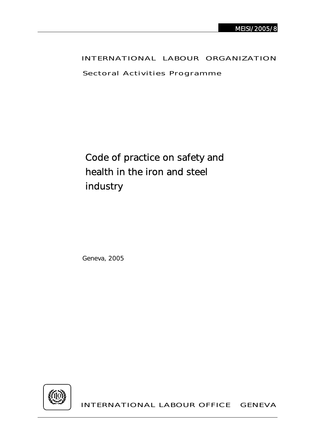# INTERNATIONAL LABOUR ORGANIZATION

Sectoral Activities Programme

Code of practice on safety and health in the iron and steel industry

Geneva, 2005



INTERNATIONAL LABOUR OFFICE GENEVA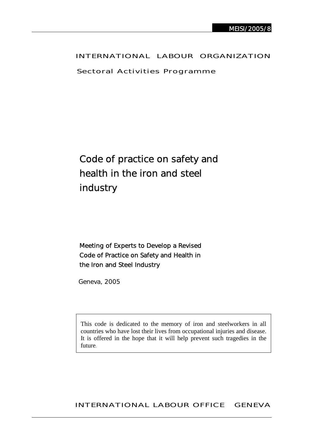# INTERNATIONAL LABOUR ORGANIZATION

Sectoral Activities Programme

# Code of practice on safety and health in the iron and steel industry

# Meeting of Experts to Develop a Revised Code of Practice on Safety and Health in the Iron and Steel Industry

Geneva, 2005

This code is dedicated to the memory of iron and steelworkers in all countries who have lost their lives from occupational injuries and disease. It is offered in the hope that it will help prevent such tragedies in the future.

# INTERNATIONAL LABOUR OFFICE GENEVA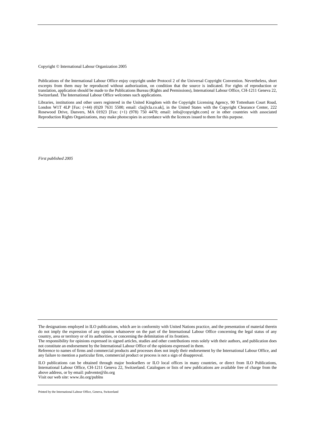Copyright © International Labour Organization 2005

Publications of the International Labour Office enjoy copyright under Protocol 2 of the Universal Copyright Convention. Nevertheless, short excerpts from them may be reproduced without authorization, on condition that the source is indicated. For rights of reproduction or translation, application should be made to the Publications Bureau (Rights and Permissions), International Labour Office, CH-1211 Geneva 22, Switzerland. The International Labour Office welcomes such applications.

Libraries, institutions and other users registered in the United Kingdom with the Copyright Licensing Agency, 90 Tottenham Court Road, London W1T 4LP [Fax: (+44) (0)20 7631 5500; email: cla@cla.co.uk], in the United States with the Copyright Clearance Center, 222 Rosewood Drive, Danvers, MA 01923 [Fax: (+1) (978) 750 4470; email: info@copyright.com] or in other countries with associated Reproduction Rights Organizations, may make photocopies in accordance with the licences issued to them for this purpose.

*First published 2005* 

The designations employed in ILO publications, which are in conformity with United Nations practice, and the presentation of material therein do not imply the expression of any opinion whatsoever on the part of the International Labour Office concerning the legal status of any country, area or territory or of its authorities, or concerning the delimitation of its frontiers.

The responsibility for opinions expressed in signed articles, studies and other contributions rests solely with their authors, and publication does not constitute an endorsement by the International Labour Office of the opinions expressed in them.

Reference to names of firms and commercial products and processes does not imply their endorsement by the International Labour Office, and any failure to mention a particular firm, commercial product or process is not a sign of disapproval.

ILO publications can be obtained through major booksellers or ILO local offices in many countries, or direct from ILO Publications, International Labour Office, CH-1211 Geneva 22, Switzerland. Catalogues or lists of new publications are available free of charge from the above address, or by email: pubvente@ilo.org

Visit our web site: www.ilo.org/publns

Printed by the International Labour Office, Geneva, Switzerland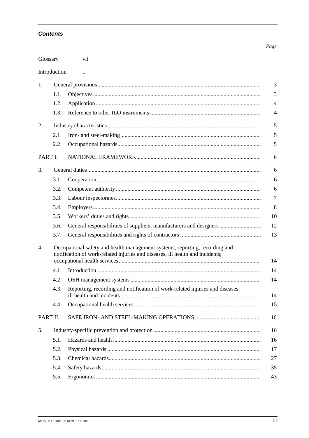### **Contents**

| Glossary          |                                                                                                                                                              | vii                                                                                |  |  |
|-------------------|--------------------------------------------------------------------------------------------------------------------------------------------------------------|------------------------------------------------------------------------------------|--|--|
| Introduction<br>1 |                                                                                                                                                              |                                                                                    |  |  |
| 1.                |                                                                                                                                                              | 3                                                                                  |  |  |
|                   | 1.1.                                                                                                                                                         | 3                                                                                  |  |  |
|                   | 1.2.                                                                                                                                                         | $\overline{4}$                                                                     |  |  |
|                   | 1.3.                                                                                                                                                         | $\overline{4}$                                                                     |  |  |
| 2.                |                                                                                                                                                              |                                                                                    |  |  |
|                   | 2.1.                                                                                                                                                         | 5                                                                                  |  |  |
|                   | 2.2.                                                                                                                                                         | 5                                                                                  |  |  |
| PART I.           |                                                                                                                                                              | 6                                                                                  |  |  |
| 3.                |                                                                                                                                                              |                                                                                    |  |  |
|                   | 3.1.                                                                                                                                                         | 6                                                                                  |  |  |
|                   | 3.2.                                                                                                                                                         | 6                                                                                  |  |  |
|                   | 3.3.                                                                                                                                                         | $\overline{7}$                                                                     |  |  |
|                   | 3.4.                                                                                                                                                         | 8                                                                                  |  |  |
|                   | 3.5.                                                                                                                                                         | 10                                                                                 |  |  |
|                   | 3.6.                                                                                                                                                         | 12<br>General responsibilities of suppliers, manufacturers and designers           |  |  |
|                   | 3.7.                                                                                                                                                         | 13                                                                                 |  |  |
| 4.                | Occupational safety and health management systems; reporting, recording and<br>notification of work-related injuries and diseases, ill health and incidents; |                                                                                    |  |  |
|                   | 4.1.                                                                                                                                                         | 14                                                                                 |  |  |
|                   | 4.2.                                                                                                                                                         | 14                                                                                 |  |  |
|                   | 4.3.                                                                                                                                                         | Reporting, recording and notification of work-related injuries and diseases,<br>14 |  |  |
|                   | 4.4.                                                                                                                                                         | 15                                                                                 |  |  |
| PART II.          |                                                                                                                                                              | 16                                                                                 |  |  |
| 5.                |                                                                                                                                                              | 16                                                                                 |  |  |
|                   | 5.1.                                                                                                                                                         | 16                                                                                 |  |  |
|                   | 5.2.                                                                                                                                                         | 17                                                                                 |  |  |
|                   | 5.3.                                                                                                                                                         | 27                                                                                 |  |  |
|                   | 5.4.                                                                                                                                                         | 35                                                                                 |  |  |
|                   | 5.5.                                                                                                                                                         | 43                                                                                 |  |  |

Page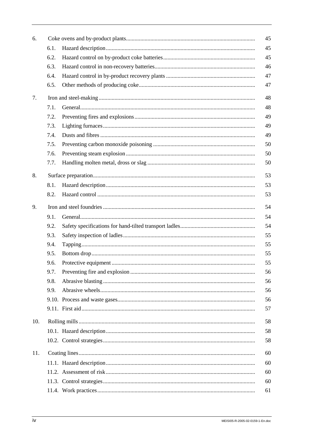| 6.  |      |  | 45 |  |  |
|-----|------|--|----|--|--|
|     | 6.1. |  | 45 |  |  |
|     | 6.2. |  | 45 |  |  |
|     | 6.3. |  | 46 |  |  |
|     | 6.4. |  | 47 |  |  |
|     | 6.5. |  | 47 |  |  |
| 7.  |      |  | 48 |  |  |
|     | 7.1. |  | 48 |  |  |
|     | 7.2. |  | 49 |  |  |
|     | 7.3. |  | 49 |  |  |
|     | 7.4. |  | 49 |  |  |
|     | 7.5. |  | 50 |  |  |
|     | 7.6. |  | 50 |  |  |
|     | 7.7. |  | 50 |  |  |
| 8.  | 53   |  |    |  |  |
|     | 8.1. |  | 53 |  |  |
|     | 8.2. |  | 53 |  |  |
| 9.  | 54   |  |    |  |  |
|     | 9.1. |  | 54 |  |  |
|     | 9.2. |  | 54 |  |  |
|     | 9.3. |  | 55 |  |  |
|     | 9.4. |  | 55 |  |  |
|     | 9.5. |  | 55 |  |  |
|     | 9.6. |  | 55 |  |  |
|     | 9.7. |  | 56 |  |  |
|     | 9.8. |  | 56 |  |  |
|     | 9.9. |  | 56 |  |  |
|     |      |  | 56 |  |  |
|     |      |  | 57 |  |  |
| 10. | 58   |  |    |  |  |
|     |      |  | 58 |  |  |
|     |      |  | 58 |  |  |
| 11. |      |  | 60 |  |  |
|     |      |  | 60 |  |  |
|     |      |  | 60 |  |  |
|     |      |  | 60 |  |  |
|     |      |  | 61 |  |  |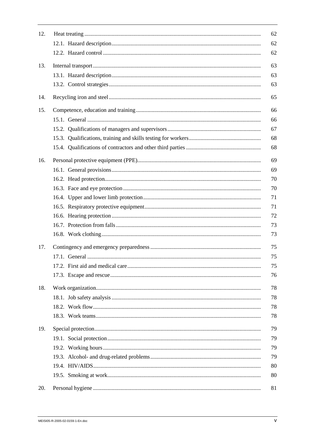| 12. | 62 |
|-----|----|
|     | 62 |
|     | 62 |
| 13. | 63 |
|     | 63 |
|     | 63 |
| 14. | 65 |
| 15. | 66 |
|     | 66 |
|     | 67 |
|     | 68 |
|     | 68 |
| 16. | 69 |
|     | 69 |
|     | 70 |
|     | 70 |
|     | 71 |
|     | 71 |
|     | 72 |
|     | 73 |
|     | 73 |
| 17. | 75 |
|     | 75 |
|     | 75 |
|     | 76 |
| 18. | 78 |
|     | 78 |
|     | 78 |
|     | 78 |
| 19. | 79 |
|     | 79 |
|     | 79 |
|     | 79 |
|     | 80 |
|     | 80 |
| 20. | 81 |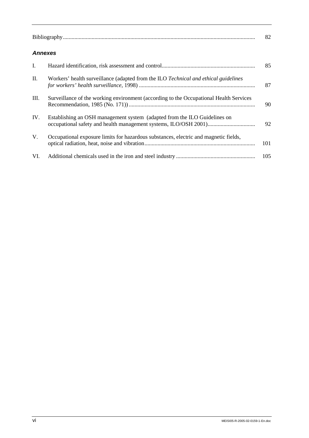|     | <b>Annexes</b>                                                                         |     |  |
|-----|----------------------------------------------------------------------------------------|-----|--|
| I.  |                                                                                        | 85  |  |
| П.  | Workers' health surveillance (adapted from the ILO Technical and ethical guidelines    | 87  |  |
| Ш.  | Surveillance of the working environment (according to the Occupational Health Services | 90  |  |
| IV. | Establishing an OSH management system (adapted from the ILO Guidelines on              | 92  |  |
| V.  | Occupational exposure limits for hazardous substances, electric and magnetic fields,   | 101 |  |
| VI. |                                                                                        | 105 |  |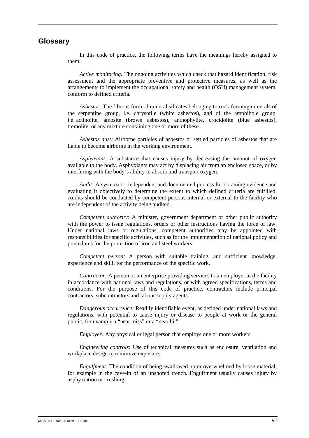# **Glossary**

In this code of practice, the following terms have the meanings hereby assigned to them:

*Active monitoring:* The ongoing activities which check that hazard identification, risk assessment and the appropriate preventive and protective measures, as well as the arrangements to implement the occupational safety and health (OSH) management system, conform to defined criteria.

*Asbestos:* The fibrous form of mineral silicates belonging to rock-forming minerals of the serpentine group, i.e. chrysotile (white asbestos), and of the amphibole group, i.e. actinolite, amosite (brown asbestos), anthophylite, crocidolite (blue asbestos), tremolite, or any mixture containing one or more of these.

*Asbestos dust:* Airborne particles of asbestos or settled particles of asbestos that are liable to become airborne in the working environment.

*Asphyxiant:* A substance that causes injury by decreasing the amount of oxygen available to the body. Asphyxiants may act by displacing air from an enclosed space, or by interfering with the body's ability to absorb and transport oxygen.

*Audit:* A systematic, independent and documented process for obtaining evidence and evaluating it objectively to determine the extent to which defined criteria are fulfilled. Audits should be conducted by competent persons internal or external to the facility who are independent of the activity being audited.

*Competent authority:* A minister, government department or other public authority with the power to issue regulations, orders or other instructions having the force of law. Under national laws or regulations, competent authorities may be appointed with responsibilities for specific activities, such as for the implementation of national policy and procedures for the protection of iron and steel workers.

*Competent person:* A person with suitable training, and sufficient knowledge, experience and skill, for the performance of the specific work.

*Contractor:* A person or an enterprise providing services to an employer at the facility in accordance with national laws and regulations, or with agreed specifications, terms and conditions. For the purpose of this code of practice, contractors include principal contractors, subcontractors and labour supply agents.

*Dangerous occurrence:* Readily identifiable event, as defined under national laws and regulations, with potential to cause injury or disease to people at work or the general public, for example a "near miss" or a "near hit".

*Employer:* Any physical or legal person that employs one or more workers.

*Engineering controls:* Use of technical measures such as enclosure, ventilation and workplace design to minimize exposure.

*Engulfment:* The condition of being swallowed up or overwhelmed by loose material, for example in the cave-in of an unshored trench. Engulfment usually causes injury by asphyxiation or crushing.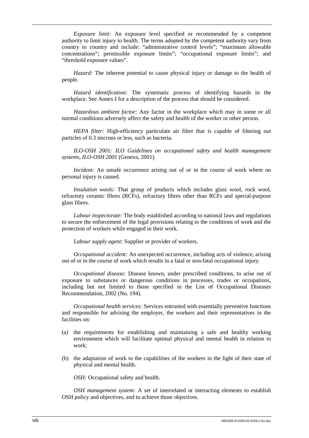*Exposure limit:* An exposure level specified or recommended by a competent authority to limit injury to health. The terms adopted by the competent authority vary from country to country and include: "administrative control levels"; "maximum allowable concentrations"; permissible exposure limits"; "occupational exposure limits"; and "threshold exposure values".

*Hazard:* The inherent potential to cause physical injury or damage to the health of people.

*Hazard identification:* The systematic process of identifying hazards in the workplace. See Annex I for a description of the process that should be considered.

*Hazardous ambient factor:* Any factor in the workplace which may in some or all normal conditions adversely affect the safety and health of the worker or other person.

*HEPA filter:* High-efficiency particulate air filter that is capable of filtering out particles of 0.3 microns or less, such as bacteria.

*ILO-OSH 2001: ILO Guidelines on occupational safety and health management systems, ILO-OSH 2001* (Geneva, 2001).

*Incident:* An unsafe occurrence arising out of or in the course of work where no personal injury is caused.

*Insulation wools:* That group of products which includes glass wool, rock wool, refractory ceramic fibres (RCFs), refractory fibres other than RCFs and special-purpose glass fibres.

*Labour inspectorate:* The body established according to national laws and regulations to secure the enforcement of the legal provisions relating to the conditions of work and the protection of workers while engaged in their work.

*Labour supply agent:* Supplier or provider of workers.

*Occupational accident:* An unexpected occurrence, including acts of violence, arising out of or in the course of work which results in a fatal or non-fatal occupational injury.

*Occupational disease:* Disease known, under prescribed conditions, to arise out of exposure to substances or dangerous conditions in processes, trades or occupations, including but not limited to those specified in the List of Occupational Diseases Recommendation, 2002 (No. 194).

*Occupational health services:* Services entrusted with essentially preventive functions and responsible for advising the employer, the workers and their representatives in the facilities on:

- (a) the requirements for establishing and maintaining a safe and healthy working environment which will facilitate optimal physical and mental health in relation to work;
- (b) the adaptation of work to the capabilities of the workers in the light of their state of physical and mental health.

*OSH:* Occupational safety and health.

*OSH management system:* A set of interrelated or interacting elements to establish OSH policy and objectives, and to achieve those objectives.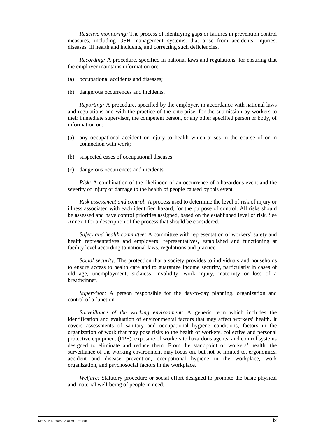*Reactive monitoring:* The process of identifying gaps or failures in prevention control measures, including OSH management systems, that arise from accidents, injuries, diseases, ill health and incidents, and correcting such deficiencies.

*Recording:* A procedure, specified in national laws and regulations, for ensuring that the employer maintains information on:

- (a) occupational accidents and diseases;
- (b) dangerous occurrences and incidents.

*Reporting:* A procedure, specified by the employer, in accordance with national laws and regulations and with the practice of the enterprise, for the submission by workers to their immediate supervisor, the competent person, or any other specified person or body, of information on:

- (a) any occupational accident or injury to health which arises in the course of or in connection with work;
- (b) suspected cases of occupational diseases;
- (c) dangerous occurrences and incidents.

*Risk:* A combination of the likelihood of an occurrence of a hazardous event and the severity of injury or damage to the health of people caused by this event.

*Risk assessment and control:* A process used to determine the level of risk of injury or illness associated with each identified hazard, for the purpose of control. All risks should be assessed and have control priorities assigned, based on the established level of risk. See Annex I for a description of the process that should be considered.

*Safety and health committee:* A committee with representation of workers' safety and health representatives and employers' representatives, established and functioning at facility level according to national laws, regulations and practice.

*Social security:* The protection that a society provides to individuals and households to ensure access to health care and to guarantee income security, particularly in cases of old age, unemployment, sickness, invalidity, work injury, maternity or loss of a breadwinner.

*Supervisor:* A person responsible for the day-to-day planning, organization and control of a function.

*Surveillance of the working environment:* A generic term which includes the identification and evaluation of environmental factors that may affect workers' health. It covers assessments of sanitary and occupational hygiene conditions, factors in the organization of work that may pose risks to the health of workers, collective and personal protective equipment (PPE), exposure of workers to hazardous agents, and control systems designed to eliminate and reduce them. From the standpoint of workers' health, the surveillance of the working environment may focus on, but not be limited to, ergonomics, accident and disease prevention, occupational hygiene in the workplace, work organization, and psychosocial factors in the workplace.

*Welfare:* Statutory procedure or social effort designed to promote the basic physical and material well-being of people in need.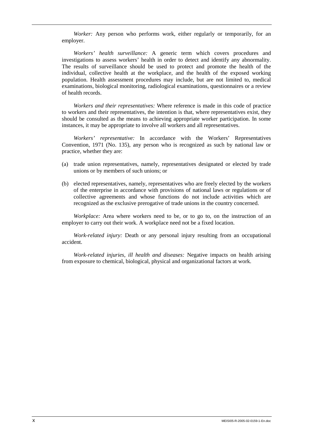*Worker:* Any person who performs work, either regularly or temporarily, for an employer.

*Workers' health surveillance:* A generic term which covers procedures and investigations to assess workers' health in order to detect and identify any abnormality. The results of surveillance should be used to protect and promote the health of the individual, collective health at the workplace, and the health of the exposed working population. Health assessment procedures may include, but are not limited to, medical examinations, biological monitoring, radiological examinations, questionnaires or a review of health records.

*Workers and their representatives:* Where reference is made in this code of practice to workers and their representatives, the intention is that, where representatives exist, they should be consulted as the means to achieving appropriate worker participation. In some instances, it may be appropriate to involve all workers and all representatives.

*Workers' representative:* In accordance with the Workers' Representatives Convention, 1971 (No. 135), any person who is recognized as such by national law or practice, whether they are:

- (a) trade union representatives, namely, representatives designated or elected by trade unions or by members of such unions; or
- (b) elected representatives, namely, representatives who are freely elected by the workers of the enterprise in accordance with provisions of national laws or regulations or of collective agreements and whose functions do not include activities which are recognized as the exclusive prerogative of trade unions in the country concerned.

*Workplace:* Area where workers need to be, or to go to, on the instruction of an employer to carry out their work. A workplace need not be a fixed location.

*Work-related injury:* Death or any personal injury resulting from an occupational accident.

*Work-related injuries, ill health and diseases:* Negative impacts on health arising from exposure to chemical, biological, physical and organizational factors at work.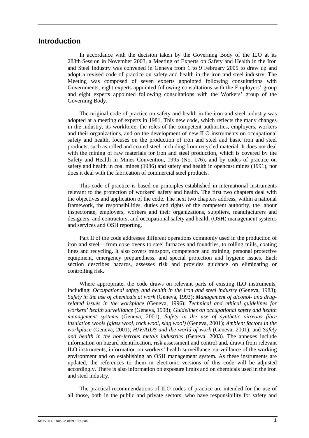# **Introduction**

In accordance with the decision taken by the Governing Body of the ILO at its 288th Session in November 2003, a Meeting of Experts on Safety and Health in the Iron and Steel Industry was convened in Geneva from 1 to 9 February 2005 to draw up and adopt a revised code of practice on safety and health in the iron and steel industry. The Meeting was composed of seven experts appointed following consultations with Governments, eight experts appointed following consultations with the Employers' group and eight experts appointed following consultations with the Workers' group of the Governing Body.

The original code of practice on safety and health in the iron and steel industry was adopted at a meeting of experts in 1981. This new code, which reflects the many changes in the industry, its workforce, the roles of the competent authorities, employers, workers and their organizations, and on the development of new ILO instruments on occupational safety and health, focuses on the production of iron and steel and basic iron and steel products, such as rolled and coated steel, including from recycled material. It does not deal with the mining of raw materials for iron and steel production, which is covered by the Safety and Health in Mines Convention, 1995 (No. 176), and by codes of practice on safety and health in coal mines (1986) and safety and health in opencast mines (1991), nor does it deal with the fabrication of commercial steel products.

This code of practice is based on principles established in international instruments relevant to the protection of workers' safety and health. The first two chapters deal with the objectives and application of the code. The next two chapters address, within a national framework, the responsibilities, duties and rights of the competent authority, the labour inspectorate, employers, workers and their organizations, suppliers, manufacturers and designers, and contractors, and occupational safety and health (OSH) management systems and services and OSH reporting.

Part II of the code addresses different operations commonly used in the production of iron and steel – from coke ovens to steel furnaces and foundries, to rolling mills, coating lines and recycling. It also covers transport, competence and training, personal protective equipment, emergency preparedness, and special protection and hygiene issues. Each section describes hazards, assesses risk and provides guidance on eliminating or controlling risk.

Where appropriate, the code draws on relevant parts of existing ILO instruments, including: *Occupational safety and health in the iron and steel industry* (Geneva, 1983); *Safety in the use of chemicals at work* (Geneva, 1993); *Management of alcohol- and drugrelated issues in the workplace* (Geneva, 1996); *Technical and ethical guidelines for workers' health surveillance* (Geneva, 1998); *Guidelines on occupational safety and health management systems* (Geneva, 2001); *Safety in the use of synthetic vitreous fibre insulation wools (glass wool, rock wool, slag wool)* (Geneva, 2001); *Ambient factors in the workplace* (Geneva, 2001); *HIV/AIDS and the world of work* (Geneva, 2001); and *Safety and health in the non-ferrous metals industries* (Geneva, 2003). The annexes include information on hazard identification, risk assessment and control and, drawn from relevant ILO instruments, information on workers' health surveillance, surveillance of the working environment and on establishing an OSH management system. As these instruments are updated, the references to them in electronic versions of this code will be adjusted accordingly. There is also information on exposure limits and on chemicals used in the iron and steel industry.

The practical recommendations of ILO codes of practice are intended for the use of all those, both in the public and private sectors, who have responsibility for safety and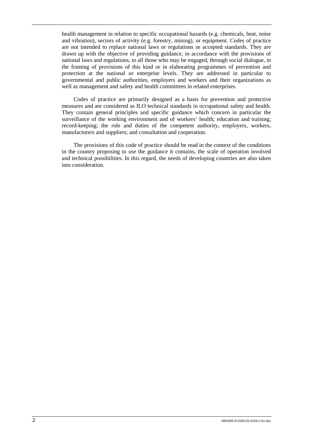health management in relation to specific occupational hazards (e.g. chemicals, heat, noise and vibration), sectors of activity (e.g. forestry, mining), or equipment. Codes of practice are not intended to replace national laws or regulations or accepted standards. They are drawn up with the objective of providing guidance, in accordance with the provisions of national laws and regulations, to all those who may be engaged, through social dialogue, in the framing of provisions of this kind or in elaborating programmes of prevention and protection at the national or enterprise levels. They are addressed in particular to governmental and public authorities, employers and workers and their organizations as well as management and safety and health committees in related enterprises.

Codes of practice are primarily designed as a basis for prevention and protective measures and are considered as ILO technical standards in occupational safety and health. They contain general principles and specific guidance which concern in particular the surveillance of the working environment and of workers' health; education and training; record-keeping; the role and duties of the competent authority, employers, workers, manufacturers and suppliers; and consultation and cooperation.

The provisions of this code of practice should be read in the context of the conditions in the country proposing to use the guidance it contains, the scale of operation involved and technical possibilities. In this regard, the needs of developing countries are also taken into consideration.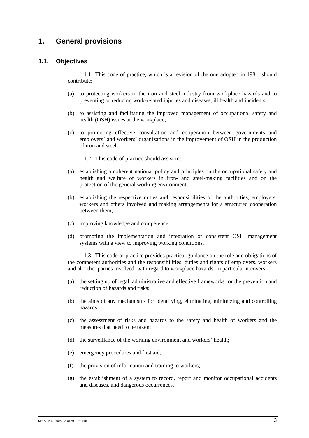# **1. General provisions**

### **1.1. Objectives**

1.1.1. This code of practice, which is a revision of the one adopted in 1981, should contribute:

- (a) to protecting workers in the iron and steel industry from workplace hazards and to preventing or reducing work-related injuries and diseases, ill health and incidents;
- (b) to assisting and facilitating the improved management of occupational safety and health (OSH) issues at the workplace;
- (c) to promoting effective consultation and cooperation between governments and employers' and workers' organizations in the improvement of OSH in the production of iron and steel.

1.1.2. This code of practice should assist in:

- (a) establishing a coherent national policy and principles on the occupational safety and health and welfare of workers in iron- and steel-making facilities and on the protection of the general working environment;
- (b) establishing the respective duties and responsibilities of the authorities, employers, workers and others involved and making arrangements for a structured cooperation between them;
- (c) improving knowledge and competence;
- (d) promoting the implementation and integration of consistent OSH management systems with a view to improving working conditions.

1.1.3. This code of practice provides practical guidance on the role and obligations of the competent authorities and the responsibilities, duties and rights of employers, workers and all other parties involved, with regard to workplace hazards. In particular it covers:

- (a) the setting up of legal, administrative and effective frameworks for the prevention and reduction of hazards and risks;
- (b) the aims of any mechanisms for identifying, eliminating, minimizing and controlling hazards;
- (c) the assessment of risks and hazards to the safety and health of workers and the measures that need to be taken;
- (d) the surveillance of the working environment and workers' health;
- (e) emergency procedures and first aid;
- (f) the provision of information and training to workers;
- (g) the establishment of a system to record, report and monitor occupational accidents and diseases, and dangerous occurrences.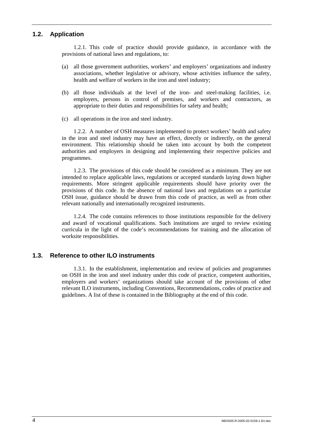# **1.2. Application**

1.2.1. This code of practice should provide guidance, in accordance with the provisions of national laws and regulations, to:

- (a) all those government authorities, workers' and employers' organizations and industry associations, whether legislative or advisory, whose activities influence the safety, health and welfare of workers in the iron and steel industry;
- (b) all those individuals at the level of the iron- and steel-making facilities, i.e. employers, persons in control of premises, and workers and contractors, as appropriate to their duties and responsibilities for safety and health;
- (c) all operations in the iron and steel industry.

1.2.2. A number of OSH measures implemented to protect workers' health and safety in the iron and steel industry may have an effect, directly or indirectly, on the general environment. This relationship should be taken into account by both the competent authorities and employers in designing and implementing their respective policies and programmes.

1.2.3. The provisions of this code should be considered as a minimum. They are not intended to replace applicable laws, regulations or accepted standards laying down higher requirements. More stringent applicable requirements should have priority over the provisions of this code. In the absence of national laws and regulations on a particular OSH issue, guidance should be drawn from this code of practice, as well as from other relevant nationally and internationally recognized instruments.

1.2.4. The code contains references to those institutions responsible for the delivery and award of vocational qualifications. Such institutions are urged to review existing curricula in the light of the code's recommendations for training and the allocation of worksite responsibilities.

### **1.3. Reference to other ILO instruments**

1.3.1. In the establishment, implementation and review of policies and programmes on OSH in the iron and steel industry under this code of practice, competent authorities, employers and workers' organizations should take account of the provisions of other relevant ILO instruments, including Conventions, Recommendations, codes of practice and guidelines. A list of these is contained in the Bibliography at the end of this code.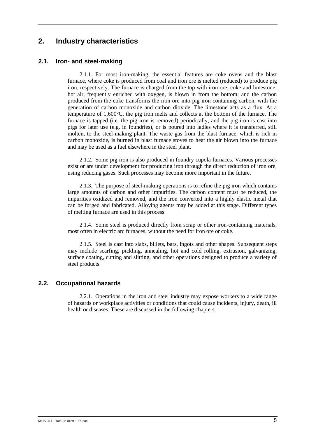# **2. Industry characteristics**

# **2.1. Iron- and steel-making**

2.1.1. For most iron-making, the essential features are coke ovens and the blast furnace, where coke is produced from coal and iron ore is melted (reduced) to produce pig iron, respectively. The furnace is charged from the top with iron ore, coke and limestone; hot air, frequently enriched with oxygen, is blown in from the bottom; and the carbon produced from the coke transforms the iron ore into pig iron containing carbon, with the generation of carbon monoxide and carbon dioxide. The limestone acts as a flux. At a temperature of 1,600°C, the pig iron melts and collects at the bottom of the furnace. The furnace is tapped (i.e. the pig iron is removed) periodically, and the pig iron is cast into pigs for later use (e.g. in foundries), or is poured into ladles where it is transferred, still molten, to the steel-making plant. The waste gas from the blast furnace, which is rich in carbon monoxide, is burned in blast furnace stoves to heat the air blown into the furnace and may be used as a fuel elsewhere in the steel plant.

2.1.2. Some pig iron is also produced in foundry cupola furnaces. Various processes exist or are under development for producing iron through the direct reduction of iron ore, using reducing gases. Such processes may become more important in the future.

2.1.3. The purpose of steel-making operations is to refine the pig iron which contains large amounts of carbon and other impurities. The carbon content must be reduced, the impurities oxidized and removed, and the iron converted into a highly elastic metal that can be forged and fabricated. Alloying agents may be added at this stage. Different types of melting furnace are used in this process.

2.1.4. Some steel is produced directly from scrap or other iron-containing materials, most often in electric arc furnaces, without the need for iron ore or coke.

2.1.5. Steel is cast into slabs, billets, bars, ingots and other shapes. Subsequent steps may include scarfing, pickling, annealing, hot and cold rolling, extrusion, galvanizing, surface coating, cutting and slitting, and other operations designed to produce a variety of steel products.

### **2.2. Occupational hazards**

2.2.1. Operations in the iron and steel industry may expose workers to a wide range of hazards or workplace activities or conditions that could cause incidents, injury, death, ill health or diseases. These are discussed in the following chapters.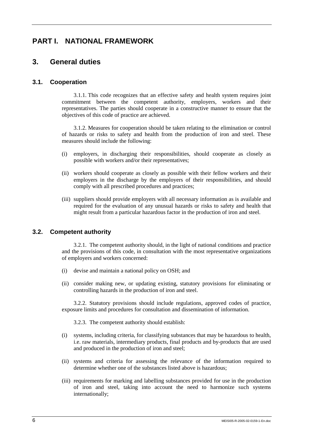# **PART I. NATIONAL FRAMEWORK**

# **3. General duties**

# **3.1. Cooperation**

3.1.1. This code recognizes that an effective safety and health system requires joint commitment between the competent authority, employers, workers and their representatives. The parties should cooperate in a constructive manner to ensure that the objectives of this code of practice are achieved.

3.1.2. Measures for cooperation should be taken relating to the elimination or control of hazards or risks to safety and health from the production of iron and steel. These measures should include the following:

- (i) employers, in discharging their responsibilities, should cooperate as closely as possible with workers and/or their representatives;
- (ii) workers should cooperate as closely as possible with their fellow workers and their employers in the discharge by the employers of their responsibilities, and should comply with all prescribed procedures and practices;
- (iii) suppliers should provide employers with all necessary information as is available and required for the evaluation of any unusual hazards or risks to safety and health that might result from a particular hazardous factor in the production of iron and steel.

# **3.2. Competent authority**

3.2.1. The competent authority should, in the light of national conditions and practice and the provisions of this code, in consultation with the most representative organizations of employers and workers concerned:

- (i) devise and maintain a national policy on OSH; and
- (ii) consider making new, or updating existing, statutory provisions for eliminating or controlling hazards in the production of iron and steel.

3.2.2. Statutory provisions should include regulations, approved codes of practice, exposure limits and procedures for consultation and dissemination of information.

3.2.3. The competent authority should establish:

- (i) systems, including criteria, for classifying substances that may be hazardous to health, i.e. raw materials, intermediary products, final products and by-products that are used and produced in the production of iron and steel;
- (ii) systems and criteria for assessing the relevance of the information required to determine whether one of the substances listed above is hazardous;
- (iii) requirements for marking and labelling substances provided for use in the production of iron and steel, taking into account the need to harmonize such systems internationally;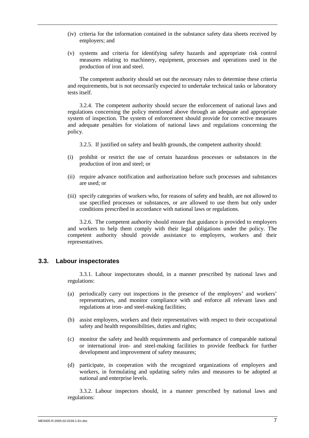- (iv) criteria for the information contained in the substance safety data sheets received by employers; and
- (v) systems and criteria for identifying safety hazards and appropriate risk control measures relating to machinery, equipment, processes and operations used in the production of iron and steel.

The competent authority should set out the necessary rules to determine these criteria and requirements, but is not necessarily expected to undertake technical tasks or laboratory tests itself.

3.2.4. The competent authority should secure the enforcement of national laws and regulations concerning the policy mentioned above through an adequate and appropriate system of inspection. The system of enforcement should provide for corrective measures and adequate penalties for violations of national laws and regulations concerning the policy.

3.2.5. If justified on safety and health grounds, the competent authority should:

- (i) prohibit or restrict the use of certain hazardous processes or substances in the production of iron and steel; or
- (ii) require advance notification and authorization before such processes and substances are used; or
- (iii) specify categories of workers who, for reasons of safety and health, are not allowed to use specified processes or substances, or are allowed to use them but only under conditions prescribed in accordance with national laws or regulations.

3.2.6. The competent authority should ensure that guidance is provided to employers and workers to help them comply with their legal obligations under the policy. The competent authority should provide assistance to employers, workers and their representatives.

### **3.3. Labour inspectorates**

3.3.1. Labour inspectorates should, in a manner prescribed by national laws and regulations:

- (a) periodically carry out inspections in the presence of the employers' and workers' representatives, and monitor compliance with and enforce all relevant laws and regulations at iron- and steel-making facilities;
- (b) assist employers, workers and their representatives with respect to their occupational safety and health responsibilities, duties and rights;
- (c) monitor the safety and health requirements and performance of comparable national or international iron- and steel-making facilities to provide feedback for further development and improvement of safety measures;
- (d) participate, in cooperation with the recognized organizations of employers and workers, in formulating and updating safety rules and measures to be adopted at national and enterprise levels.

3.3.2. Labour inspectors should, in a manner prescribed by national laws and regulations: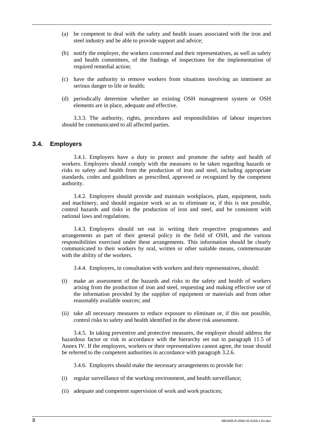- (a) be competent to deal with the safety and health issues associated with the iron and steel industry and be able to provide support and advice;
- (b) notify the employer, the workers concerned and their representatives, as well as safety and health committees, of the findings of inspections for the implementation of required remedial action;
- (c) have the authority to remove workers from situations involving an imminent an serious danger to life or health;
- (d) periodically determine whether an existing OSH management system or OSH elements are in place, adequate and effective.

3.3.3. The authority, rights, procedures and responsibilities of labour inspectors should be communicated to all affected parties.

### **3.4. Employers**

3.4.1. Employers have a duty to protect and promote the safety and health of workers. Employers should comply with the measures to be taken regarding hazards or risks to safety and health from the production of iron and steel, including appropriate standards, codes and guidelines as prescribed, approved or recognized by the competent authority.

3.4.2. Employers should provide and maintain workplaces, plant, equipment, tools and machinery, and should organize work so as to eliminate or, if this is not possible, control hazards and risks in the production of iron and steel, and be consistent with national laws and regulations.

3.4.3. Employers should set out in writing their respective programmes and arrangements as part of their general policy in the field of OSH, and the various responsibilities exercised under these arrangements. This information should be clearly communicated to their workers by oral, written or other suitable means, commensurate with the ability of the workers.

3.4.4. Employers, in consultation with workers and their representatives, should:

- (i) make an assessment of the hazards and risks to the safety and health of workers arising from the production of iron and steel, requesting and making effective use of the information provided by the supplier of equipment or materials and from other reasonably available sources; and
- (ii) take all necessary measures to reduce exposure to eliminate or, if this not possible, control risks to safety and health identified in the above risk assessment.

3.4.5. In taking preventive and protective measures, the employer should address the hazardous factor or risk in accordance with the hierarchy set out in paragraph 11.5 of Annex IV. If the employers, workers or their representatives cannot agree, the issue should be referred to the competent authorities in accordance with paragraph 3.2.6.

3.4.6. Employers should make the necessary arrangements to provide for:

- (i) regular surveillance of the working environment, and health surveillance;
- (ii) adequate and competent supervision of work and work practices;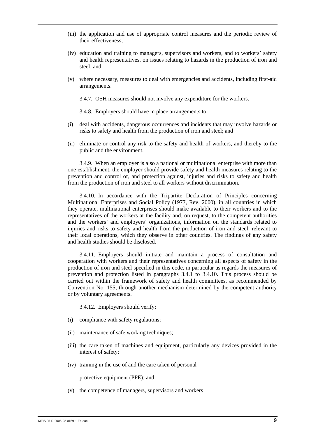- (iii) the application and use of appropriate control measures and the periodic review of their effectiveness;
- (iv) education and training to managers, supervisors and workers, and to workers' safety and health representatives, on issues relating to hazards in the production of iron and steel; and
- (v) where necessary, measures to deal with emergencies and accidents, including first-aid arrangements.

3.4.7. OSH measures should not involve any expenditure for the workers.

3.4.8. Employers should have in place arrangements to:

- (i) deal with accidents, dangerous occurrences and incidents that may involve hazards or risks to safety and health from the production of iron and steel; and
- (ii) eliminate or control any risk to the safety and health of workers, and thereby to the public and the environment.

3.4.9. When an employer is also a national or multinational enterprise with more than one establishment, the employer should provide safety and health measures relating to the prevention and control of, and protection against, injuries and risks to safety and health from the production of iron and steel to all workers without discrimination.

3.4.10. In accordance with the Tripartite Declaration of Principles concerning Multinational Enterprises and Social Policy (1977, Rev. 2000), in all countries in which they operate, multinational enterprises should make available to their workers and to the representatives of the workers at the facility and, on request, to the competent authorities and the workers' and employers' organizations, information on the standards related to injuries and risks to safety and health from the production of iron and steel, relevant to their local operations, which they observe in other countries. The findings of any safety and health studies should be disclosed.

3.4.11. Employers should initiate and maintain a process of consultation and cooperation with workers and their representatives concerning all aspects of safety in the production of iron and steel specified in this code, in particular as regards the measures of prevention and protection listed in paragraphs 3.4.1 to 3.4.10. This process should be carried out within the framework of safety and health committees, as recommended by Convention No. 155, through another mechanism determined by the competent authority or by voluntary agreements.

3.4.12. Employers should verify:

- (i) compliance with safety regulations;
- (ii) maintenance of safe working techniques;
- (iii) the care taken of machines and equipment, particularly any devices provided in the interest of safety;
- (iv) training in the use of and the care taken of personal

protective equipment (PPE); and

(v) the competence of managers, supervisors and workers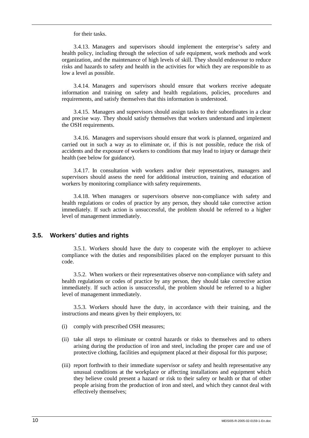for their tasks.

3.4.13. Managers and supervisors should implement the enterprise's safety and health policy, including through the selection of safe equipment, work methods and work organization, and the maintenance of high levels of skill. They should endeavour to reduce risks and hazards to safety and health in the activities for which they are responsible to as low a level as possible.

3.4.14. Managers and supervisors should ensure that workers receive adequate information and training on safety and health regulations, policies, procedures and requirements, and satisfy themselves that this information is understood.

3.4.15. Managers and supervisors should assign tasks to their subordinates in a clear and precise way. They should satisfy themselves that workers understand and implement the OSH requirements.

3.4.16. Managers and supervisors should ensure that work is planned, organized and carried out in such a way as to eliminate or, if this is not possible, reduce the risk of accidents and the exposure of workers to conditions that may lead to injury or damage their health (see below for guidance).

3.4.17. In consultation with workers and/or their representatives, managers and supervisors should assess the need for additional instruction, training and education of workers by monitoring compliance with safety requirements.

3.4.18. When managers or supervisors observe non-compliance with safety and health regulations or codes of practice by any person, they should take corrective action immediately. If such action is unsuccessful, the problem should be referred to a higher level of management immediately.

### **3.5. Workers' duties and rights**

3.5.1. Workers should have the duty to cooperate with the employer to achieve compliance with the duties and responsibilities placed on the employer pursuant to this code.

3.5.2. When workers or their representatives observe non-compliance with safety and health regulations or codes of practice by any person, they should take corrective action immediately. If such action is unsuccessful, the problem should be referred to a higher level of management immediately.

3.5.3. Workers should have the duty, in accordance with their training, and the instructions and means given by their employers, to:

- (i) comply with prescribed OSH measures;
- (ii) take all steps to eliminate or control hazards or risks to themselves and to others arising during the production of iron and steel, including the proper care and use of protective clothing, facilities and equipment placed at their disposal for this purpose;
- (iii) report forthwith to their immediate supervisor or safety and health representative any unusual conditions at the workplace or affecting installations and equipment which they believe could present a hazard or risk to their safety or health or that of other people arising from the production of iron and steel, and which they cannot deal with effectively themselves;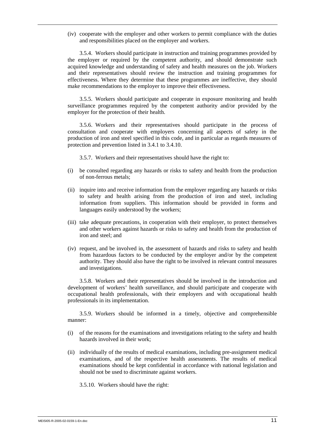(iv) cooperate with the employer and other workers to permit compliance with the duties and responsibilities placed on the employer and workers.

3.5.4. Workers should participate in instruction and training programmes provided by the employer or required by the competent authority, and should demonstrate such acquired knowledge and understanding of safety and health measures on the job. Workers and their representatives should review the instruction and training programmes for effectiveness. Where they determine that these programmes are ineffective, they should make recommendations to the employer to improve their effectiveness.

3.5.5. Workers should participate and cooperate in exposure monitoring and health surveillance programmes required by the competent authority and/or provided by the employer for the protection of their health.

3.5.6. Workers and their representatives should participate in the process of consultation and cooperate with employers concerning all aspects of safety in the production of iron and steel specified in this code, and in particular as regards measures of protection and prevention listed in 3.4.1 to 3.4.10.

3.5.7. Workers and their representatives should have the right to:

- (i) be consulted regarding any hazards or risks to safety and health from the production of non-ferrous metals;
- (ii) inquire into and receive information from the employer regarding any hazards or risks to safety and health arising from the production of iron and steel, including information from suppliers. This information should be provided in forms and languages easily understood by the workers;
- (iii) take adequate precautions, in cooperation with their employer, to protect themselves and other workers against hazards or risks to safety and health from the production of iron and steel; and
- (iv) request, and be involved in, the assessment of hazards and risks to safety and health from hazardous factors to be conducted by the employer and/or by the competent authority. They should also have the right to be involved in relevant control measures and investigations.

3.5.8. Workers and their representatives should be involved in the introduction and development of workers' health surveillance, and should participate and cooperate with occupational health professionals, with their employers and with occupational health professionals in its implementation.

3.5.9. Workers should be informed in a timely, objective and comprehensible manner:

- (i) of the reasons for the examinations and investigations relating to the safety and health hazards involved in their work;
- (ii) individually of the results of medical examinations, including pre-assignment medical examinations, and of the respective health assessments. The results of medical examinations should be kept confidential in accordance with national legislation and should not be used to discriminate against workers.

3.5.10. Workers should have the right: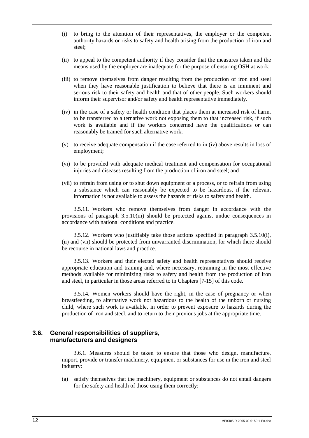- (i) to bring to the attention of their representatives, the employer or the competent authority hazards or risks to safety and health arising from the production of iron and steel;
- (ii) to appeal to the competent authority if they consider that the measures taken and the means used by the employer are inadequate for the purpose of ensuring OSH at work;
- (iii) to remove themselves from danger resulting from the production of iron and steel when they have reasonable justification to believe that there is an imminent and serious risk to their safety and health and that of other people. Such workers should inform their supervisor and/or safety and health representative immediately.
- (iv) in the case of a safety or health condition that places them at increased risk of harm, to be transferred to alternative work not exposing them to that increased risk, if such work is available and if the workers concerned have the qualifications or can reasonably be trained for such alternative work;
- (v) to receive adequate compensation if the case referred to in (iv) above results in loss of employment;
- (vi) to be provided with adequate medical treatment and compensation for occupational injuries and diseases resulting from the production of iron and steel; and
- (vii) to refrain from using or to shut down equipment or a process, or to refrain from using a substance which can reasonably be expected to be hazardous, if the relevant information is not available to assess the hazards or risks to safety and health.

3.5.11. Workers who remove themselves from danger in accordance with the provisions of paragraph 3.5.10(iii) should be protected against undue consequences in accordance with national conditions and practice.

3.5.12. Workers who justifiably take those actions specified in paragraph 3.5.10(i), (ii) and (vii) should be protected from unwarranted discrimination, for which there should be recourse in national laws and practice.

3.5.13. Workers and their elected safety and health representatives should receive appropriate education and training and, where necessary, retraining in the most effective methods available for minimizing risks to safety and health from the production of iron and steel, in particular in those areas referred to in Chapters [7-15] of this code.

3.5.14. Women workers should have the right, in the case of pregnancy or when breastfeeding, to alternative work not hazardous to the health of the unborn or nursing child, where such work is available, in order to prevent exposure to hazards during the production of iron and steel, and to return to their previous jobs at the appropriate time.

### **3.6. General responsibilities of suppliers, manufacturers and designers**

3.6.1. Measures should be taken to ensure that those who design, manufacture, import, provide or transfer machinery, equipment or substances for use in the iron and steel industry:

(a) satisfy themselves that the machinery, equipment or substances do not entail dangers for the safety and health of those using them correctly;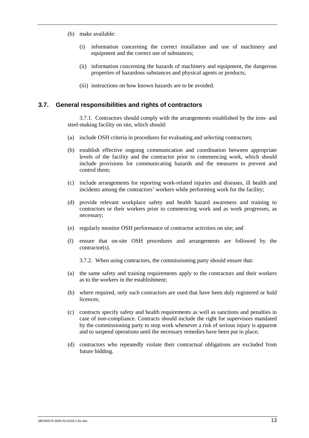- (b) make available:
	- (i) information concerning the correct installation and use of machinery and equipment and the correct use of substances;
	- (ii) information concerning the hazards of machinery and equipment, the dangerous properties of hazardous substances and physical agents or products;
	- (iii) instructions on how known hazards are to be avoided.

### **3.7. General responsibilities and rights of contractors**

3.7.1. Contractors should comply with the arrangements established by the iron- and steel-making facility on site, which should:

- (a) include OSH criteria in procedures for evaluating and selecting contractors;
- (b) establish effective ongoing communication and coordination between appropriate levels of the facility and the contractor prior to commencing work, which should include provisions for communicating hazards and the measures to prevent and control them;
- (c) include arrangements for reporting work-related injuries and diseases, ill health and incidents among the contractors' workers while performing work for the facility;
- (d) provide relevant workplace safety and health hazard awareness and training to contractors or their workers prior to commencing work and as work progresses, as necessary;
- (e) regularly monitor OSH performance of contractor activities on site; and
- (f) ensure that on-site OSH procedures and arrangements are followed by the contractor(s).
	- 3.7.2. When using contractors, the commissioning party should ensure that:
- (a) the same safety and training requirements apply to the contractors and their workers as to the workers in the establishment;
- (b) where required, only such contractors are used that have been duly registered or hold licences;
- (c) contracts specify safety and health requirements as well as sanctions and penalties in case of non-compliance. Contracts should include the right for supervisors mandated by the commissioning party to stop work whenever a risk of serious injury is apparent and to suspend operations until the necessary remedies have been put in place;
- (d) contractors who repeatedly violate their contractual obligations are excluded from future bidding.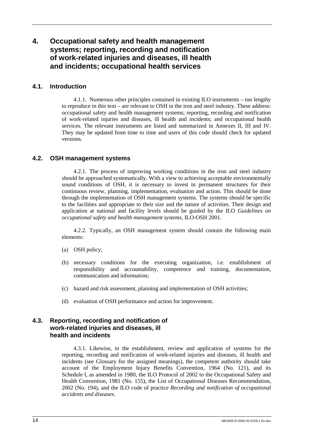# **4. Occupational safety and health management systems; reporting, recording and notification of work-related injuries and diseases, ill health and incidents; occupational health services**

# **4.1. Introduction**

4.1.1. Numerous other principles contained in existing ILO instruments – too lengthy to reproduce in this text – are relevant to OSH in the iron and steel industry. These address: occupational safety and health management systems; reporting, recording and notification of work-related injuries and diseases, ill health and incidents; and occupational health services. The relevant instruments are listed and summarized in Annexes II, III and IV. They may be updated from time to time and users of this code should check for updated versions.

# **4.2. OSH management systems**

4.2.1. The process of improving working conditions in the iron and steel industry should be approached systematically. With a view to achieving acceptable environmentally sound conditions of OSH, it is necessary to invest in permanent structures for their continuous review, planning, implementation, evaluation and action. This should be done through the implementation of OSH management systems. The systems should be specific to the facilities and appropriate to their size and the nature of activities. Their design and application at national and facility levels should be guided by the ILO *Guidelines on occupational safety and health management systems*, ILO-OSH 2001.

4.2.2. Typically, an OSH management system should contain the following main elements:

- (a) OSH policy;
- (b) necessary conditions for the executing organization, i.e. establishment of responsibility and accountability, competence and training, documentation, communication and information;
- (c) hazard and risk assessment, planning and implementation of OSH activities;
- (d) evaluation of OSH performance and action for improvement.

# **4.3. Reporting, recording and notification of work-related injuries and diseases, ill health and incidents**

4.3.1. Likewise, in the establishment, review and application of systems for the reporting, recording and notification of work-related injuries and diseases, ill health and incidents (see Glossary for the assigned meanings), the competent authority should take account of the Employment Injury Benefits Convention, 1964 (No. 121), and its Schedule I, as amended in 1980, the ILO Protocol of 2002 to the Occupational Safety and Health Convention, 1981 (No. 155), the List of Occupational Diseases Recommendation, 2002 (No. 194), and the ILO code of practice *Recording and notification of occupational accidents and diseases*.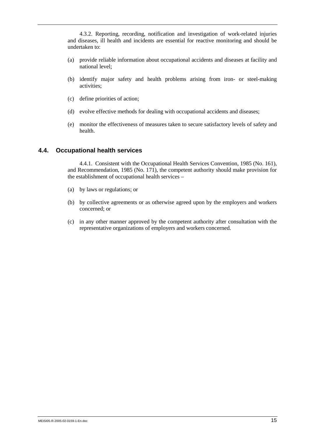4.3.2. Reporting, recording, notification and investigation of work-related injuries and diseases, ill health and incidents are essential for reactive monitoring and should be undertaken to:

- (a) provide reliable information about occupational accidents and diseases at facility and national level;
- (b) identify major safety and health problems arising from iron- or steel-making activities;
- (c) define priorities of action;
- (d) evolve effective methods for dealing with occupational accidents and diseases;
- (e) monitor the effectiveness of measures taken to secure satisfactory levels of safety and health.

### **4.4. Occupational health services**

4.4.1. Consistent with the Occupational Health Services Convention, 1985 (No. 161), and Recommendation, 1985 (No. 171), the competent authority should make provision for the establishment of occupational health services –

- (a) by laws or regulations; or
- (b) by collective agreements or as otherwise agreed upon by the employers and workers concerned; or
- (c) in any other manner approved by the competent authority after consultation with the representative organizations of employers and workers concerned.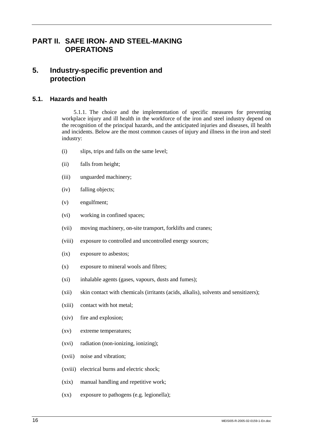# **PART II. SAFE IRON- AND STEEL-MAKING OPERATIONS**

# **5. Industry-specific prevention and protection**

# **5.1. Hazards and health**

5.1.1. The choice and the implementation of specific measures for preventing workplace injury and ill health in the workforce of the iron and steel industry depend on the recognition of the principal hazards, and the anticipated injuries and diseases, ill health and incidents. Below are the most common causes of injury and illness in the iron and steel industry:

- (i) slips, trips and falls on the same level;
- (ii) falls from height;
- (iii) unguarded machinery;
- (iv) falling objects;
- (v) engulfment;
- (vi) working in confined spaces;
- (vii) moving machinery, on-site transport, forklifts and cranes;
- (viii) exposure to controlled and uncontrolled energy sources;
- (ix) exposure to asbestos;
- (x) exposure to mineral wools and fibres;
- (xi) inhalable agents (gases, vapours, dusts and fumes);
- (xii) skin contact with chemicals (irritants (acids, alkalis), solvents and sensitizers);
- (xiii) contact with hot metal;
- (xiv) fire and explosion;
- (xv) extreme temperatures;
- (xvi) radiation (non-ionizing, ionizing);
- (xvii) noise and vibration;
- (xviii) electrical burns and electric shock;
- (xix) manual handling and repetitive work;
- (xx) exposure to pathogens (e.g. legionella);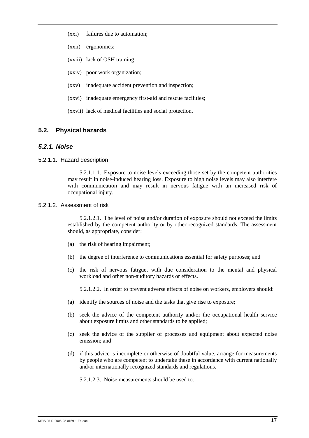- (xxi) failures due to automation;
- (xxii) ergonomics;
- (xxiii) lack of OSH training;
- (xxiv) poor work organization;
- (xxv) inadequate accident prevention and inspection;
- (xxvi) inadequate emergency first-aid and rescue facilities;
- (xxvii) lack of medical facilities and social protection.

# **5.2. Physical hazards**

### *5.2.1. Noise*

5.2.1.1. Hazard description

5.2.1.1.1. Exposure to noise levels exceeding those set by the competent authorities may result in noise-induced hearing loss. Exposure to high noise levels may also interfere with communication and may result in nervous fatigue with an increased risk of occupational injury.

### 5.2.1.2 . Assessment of risk

5.2.1.2.1. The level of noise and/or duration of exposure should not exceed the limits established by the competent authority or by other recognized standards. The assessment should, as appropriate, consider:

- (a) the risk of hearing impairment;
- (b) the degree of interference to communications essential for safety purposes; and
- (c) the risk of nervous fatigue, with due consideration to the mental and physical workload and other non-auditory hazards or effects.

5.2.1.2.2. In order to prevent adverse effects of noise on workers, employers should:

- (a) identify the sources of noise and the tasks that give rise to exposure;
- (b) seek the advice of the competent authority and/or the occupational health service about exposure limits and other standards to be applied;
- (c) seek the advice of the supplier of processes and equipment about expected noise emission; and
- (d) if this advice is incomplete or otherwise of doubtful value, arrange for measurements by people who are competent to undertake these in accordance with current nationally and/or internationally recognized standards and regulations.

5.2.1.2.3. Noise measurements should be used to: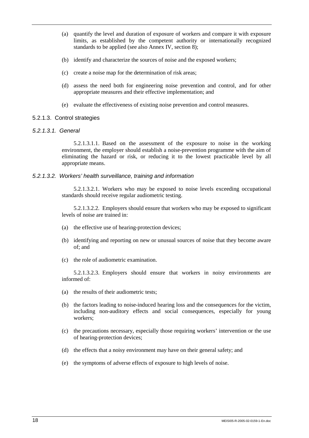- (a) quantify the level and duration of exposure of workers and compare it with exposure limits, as established by the competent authority or internationally recognized standards to be applied (see also Annex IV, section 8);
- (b) identify and characterize the sources of noise and the exposed workers;
- (c) create a noise map for the determination of risk areas;
- (d) assess the need both for engineering noise prevention and control, and for other appropriate measures and their effective implementation; and
- (e) evaluate the effectiveness of existing noise prevention and control measures.

### 5.2.1.3 . Control strategies

### *5.2.1.3.1. General*

5.2.1.3.1.1. Based on the assessment of the exposure to noise in the working environment, the employer should establish a noise-prevention programme with the aim of eliminating the hazard or risk, or reducing it to the lowest practicable level by all appropriate means.

### *5.2.1.3.2. Workers' health surveillance, training and information*

5.2.1.3.2.1. Workers who may be exposed to noise levels exceeding occupational standards should receive regular audiometric testing.

5.2.1.3.2.2. Employers should ensure that workers who may be exposed to significant levels of noise are trained in:

- (a) the effective use of hearing-protection devices;
- (b) identifying and reporting on new or unusual sources of noise that they become aware of; and
- (c) the role of audiometric examination.

5.2.1.3.2.3. Employers should ensure that workers in noisy environments are informed of:

- (a) the results of their audiometric tests;
- (b) the factors leading to noise-induced hearing loss and the consequences for the victim, including non-auditory effects and social consequences, especially for young workers;
- (c) the precautions necessary, especially those requiring workers' intervention or the use of hearing-protection devices;
- (d) the effects that a noisy environment may have on their general safety; and
- (e) the symptoms of adverse effects of exposure to high levels of noise.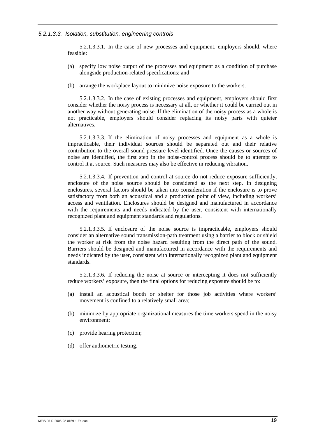#### *5.2.1.3.3. Isolation, substitution, engineering controls*

5.2.1.3.3.1. In the case of new processes and equipment, employers should, where feasible:

- (a) specify low noise output of the processes and equipment as a condition of purchase alongside production-related specifications; and
- (b) arrange the workplace layout to minimize noise exposure to the workers.

5.2.1.3.3.2. In the case of existing processes and equipment, employers should first consider whether the noisy process is necessary at all, or whether it could be carried out in another way without generating noise. If the elimination of the noisy process as a whole is not practicable, employers should consider replacing its noisy parts with quieter alternatives.

5.2.1.3.3.3. If the elimination of noisy processes and equipment as a whole is impracticable, their individual sources should be separated out and their relative contribution to the overall sound pressure level identified. Once the causes or sources of noise are identified, the first step in the noise-control process should be to attempt to control it at source. Such measures may also be effective in reducing vibration.

5.2.1.3.3.4. If prevention and control at source do not reduce exposure sufficiently, enclosure of the noise source should be considered as the next step. In designing enclosures, several factors should be taken into consideration if the enclosure is to prove satisfactory from both an acoustical and a production point of view, including workers' access and ventilation. Enclosures should be designed and manufactured in accordance with the requirements and needs indicated by the user, consistent with internationally recognized plant and equipment standards and regulations.

5.2.1.3.3.5. If enclosure of the noise source is impracticable, employers should consider an alternative sound transmission-path treatment using a barrier to block or shield the worker at risk from the noise hazard resulting from the direct path of the sound. Barriers should be designed and manufactured in accordance with the requirements and needs indicated by the user, consistent with internationally recognized plant and equipment standards.

5.2.1.3.3.6. If reducing the noise at source or intercepting it does not sufficiently reduce workers' exposure, then the final options for reducing exposure should be to:

- (a) install an acoustical booth or shelter for those job activities where workers' movement is confined to a relatively small area;
- (b) minimize by appropriate organizational measures the time workers spend in the noisy environment;
- (c) provide hearing protection;
- (d) offer audiometric testing.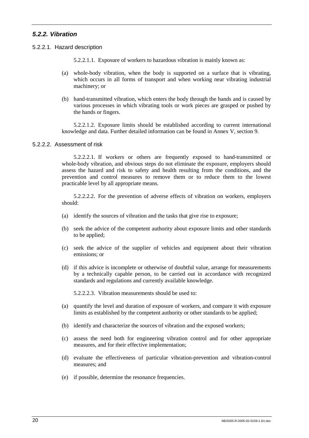# *5.2.2. Vibration*

5.2.2.1. Hazard description

5.2.2.1.1. Exposure of workers to hazardous vibration is mainly known as:

- (a) whole-body vibration, when the body is supported on a surface that is vibrating, which occurs in all forms of transport and when working near vibrating industrial machinery; or
- (b) hand-transmitted vibration, which enters the body through the hands and is caused by various processes in which vibrating tools or work pieces are grasped or pushed by the hands or fingers.

5.2.2.1.2. Exposure limits should be established according to current international knowledge and data. Further detailed information can be found in Annex V, section 9.

### 5.2.2.2. Assessment of risk

5.2.2.2.1. If workers or others are frequently exposed to hand-transmitted or whole-body vibration, and obvious steps do not eliminate the exposure, employers should assess the hazard and risk to safety and health resulting from the conditions, and the prevention and control measures to remove them or to reduce them to the lowest practicable level by all appropriate means.

5.2.2.2.2. For the prevention of adverse effects of vibration on workers, employers should:

- (a) identify the sources of vibration and the tasks that give rise to exposure;
- (b) seek the advice of the competent authority about exposure limits and other standards to be applied;
- (c) seek the advice of the supplier of vehicles and equipment about their vibration emissions; or
- (d) if this advice is incomplete or otherwise of doubtful value, arrange for measurements by a technically capable person, to be carried out in accordance with recognized standards and regulations and currently available knowledge.

5.2.2.2.3. Vibration measurements should be used to:

- (a) quantify the level and duration of exposure of workers, and compare it with exposure limits as established by the competent authority or other standards to be applied;
- (b) identify and characterize the sources of vibration and the exposed workers;
- (c) assess the need both for engineering vibration control and for other appropriate measures, and for their effective implementation;
- (d) evaluate the effectiveness of particular vibration-prevention and vibration-control measures; and
- (e) if possible, determine the resonance frequencies.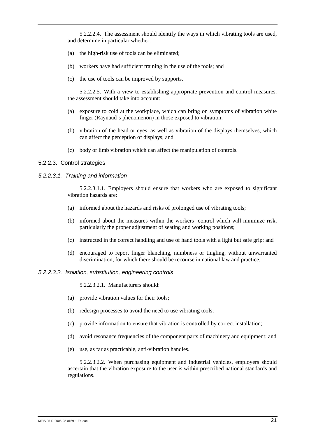5.2.2.2.4. The assessment should identify the ways in which vibrating tools are used, and determine in particular whether:

- (a) the high-risk use of tools can be eliminated;
- (b) workers have had sufficient training in the use of the tools; and
- (c) the use of tools can be improved by supports.

5.2.2.2.5. With a view to establishing appropriate prevention and control measures, the assessment should take into account:

- (a) exposure to cold at the workplace, which can bring on symptoms of vibration white finger (Raynaud's phenomenon) in those exposed to vibration;
- (b) vibration of the head or eyes, as well as vibration of the displays themselves, which can affect the perception of displays; and
- (c) body or limb vibration which can affect the manipulation of controls.

#### 5.2.2.3. Control strategies

### *5.2.2.3.1. Training and information*

5.2.2.3.1.1. Employers should ensure that workers who are exposed to significant vibration hazards are:

- (a) informed about the hazards and risks of prolonged use of vibrating tools;
- (b) informed about the measures within the workers' control which will minimize risk, particularly the proper adjustment of seating and working positions;
- (c) instructed in the correct handling and use of hand tools with a light but safe grip; and
- (d) encouraged to report finger blanching, numbness or tingling, without unwarranted discrimination, for which there should be recourse in national law and practice.

### *5.2.2.3.2. Isolation, substitution, engineering controls*

5.2.2.3.2.1. Manufacturers should:

- (a) provide vibration values for their tools;
- (b) redesign processes to avoid the need to use vibrating tools;
- (c) provide information to ensure that vibration is controlled by correct installation;
- (d) avoid resonance frequencies of the component parts of machinery and equipment; and
- (e) use, as far as practicable, anti-vibration handles.

5.2.2.3.2.2. When purchasing equipment and industrial vehicles, employers should ascertain that the vibration exposure to the user is within prescribed national standards and regulations.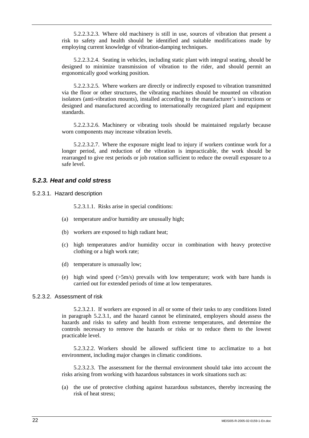5.2.2.3.2.3. Where old machinery is still in use, sources of vibration that present a risk to safety and health should be identified and suitable modifications made by employing current knowledge of vibration-damping techniques.

5.2.2.3.2.4. Seating in vehicles, including static plant with integral seating, should be designed to minimize transmission of vibration to the rider, and should permit an ergonomically good working position.

5.2.2.3.2.5. Where workers are directly or indirectly exposed to vibration transmitted via the floor or other structures, the vibrating machines should be mounted on vibration isolators (anti-vibration mounts), installed according to the manufacturer's instructions or designed and manufactured according to internationally recognized plant and equipment standards.

5.2.2.3.2.6. Machinery or vibrating tools should be maintained regularly because worn components may increase vibration levels.

5.2.2.3.2.7. Where the exposure might lead to injury if workers continue work for a longer period, and reduction of the vibration is impracticable, the work should be rearranged to give rest periods or job rotation sufficient to reduce the overall exposure to a safe level.

### *5.2.3. Heat and cold stress*

5.2.3.1. Hazard description

5.2.3.1.1. Risks arise in special conditions:

- (a) temperature and/or humidity are unusually high;
- (b) workers are exposed to high radiant heat;
- (c) high temperatures and/or humidity occur in combination with heavy protective clothing or a high work rate;
- (d) temperature is unusually low;
- (e) high wind speed  $(5m/s)$  prevails with low temperature; work with bare hands is carried out for extended periods of time at low temperatures.

#### 5.2.3.2. Assessment of risk

5.2.3.2.1. If workers are exposed in all or some of their tasks to any conditions listed in paragraph 5.2.3.1, and the hazard cannot be eliminated, employers should assess the hazards and risks to safety and health from extreme temperatures, and determine the controls necessary to remove the hazards or risks or to reduce them to the lowest practicable level.

5.2.3.2.2. Workers should be allowed sufficient time to acclimatize to a hot environment, including major changes in climatic conditions.

5.2.3.2.3. The assessment for the thermal environment should take into account the risks arising from working with hazardous substances in work situations such as:

(a) the use of protective clothing against hazardous substances, thereby increasing the risk of heat stress;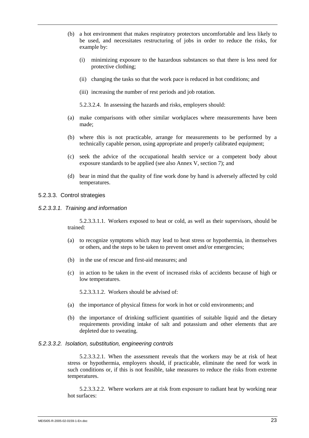- (b) a hot environment that makes respiratory protectors uncomfortable and less likely to be used, and necessitates restructuring of jobs in order to reduce the risks, for example by:
	- (i) minimizing exposure to the hazardous substances so that there is less need for protective clothing;
	- (ii) changing the tasks so that the work pace is reduced in hot conditions; and
	- (iii) increasing the number of rest periods and job rotation.
	- 5.2.3.2.4. In assessing the hazards and risks, employers should:
- (a) make comparisons with other similar workplaces where measurements have been made;
- (b) where this is not practicable, arrange for measurements to be performed by a technically capable person, using appropriate and properly calibrated equipment;
- (c) seek the advice of the occupational health service or a competent body about exposure standards to be applied (see also Annex V, section 7); and
- (d) bear in mind that the quality of fine work done by hand is adversely affected by cold temperatures.

### 5.2.3.3. Control strategies

*5.2.3.3.1. Training and information* 

5.2.3.3.1.1. Workers exposed to heat or cold, as well as their supervisors, should be trained:

- (a) to recognize symptoms which may lead to heat stress or hypothermia, in themselves or others, and the steps to be taken to prevent onset and/or emergencies;
- (b) in the use of rescue and first-aid measures; and
- (c) in action to be taken in the event of increased risks of accidents because of high or low temperatures.

5.2.3.3.1.2. Workers should be advised of:

- (a) the importance of physical fitness for work in hot or cold environments; and
- (b) the importance of drinking sufficient quantities of suitable liquid and the dietary requirements providing intake of salt and potassium and other elements that are depleted due to sweating.

#### *5.2.3.3.2. Isolation, substitution, engineering controls*

5.2.3.3.2.1. When the assessment reveals that the workers may be at risk of heat stress or hypothermia, employers should, if practicable, eliminate the need for work in such conditions or, if this is not feasible, take measures to reduce the risks from extreme temperatures.

5.2.3.3.2.2. Where workers are at risk from exposure to radiant heat by working near hot surfaces: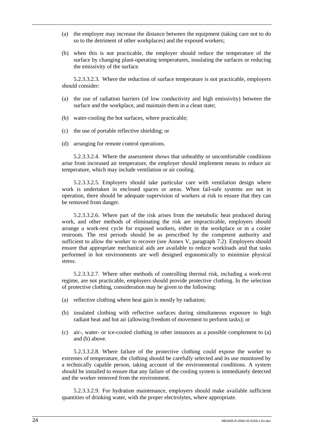- (a) the employer may increase the distance between the equipment (taking care not to do so to the detriment of other workplaces) and the exposed workers;
- (b) when this is not practicable, the employer should reduce the temperature of the surface by changing plant-operating temperatures, insulating the surfaces or reducing the emissivity of the surface.

5.2.3.3.2.3. Where the reduction of surface temperature is not practicable, employers should consider:

- (a) the use of radiation barriers (of low conductivity and high emissivity) between the surface and the workplace, and maintain them in a clean state;
- (b) water-cooling the hot surfaces, where practicable;
- (c) the use of portable reflective shielding; or
- (d) arranging for remote control operations.

5.2.3.3.2.4. Where the assessment shows that unhealthy or uncomfortable conditions arise from increased air temperature, the employer should implement means to reduce air temperature, which may include ventilation or air cooling.

5.2.3.3.2.5. Employers should take particular care with ventilation design where work is undertaken in enclosed spaces or areas. When fail-safe systems are not in operation, there should be adequate supervision of workers at risk to ensure that they can be removed from danger.

5.2.3.3.2.6. Where part of the risk arises from the metabolic heat produced during work, and other methods of eliminating the risk are impracticable, employers should arrange a work-rest cycle for exposed workers, either in the workplace or in a cooler restroom. The rest periods should be as prescribed by the competent authority and sufficient to allow the worker to recover (see Annex V, paragraph 7.2). Employers should ensure that appropriate mechanical aids are available to reduce workloads and that tasks performed in hot environments are well designed ergonomically to minimize physical stress.

5.2.3.3.2.7. Where other methods of controlling thermal risk, including a work-rest regime, are not practicable, employers should provide protective clothing. In the selection of protective clothing, consideration may be given to the following:

- (a) reflective clothing where heat gain is mostly by radiation;
- (b) insulated clothing with reflective surfaces during simultaneous exposure to high radiant heat and hot air (allowing freedom of movement to perform tasks); or
- (c) air-, water- or ice-cooled clothing in other instances as a possible complement to (a) and (b) above.

5.2.3.3.2.8. Where failure of the protective clothing could expose the worker to extremes of temperature, the clothing should be carefully selected and its use monitored by a technically capable person, taking account of the environmental conditions. A system should be installed to ensure that any failure of the cooling system is immediately detected and the worker removed from the environment.

5.2.3.3.2.9. For hydration maintenance, employers should make available sufficient quantities of drinking water, with the proper electrolytes, where appropriate.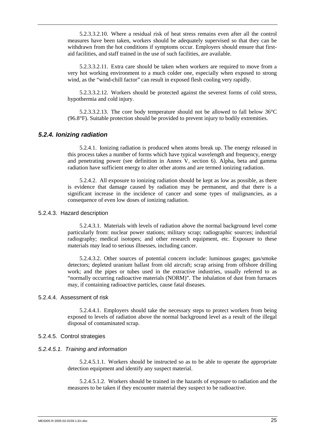5.2.3.3.2.10. Where a residual risk of heat stress remains even after all the control measures have been taken, workers should be adequately supervised so that they can be withdrawn from the hot conditions if symptoms occur. Employers should ensure that firstaid facilities, and staff trained in the use of such facilities, are available.

5.2.3.3.2.11. Extra care should be taken when workers are required to move from a very hot working environment to a much colder one, especially when exposed to strong wind, as the "wind-chill factor" can result in exposed flesh cooling very rapidly.

5.2.3.3.2.12. Workers should be protected against the severest forms of cold stress, hypothermia and cold injury.

5.2.3.3.2.13. The core body temperature should not be allowed to fall below 36°C (96.8°F). Suitable protection should be provided to prevent injury to bodily extremities.

### *5.2.4. Ionizing radiation*

5.2.4.1. Ionizing radiation is produced when atoms break up. The energy released in this process takes a number of forms which have typical wavelength and frequency, energy and penetrating power (see definition in Annex V, section 6). Alpha, beta and gamma radiation have sufficient energy to alter other atoms and are termed ionizing radiation.

5.2.4.2. All exposure to ionizing radiation should be kept as low as possible, as there is evidence that damage caused by radiation may be permanent, and that there is a significant increase in the incidence of cancer and some types of malignancies, as a consequence of even low doses of ionizing radiation.

### 5.2.4.3. Hazard description

5.2.4.3.1. Materials with levels of radiation above the normal background level come particularly from: nuclear power stations; military scrap; radiographic sources; industrial radiography; medical isotopes; and other research equipment, etc. Exposure to these materials may lead to serious illnesses, including cancer.

5.2.4.3.2. Other sources of potential concern include: luminous gauges; gas/smoke detectors; depleted uranium ballast from old aircraft; scrap arising from offshore drilling work; and the pipes or tubes used in the extractive industries, usually referred to as "normally occurring radioactive materials (NORM)". The inhalation of dust from furnaces may, if containing radioactive particles, cause fatal diseases.

### 5.2.4.4. Assessment of risk

5.2.4.4.1. Employers should take the necessary steps to protect workers from being exposed to levels of radiation above the normal background level as a result of the illegal disposal of contaminated scrap.

#### 5.2.4.5. Control strategies

#### *5.2.4.5.1. Training and information*

5.2.4.5.1.1. Workers should be instructed so as to be able to operate the appropriate detection equipment and identify any suspect material.

5.2.4.5.1.2. Workers should be trained in the hazards of exposure to radiation and the measures to be taken if they encounter material they suspect to be radioactive.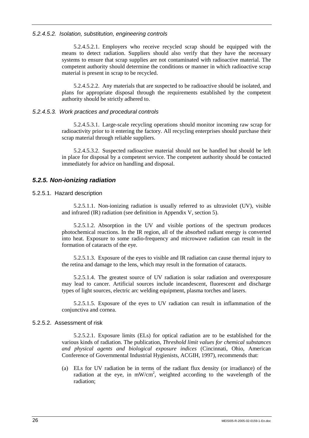### *5.2.4.5.2. Isolation, substitution, engineering controls*

5.2.4.5.2.1. Employers who receive recycled scrap should be equipped with the means to detect radiation. Suppliers should also verify that they have the necessary systems to ensure that scrap supplies are not contaminated with radioactive material. The competent authority should determine the conditions or manner in which radioactive scrap material is present in scrap to be recycled.

5.2.4.5.2.2. Any materials that are suspected to be radioactive should be isolated, and plans for appropriate disposal through the requirements established by the competent authority should be strictly adhered to.

## *5.2.4.5.3. Work practices and procedural controls*

5.2.4.5.3.1. Large-scale recycling operations should monitor incoming raw scrap for radioactivity prior to it entering the factory. All recycling enterprises should purchase their scrap material through reliable suppliers.

5.2.4.5.3.2. Suspected radioactive material should not be handled but should be left in place for disposal by a competent service. The competent authority should be contacted immediately for advice on handling and disposal.

# *5.2.5. Non-ionizing radiation*

## 5.2.5.1. Hazard description

5.2.5.1.1. Non-ionizing radiation is usually referred to as ultraviolet (UV), visible and infrared (IR) radiation (see definition in Appendix V, section 5).

5.2.5.1.2. Absorption in the UV and visible portions of the spectrum produces photochemical reactions. In the IR region, all of the absorbed radiant energy is converted into heat. Exposure to some radio-frequency and microwave radiation can result in the formation of cataracts of the eye.

5.2.5.1.3. Exposure of the eyes to visible and IR radiation can cause thermal injury to the retina and damage to the lens, which may result in the formation of cataracts.

5.2.5.1.4. The greatest source of UV radiation is solar radiation and overexposure may lead to cancer. Artificial sources include incandescent, fluorescent and discharge types of light sources, electric arc welding equipment, plasma torches and lasers.

5.2.5.1.5. Exposure of the eyes to UV radiation can result in inflammation of the conjunctiva and cornea.

#### 5.2.5.2. Assessment of risk

5.2.5.2.1. Exposure limits (ELs) for optical radiation are to be established for the various kinds of radiation. The publication, *Threshold limit values for chemical substances and physical agents and biological exposure indices* (Cincinnati, Ohio, American Conference of Governmental Industrial Hygienists, ACGIH, 1997), recommends that:

(a) ELs for UV radiation be in terms of the radiant flux density (or irradiance) of the radiation at the eye, in  $mW/cm^2$ , weighted according to the wavelength of the radiation;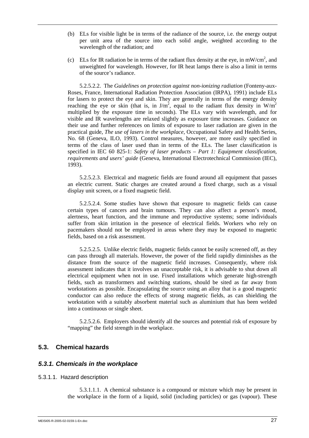- (b) ELs for visible light be in terms of the radiance of the source, i.e. the energy output per unit area of the source into each solid angle, weighted according to the wavelength of the radiation; and
- (c) ELs for IR radiation be in terms of the radiant flux density at the eye, in mW/cm<sup>2</sup>, and unweighted for wavelength. However, for IR heat lamps there is also a limit in terms of the source's radiance.

5.2.5.2.2. The *Guidelines on protection against non-ionizing radiation* (Fonteny-aux-Roses, France, International Radiation Protection Association (IRPA), 1991) include ELs for lasers to protect the eye and skin. They are generally in terms of the energy density reaching the eye or skin (that is, in  $J/m^2$ , equal to the radiant flux density in W/m<sup>2</sup> multiplied by the exposure time in seconds). The ELs vary with wavelength, and for visible and IR wavelengths are relaxed slightly as exposure time increases. Guidance on their use and further references on limits of exposure to laser radiation are given in the practical guide, *The use of lasers in the workplace*, Occupational Safety and Health Series, No. 68 (Geneva, ILO, 1993). Control measures, however, are more easily specified in terms of the class of laser used than in terms of the ELs. The laser classification is specified in IEC 60 825-1: *Safety of laser products – Part 1: Equipment classification, requirements and users' guide* (Geneva, International Electrotechnical Commission (IEC), 1993).

5.2.5.2.3. Electrical and magnetic fields are found around all equipment that passes an electric current. Static charges are created around a fixed charge, such as a visual display unit screen, or a fixed magnetic field.

5.2.5.2.4. Some studies have shown that exposure to magnetic fields can cause certain types of cancers and brain tumours. They can also affect a person's mood, alertness, heart function, and the immune and reproductive systems; some individuals suffer from skin irritation in the presence of electrical fields. Workers who rely on pacemakers should not be employed in areas where they may be exposed to magnetic fields, based on a risk assessment.

5.2.5.2.5. Unlike electric fields, magnetic fields cannot be easily screened off, as they can pass through all materials. However, the power of the field rapidly diminishes as the distance from the source of the magnetic field increases. Consequently, where risk assessment indicates that it involves an unacceptable risk, it is advisable to shut down all electrical equipment when not in use. Fixed installations which generate high-strength fields, such as transformers and switching stations, should be sited as far away from workstations as possible. Encapsulating the source using an alloy that is a good magnetic conductor can also reduce the effects of strong magnetic fields, as can shielding the workstation with a suitably absorbent material such as aluminium that has been welded into a continuous or single sheet.

5.2.5.2.6. Employers should identify all the sources and potential risk of exposure by "mapping" the field strength in the workplace.

# **5.3. Chemical hazards**

### *5.3.1. Chemicals in the workplace*

#### 5.3.1.1. Hazard description

5.3.1.1.1. A chemical substance is a compound or mixture which may be present in the workplace in the form of a liquid, solid (including particles) or gas (vapour). These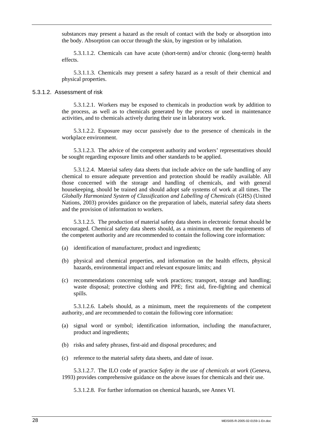substances may present a hazard as the result of contact with the body or absorption into the body. Absorption can occur through the skin, by ingestion or by inhalation.

5.3.1.1.2. Chemicals can have acute (short-term) and/or chronic (long-term) health effects.

5.3.1.1.3. Chemicals may present a safety hazard as a result of their chemical and physical properties.

#### 5.3.1.2. Assessment of risk

5.3.1.2.1. Workers may be exposed to chemicals in production work by addition to the process, as well as to chemicals generated by the process or used in maintenance activities, and to chemicals actively during their use in laboratory work.

5.3.1.2.2. Exposure may occur passively due to the presence of chemicals in the workplace environment.

5.3.1.2.3. The advice of the competent authority and workers' representatives should be sought regarding exposure limits and other standards to be applied.

5.3.1.2.4. Material safety data sheets that include advice on the safe handling of any chemical to ensure adequate prevention and protection should be readily available. All those concerned with the storage and handling of chemicals, and with general housekeeping, should be trained and should adopt safe systems of work at all times. The *Globally Harmonized System of Classification and Labelling of Chemicals* (GHS) (United Nations, 2003) provides guidance on the preparation of labels, material safety data sheets and the provision of information to workers.

5.3.1.2.5. The production of material safety data sheets in electronic format should be encouraged. Chemical safety data sheets should, as a minimum, meet the requirements of the competent authority and are recommended to contain the following core information:

- (a) identification of manufacturer, product and ingredients;
- (b) physical and chemical properties, and information on the health effects, physical hazards, environmental impact and relevant exposure limits; and
- (c) recommendations concerning safe work practices; transport, storage and handling; waste disposal; protective clothing and PPE; first aid, fire-fighting and chemical spills.

5.3.1.2.6. Labels should, as a minimum, meet the requirements of the competent authority, and are recommended to contain the following core information:

- (a) signal word or symbol; identification information, including the manufacturer, product and ingredients;
- (b) risks and safety phrases, first-aid and disposal procedures; and
- (c) reference to the material safety data sheets, and date of issue.

5.3.1.2.7. The ILO code of practice *Safety in the use of chemicals at work* (Geneva, 1993) provides comprehensive guidance on the above issues for chemicals and their use.

5.3.1.2.8. For further information on chemical hazards, see Annex VI.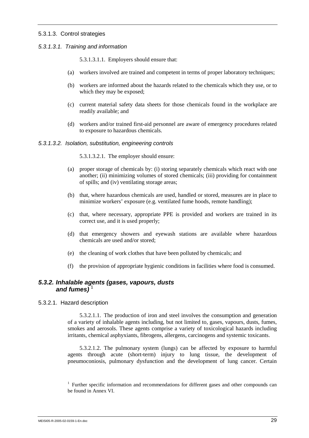### 5.3.1.3. Control strategies

### *5.3.1.3.1. Training and information*

5.3.1.3.1.1. Employers should ensure that:

- (a) workers involved are trained and competent in terms of proper laboratory techniques;
- (b) workers are informed about the hazards related to the chemicals which they use, or to which they may be exposed;
- (c) current material safety data sheets for those chemicals found in the workplace are readily available; and
- (d) workers and/or trained first-aid personnel are aware of emergency procedures related to exposure to hazardous chemicals.

#### *5.3.1.3.2. Isolation, substitution, engineering controls*

5.3.1.3.2.1. The employer should ensure:

- (a) proper storage of chemicals by: (i) storing separately chemicals which react with one another; (ii) minimizing volumes of stored chemicals; (iii) providing for containment of spills; and (iv) ventilating storage areas;
- (b) that, where hazardous chemicals are used, handled or stored, measures are in place to minimize workers' exposure (e.g. ventilated fume hoods, remote handling);
- (c) that, where necessary, appropriate PPE is provided and workers are trained in its correct use, and it is used properly;
- (d) that emergency showers and eyewash stations are available where hazardous chemicals are used and/or stored;
- (e) the cleaning of work clothes that have been polluted by chemicals; and
- (f) the provision of appropriate hygienic conditions in facilities where food is consumed.

## *5.3.2. Inhalable agents (gases, vapours, dusts*  and fumes)<sup>1</sup>

5.3.2.1. Hazard description

5.3.2.1.1. The production of iron and steel involves the consumption and generation of a variety of inhalable agents including, but not limited to, gases, vapours, dusts, fumes, smokes and aerosols. These agents comprise a variety of toxicological hazards including irritants, chemical asphyxiants, fibrogens, allergens, carcinogens and systemic toxicants.

5.3.2.1.2. The pulmonary system (lungs) can be affected by exposure to harmful agents through acute (short-term) injury to lung tissue, the development of pneumoconiosis, pulmonary dysfunction and the development of lung cancer. Certain

<sup>&</sup>lt;sup>1</sup> Further specific information and recommendations for different gases and other compounds can be found in Annex VI.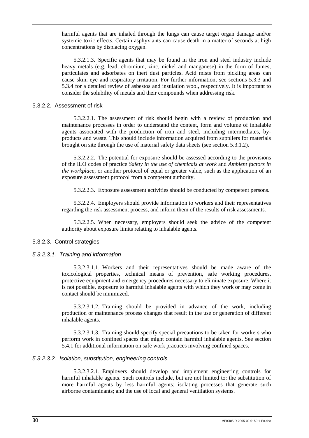harmful agents that are inhaled through the lungs can cause target organ damage and/or systemic toxic effects. Certain asphyxiants can cause death in a matter of seconds at high concentrations by displacing oxygen.

5.3.2.1.3. Specific agents that may be found in the iron and steel industry include heavy metals (e.g. lead, chromium, zinc, nickel and manganese) in the form of fumes, particulates and adsorbates on inert dust particles. Acid mists from pickling areas can cause skin, eye and respiratory irritation. For further information, see sections 5.3.3 and 5.3.4 for a detailed review of asbestos and insulation wool, respectively. It is important to consider the solubility of metals and their compounds when addressing risk.

### 5.3.2.2. Assessment of risk

5.3.2.2.1. The assessment of risk should begin with a review of production and maintenance processes in order to understand the content, form and volume of inhalable agents associated with the production of iron and steel, including intermediates, byproducts and waste. This should include information acquired from suppliers for materials brought on site through the use of material safety data sheets (see section 5.3.1.2).

5.3.2.2.2. The potential for exposure should be assessed according to the provisions of the ILO codes of practice *Safety in the use of chemicals at work* and *Ambient factors in the workplace*, or another protocol of equal or greater value, such as the application of an exposure assessment protocol from a competent authority.

5.3.2.2.3. Exposure assessment activities should be conducted by competent persons.

5.3.2.2.4. Employers should provide information to workers and their representatives regarding the risk assessment process, and inform them of the results of risk assessments.

5.3.2.2.5. When necessary, employers should seek the advice of the competent authority about exposure limits relating to inhalable agents.

## 5.3.2.3. Control strategies

#### *5.3.2.3.1. Training and information*

5.3.2.3.1.1. Workers and their representatives should be made aware of the toxicological properties, technical means of prevention, safe working procedures, protective equipment and emergency procedures necessary to eliminate exposure. Where it is not possible, exposure to harmful inhalable agents with which they work or may come in contact should be minimized.

5.3.2.3.1.2. Training should be provided in advance of the work, including production or maintenance process changes that result in the use or generation of different inhalable agents.

5.3.2.3.1.3. Training should specify special precautions to be taken for workers who perform work in confined spaces that might contain harmful inhalable agents. See section 5.4.1 for additional information on safe work practices involving confined spaces.

#### *5.3.2.3.2. Isolation, substitution, engineering controls*

5.3.2.3.2.1. Employers should develop and implement engineering controls for harmful inhalable agents. Such controls include, but are not limited to: the substitution of more harmful agents by less harmful agents; isolating processes that generate such airborne contaminants; and the use of local and general ventilation systems.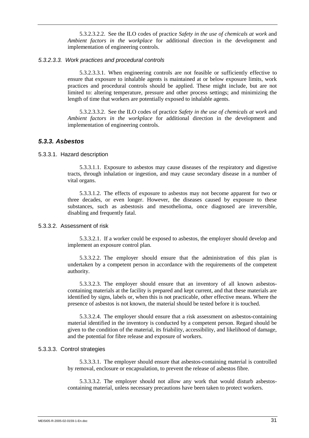5.3.2.3.2.2. See the ILO codes of practice *Safety in the use of chemicals at work* and *Ambient factors in the workplace* for additional direction in the development and implementation of engineering controls.

#### *5.3.2.3.3. Work practices and procedural controls*

5.3.2.3.3.1. When engineering controls are not feasible or sufficiently effective to ensure that exposure to inhalable agents is maintained at or below exposure limits, work practices and procedural controls should be applied. These might include, but are not limited to: altering temperature, pressure and other process settings; and minimizing the length of time that workers are potentially exposed to inhalable agents.

5.3.2.3.3.2. See the ILO codes of practice *Safety in the use of chemicals at work* and *Ambient factors in the workplace* for additional direction in the development and implementation of engineering controls.

## *5.3.3. Asbestos*

#### 5.3.3.1. Hazard description

5.3.3.1.1. Exposure to asbestos may cause diseases of the respiratory and digestive tracts, through inhalation or ingestion, and may cause secondary disease in a number of vital organs.

5.3.3.1.2. The effects of exposure to asbestos may not become apparent for two or three decades, or even longer. However, the diseases caused by exposure to these substances, such as asbestosis and mesothelioma, once diagnosed are irreversible, disabling and frequently fatal.

### 5.3.3.2. Assessment of risk

5.3.3.2.1. If a worker could be exposed to asbestos, the employer should develop and implement an exposure control plan.

5.3.3.2.2. The employer should ensure that the administration of this plan is undertaken by a competent person in accordance with the requirements of the competent authority.

5.3.3.2.3. The employer should ensure that an inventory of all known asbestoscontaining materials at the facility is prepared and kept current, and that these materials are identified by signs, labels or, when this is not practicable, other effective means. Where the presence of asbestos is not known, the material should be tested before it is touched.

5.3.3.2.4. The employer should ensure that a risk assessment on asbestos-containing material identified in the inventory is conducted by a competent person. Regard should be given to the condition of the material, its friability, accessibility, and likelihood of damage, and the potential for fibre release and exposure of workers.

#### 5.3.3.3. Control strategies

5.3.3.3.1. The employer should ensure that asbestos-containing material is controlled by removal, enclosure or encapsulation, to prevent the release of asbestos fibre.

5.3.3.3.2. The employer should not allow any work that would disturb asbestoscontaining material, unless necessary precautions have been taken to protect workers.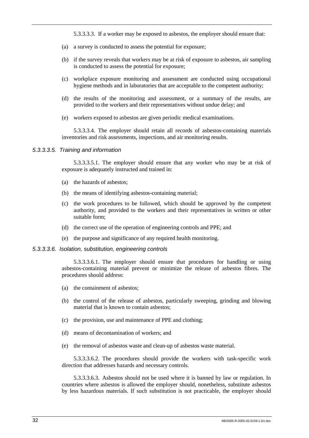5.3.3.3.3. If a worker may be exposed to asbestos, the employer should ensure that:

- (a) a survey is conducted to assess the potential for exposure;
- (b) if the survey reveals that workers may be at risk of exposure to asbestos, air sampling is conducted to assess the potential for exposure;
- (c) workplace exposure monitoring and assessment are conducted using occupational hygiene methods and in laboratories that are acceptable to the competent authority;
- (d) the results of the monitoring and assessment, or a summary of the results, are provided to the workers and their representatives without undue delay; and
- (e) workers exposed to asbestos are given periodic medical examinations.

5.3.3.3.4. The employer should retain all records of asbestos-containing materials inventories and risk assessments, inspections, and air monitoring results.

#### *5.3.3.3.5. Training and information*

5.3.3.3.5.1. The employer should ensure that any worker who may be at risk of exposure is adequately instructed and trained in:

- (a) the hazards of asbestos;
- (b) the means of identifying asbestos-containing material;
- (c) the work procedures to be followed, which should be approved by the competent authority, and provided to the workers and their representatives in written or other suitable form;
- (d) the correct use of the operation of engineering controls and PPE; and
- (e) the purpose and significance of any required health monitoring.

#### *5.3.3.3.6. Isolation, substitution, engineering controls*

5.3.3.3.6.1. The employer should ensure that procedures for handling or using asbestos-containing material prevent or minimize the release of asbestos fibres. The procedures should address:

- (a) the containment of asbestos;
- (b) the control of the release of asbestos, particularly sweeping, grinding and blowing material that is known to contain asbestos;
- (c) the provision, use and maintenance of PPE and clothing;
- (d) means of decontamination of workers; and
- (e) the removal of asbestos waste and clean-up of asbestos waste material.

5.3.3.3.6.2. The procedures should provide the workers with task-specific work direction that addresses hazards and necessary controls.

5.3.3.3.6.3. Asbestos should not be used where it is banned by law or regulation. In countries where asbestos is allowed the employer should, nonetheless, substitute asbestos by less hazardous materials. If such substitution is not practicable, the employer should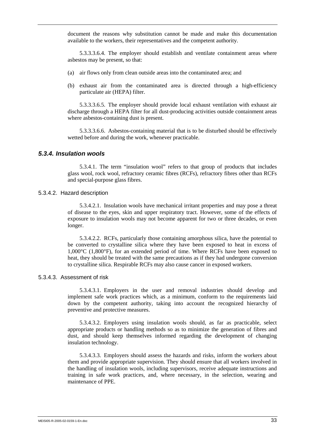document the reasons why substitution cannot be made and make this documentation available to the workers, their representatives and the competent authority.

5.3.3.3.6.4. The employer should establish and ventilate containment areas where asbestos may be present, so that:

- (a) air flows only from clean outside areas into the contaminated area; and
- (b) exhaust air from the contaminated area is directed through a high-efficiency particulate air (HEPA) filter.

5.3.3.3.6.5. The employer should provide local exhaust ventilation with exhaust air discharge through a HEPA filter for all dust-producing activities outside containment areas where asbestos-containing dust is present.

5.3.3.3.6.6. Asbestos-containing material that is to be disturbed should be effectively wetted before and during the work, whenever practicable.

## *5.3.4. Insulation wools*

5.3.4.1. The term "insulation wool" refers to that group of products that includes glass wool, rock wool, refractory ceramic fibres (RCFs), refractory fibres other than RCFs and special-purpose glass fibres.

#### 5.3.4.2. Hazard description

5.3.4.2.1. Insulation wools have mechanical irritant properties and may pose a threat of disease to the eyes, skin and upper respiratory tract. However, some of the effects of exposure to insulation wools may not become apparent for two or three decades, or even longer.

5.3.4.2.2. RCFs, particularly those containing amorphous silica, have the potential to be converted to crystalline silica where they have been exposed to heat in excess of 1,000°C (1,800°F), for an extended period of time. Where RCFs have been exposed to heat, they should be treated with the same precautions as if they had undergone conversion to crystalline silica. Respirable RCFs may also cause cancer in exposed workers.

#### 5.3.4.3. Assessment of risk

5.3.4.3.1. Employers in the user and removal industries should develop and implement safe work practices which, as a minimum, conform to the requirements laid down by the competent authority, taking into account the recognized hierarchy of preventive and protective measures.

5.3.4.3.2. Employers using insulation wools should, as far as practicable, select appropriate products or handling methods so as to minimize the generation of fibres and dust, and should keep themselves informed regarding the development of changing insulation technology.

5.3.4.3.3. Employers should assess the hazards and risks, inform the workers about them and provide appropriate supervision. They should ensure that all workers involved in the handling of insulation wools, including supervisors, receive adequate instructions and training in safe work practices, and, where necessary, in the selection, wearing and maintenance of PPE.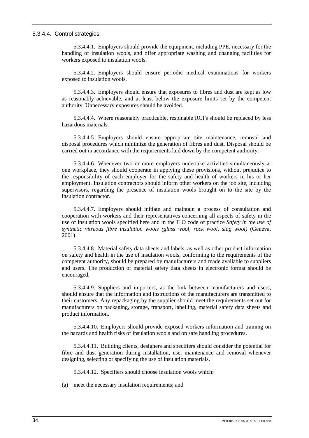#### 5.3.4.4. Control strategies

5.3.4.4.1. Employers should provide the equipment, including PPE, necessary for the handling of insulation wools, and offer appropriate washing and changing facilities for workers exposed to insulation wools.

5.3.4.4.2. Employers should ensure periodic medical examinations for workers exposed to insulation wools.

5.3.4.4.3. Employers should ensure that exposures to fibres and dust are kept as low as reasonably achievable, and at least below the exposure limits set by the competent authority. Unnecessary exposures should be avoided.

5.3.4.4.4. Where reasonably practicable, respinable RCFs should be replaced by less hazardous materials.

5.3.4.4.5. Employers should ensure appropriate site maintenance, removal and disposal procedures which minimize the generation of fibres and dust. Disposal should be carried out in accordance with the requirements laid down by the competent authority.

5.3.4.4.6. Whenever two or more employers undertake activities simultaneously at one workplace, they should cooperate in applying these provisions, without prejudice to the responsibility of each employer for the safety and health of workers in his or her employment. Insulation contractors should inform other workers on the job site, including supervisors, regarding the presence of insulation wools brought on to the site by the insulation contractor.

5.3.4.4.7. Employers should initiate and maintain a process of consultation and cooperation with workers and their representatives concerning all aspects of safety in the use of insulation wools specified here and in the ILO code of practice *Safety in the use of synthetic vitreous fibre insulation wools (glass wool, rock wool, slag wool)* (Geneva, 2001).

5.3.4.4.8. Material safety data sheets and labels, as well as other product information on safety and health in the use of insulation wools, conforming to the requirements of the competent authority, should be prepared by manufacturers and made available to suppliers and users. The production of material safety data sheets in electronic format should be encouraged.

5.3.4.4.9. Suppliers and importers, as the link between manufacturers and users, should ensure that the information and instructions of the manufacturers are transmitted to their customers. Any repackaging by the supplier should meet the requirements set out for manufacturers on packaging, storage, transport, labelling, material safety data sheets and product information.

5.3.4.4.10. Employers should provide exposed workers information and training on the hazards and health risks of insulation wools and on safe handling procedures.

5.3.4.4.11. Building clients, designers and specifiers should consider the potential for fibre and dust generation during installation, use, maintenance and removal whenever designing, selecting or specifying the use of insulation materials.

5.3.4.4.12. Specifiers should choose insulation wools which:

(a) meet the necessary insulation requirements; and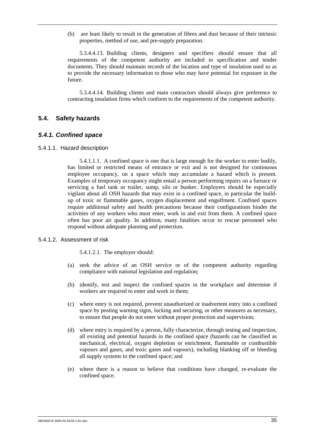(b) are least likely to result in the generation of fibres and dust because of their intrinsic properties, method of use, and pre-supply preparation.

5.3.4.4.13. Building clients, designers and specifiers should ensure that all requirements of the competent authority are included in specification and tender documents. They should maintain records of the location and type of insulation used so as to provide the necessary information to those who may have potential for exposure in the future.

5.3.4.4.14. Building clients and main contractors should always give preference to contracting insulation firms which conform to the requirements of the competent authority.

## **5.4. Safety hazards**

#### *5.4.1. Confined space*

5.4.1.1. Hazard description

5.4.1.1.1. A confined space is one that is large enough for the worker to enter bodily, has limited or restricted means of entrance or exit and is not designed for continuous employee occupancy, on a space which may accumulate a hazard which is present. Examples of temporary occupancy might entail a person performing repairs on a furnace or servicing a fuel tank or trailer, sump, silo or bunker. Employers should be especially vigilant about all OSH hazards that may exist in a confined space, in particular the buildup of toxic or flammable gases, oxygen displacement and engulfment. Confined spaces require additional safety and health precautions because their configurations hinder the activities of any workers who must enter, work in and exit from them. A confined space often has poor air quality. In addition, many fatalities occur to rescue personnel who respond without adequate planning and protection.

#### 5.4.1.2. Assessment of risk

5.4.1.2.1. The employer should:

- (a) seek the advice of an OSH service or of the competent authority regarding compliance with national legislation and regulation;
- (b) identify, test and inspect the confined spaces in the workplace and determine if workers are required to enter and work in them;
- (c) where entry is not required, prevent unauthorized or inadvertent entry into a confined space by posting warning signs, locking and securing, or other measures as necessary, to ensure that people do not enter without proper protection and supervision;
- (d) where entry is required by a person, fully characterize, through testing and inspection, all existing and potential hazards in the confined space (hazards can be classified as mechanical, electrical, oxygen depletion or enrichment, flammable or combustible vapours and gases, and toxic gases and vapours), including blanking off or bleeding all supply systems to the confined space; and
- (e) where there is a reason to believe that conditions have changed, re-evaluate the confined space.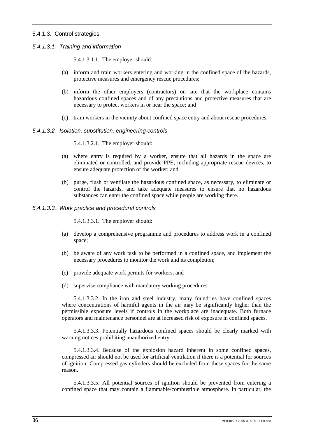## 5.4.1.3. Control strategies

*5.4.1.3.1. Training and information* 

5.4.1.3.1.1. The employer should:

- (a) inform and train workers entering and working in the confined space of the hazards, protective measures and emergency rescue procedures;
- (b) inform the other employers (contractors) on site that the workplace contains hazardous confined spaces and of any precautions and protective measures that are necessary to protect workers in or near the space; and
- (c) train workers in the vicinity about confined space entry and about rescue procedures.

#### *5.4.1.3.2. Isolation, substitution, engineering controls*

5.4.1.3.2.1. The employer should:

- (a) where entry is required by a worker, ensure that all hazards in the space are eliminated or controlled, and provide PPE, including appropriate rescue devices, to ensure adequate protection of the worker; and
- (b) purge, flush or ventilate the hazardous confined space, as necessary, to eliminate or control the hazards, and take adequate measures to ensure that no hazardous substances can enter the confined space while people are working there.

## *5.4.1.3.3. Work practice and procedural controls*

5.4.1.3.3.1. The employer should:

- (a) develop a comprehensive programme and procedures to address work in a confined space;
- (b) be aware of any work task to be performed in a confined space, and implement the necessary procedures to monitor the work and its completion;
- (c) provide adequate work permits for workers; and
- (d) supervise compliance with mandatory working procedures.

5.4.1.3.3.2. In the iron and steel industry, many foundries have confined spaces where concentrations of harmful agents in the air may be significantly higher than the permissible exposure levels if controls in the workplace are inadequate. Both furnace operators and maintenance personnel are at increased risk of exposure in confined spaces.

5.4.1.3.3.3. Potentially hazardous confined spaces should be clearly marked with warning notices prohibiting unauthorized entry.

5.4.1.3.3.4. Because of the explosion hazard inherent in some confined spaces, compressed air should not be used for artificial ventilation if there is a potential for sources of ignition. Compressed gas cylinders should be excluded from these spaces for the same reason.

5.4.1.3.3.5. All potential sources of ignition should be prevented from entering a confined space that may contain a flammable/combustible atmosphere. In particular, the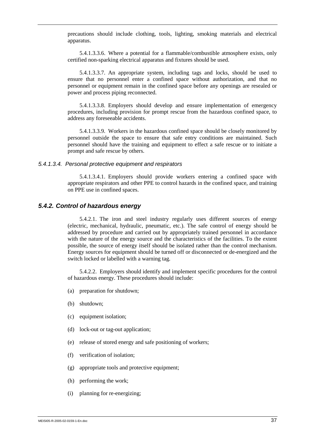precautions should include clothing, tools, lighting, smoking materials and electrical apparatus.

5.4.1.3.3.6. Where a potential for a flammable/combustible atmosphere exists, only certified non-sparking electrical apparatus and fixtures should be used.

5.4.1.3.3.7. An appropriate system, including tags and locks, should be used to ensure that no personnel enter a confined space without authorization, and that no personnel or equipment remain in the confined space before any openings are resealed or power and process piping reconnected.

5.4.1.3.3.8. Employers should develop and ensure implementation of emergency procedures, including provision for prompt rescue from the hazardous confined space, to address any foreseeable accidents.

5.4.1.3.3.9. Workers in the hazardous confined space should be closely monitored by personnel outside the space to ensure that safe entry conditions are maintained. Such personnel should have the training and equipment to effect a safe rescue or to initiate a prompt and safe rescue by others.

#### *5.4.1.3.4. Personal protective equipment and respirators*

5.4.1.3.4.1. Employers should provide workers entering a confined space with appropriate respirators and other PPE to control hazards in the confined space, and training on PPE use in confined spaces.

#### *5.4.2. Control of hazardous energy*

5.4.2.1. The iron and steel industry regularly uses different sources of energy (electric, mechanical, hydraulic, pneumatic, etc.). The safe control of energy should be addressed by procedure and carried out by appropriately trained personnel in accordance with the nature of the energy source and the characteristics of the facilities. To the extent possible, the source of energy itself should be isolated rather than the control mechanism. Energy sources for equipment should be turned off or disconnected or de-energized and the switch locked or labelled with a warning tag.

5.4.2.2. Employers should identify and implement specific procedures for the control of hazardous energy. These procedures should include:

- (a) preparation for shutdown;
- (b) shutdown;
- (c) equipment isolation;
- (d) lock-out or tag-out application;
- (e) release of stored energy and safe positioning of workers;
- (f) verification of isolation;
- (g) appropriate tools and protective equipment;
- (h) performing the work;
- (i) planning for re-energizing;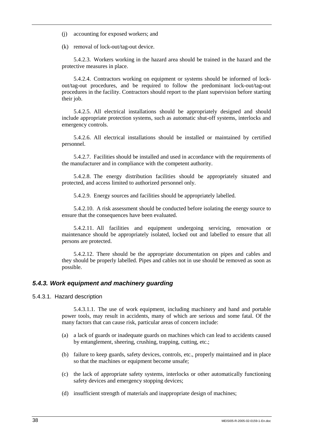(j) accounting for exposed workers; and

(k) removal of lock-out/tag-out device.

5.4.2.3. Workers working in the hazard area should be trained in the hazard and the protective measures in place.

5.4.2.4. Contractors working on equipment or systems should be informed of lockout/tag-out procedures, and be required to follow the predominant lock-out/tag-out procedures in the facility. Contractors should report to the plant supervision before starting their job.

5.4.2.5. All electrical installations should be appropriately designed and should include appropriate protection systems, such as automatic shut-off systems, interlocks and emergency controls.

5.4.2.6. All electrical installations should be installed or maintained by certified personnel.

5.4.2.7. Facilities should be installed and used in accordance with the requirements of the manufacturer and in compliance with the competent authority.

5.4.2.8. The energy distribution facilities should be appropriately situated and protected, and access limited to authorized personnel only.

5.4.2.9. Energy sources and facilities should be appropriately labelled.

5.4.2.10. A risk assessment should be conducted before isolating the energy source to ensure that the consequences have been evaluated.

5.4.2.11. All facilities and equipment undergoing servicing, renovation or maintenance should be appropriately isolated, locked out and labelled to ensure that all persons are protected.

5.4.2.12. There should be the appropriate documentation on pipes and cables and they should be properly labelled. Pipes and cables not in use should be removed as soon as possible.

## *5.4.3. Work equipment and machinery guarding*

5.4.3.1. Hazard description

5.4.3.1.1. The use of work equipment, including machinery and hand and portable power tools, may result in accidents, many of which are serious and some fatal. Of the many factors that can cause risk, particular areas of concern include:

- (a) a lack of guards or inadequate guards on machines which can lead to accidents caused by entanglement, sheering, crushing, trapping, cutting, etc.;
- (b) failure to keep guards, safety devices, controls, etc., properly maintained and in place so that the machines or equipment become unsafe;
- (c) the lack of appropriate safety systems, interlocks or other automatically functioning safety devices and emergency stopping devices;
- (d) insufficient strength of materials and inappropriate design of machines;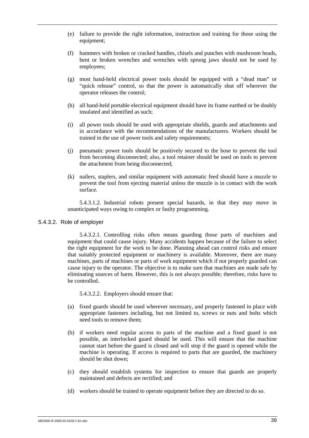- (e) failure to provide the right information, instruction and training for those using the equipment;
- (f) hammers with broken or cracked handles, chisels and punches with mushroom heads, bent or broken wrenches and wrenches with sprung jaws should not be used by employees;
- (g) most hand-held electrical power tools should be equipped with a "dead man" or "quick release" control, so that the power is automatically shut off wherever the operator releases the control;
- (h) all hand-held portable electrical equipment should have its frame earthed or be doubly insulated and identified as such;
- (i) all power tools should be used with appropriate shields, guards and attachments and in accordance with the recommendations of the manufacturers. Workers should be trained in the use of power tools and safety requirements;
- (j) pneumatic power tools should be positively secured to the hose to prevent the tool from becoming disconnected; also, a tool retainer should be used on tools to prevent the attachment from being disconnected;
- (k) nailers, staplers, and similar equipment with automatic feed should have a muzzle to prevent the tool from ejecting material unless the muzzle is in contact with the work surface.

5.4.3.1.2. Industrial robots present special hazards, in that they may move in unanticipated ways owing to complex or faulty programming.

#### 5.4.3.2. Role of employer

5.4.3.2.1. Controlling risks often means guarding those parts of machines and equipment that could cause injury. Many accidents happen because of the failure to select the right equipment for the work to be done. Planning ahead can control risks and ensure that suitably protected equipment or machinery is available. Moreover, there are many machines, parts of machines or parts of work equipment which if not properly guarded can cause injury to the operator. The objective is to make sure that machines are made safe by eliminating sources of harm. However, this is not always possible; therefore, risks have to be controlled.

5.4.3.2.2. Employers should ensure that:

- (a) fixed guards should be used wherever necessary, and properly fastened in place with appropriate fasteners including, but not limited to, screws or nuts and bolts which need tools to remove them;
- (b) if workers need regular access to parts of the machine and a fixed guard is not possible, an interlocked guard should be used. This will ensure that the machine cannot start before the guard is closed and will stop if the guard is opened while the machine is operating. If access is required to parts that are guarded, the machinery should be shut down;
- (c) they should establish systems for inspection to ensure that guards are properly maintained and defects are rectified; and
- (d) workers should be trained to operate equipment before they are directed to do so.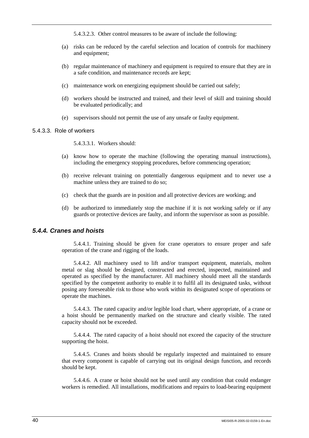5.4.3.2.3. Other control measures to be aware of include the following:

- (a) risks can be reduced by the careful selection and location of controls for machinery and equipment;
- (b) regular maintenance of machinery and equipment is required to ensure that they are in a safe condition, and maintenance records are kept;
- (c) maintenance work on energizing equipment should be carried out safely;
- (d) workers should be instructed and trained, and their level of skill and training should be evaluated periodically; and
- (e) supervisors should not permit the use of any unsafe or faulty equipment.

#### 5.4.3.3. Role of workers

5.4.3.3.1. Workers should:

- (a) know how to operate the machine (following the operating manual instructions), including the emergency stopping procedures, before commencing operation;
- (b) receive relevant training on potentially dangerous equipment and to never use a machine unless they are trained to do so;
- (c) check that the guards are in position and all protective devices are working; and
- (d) be authorized to immediately stop the machine if it is not working safely or if any guards or protective devices are faulty, and inform the supervisor as soon as possible.

## *5.4.4. Cranes and hoists*

5.4.4.1. Training should be given for crane operators to ensure proper and safe operation of the crane and rigging of the loads.

5.4.4.2. All machinery used to lift and/or transport equipment, materials, molten metal or slag should be designed, constructed and erected, inspected, maintained and operated as specified by the manufacturer. All machinery should meet all the standards specified by the competent authority to enable it to fulfil all its designated tasks, without posing any foreseeable risk to those who work within its designated scope of operations or operate the machines.

5.4.4.3. The rated capacity and/or legible load chart, where appropriate, of a crane or a hoist should be permanently marked on the structure and clearly visible. The rated capacity should not be exceeded.

5.4.4.4. The rated capacity of a hoist should not exceed the capacity of the structure supporting the hoist.

5.4.4.5. Cranes and hoists should be regularly inspected and maintained to ensure that every component is capable of carrying out its original design function, and records should be kept.

5.4.4.6. A crane or hoist should not be used until any condition that could endanger workers is remedied. All installations, modifications and repairs to load-bearing equipment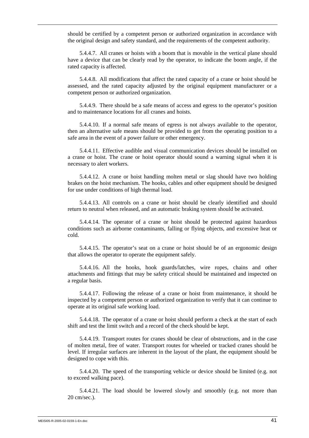should be certified by a competent person or authorized organization in accordance with the original design and safety standard, and the requirements of the competent authority.

5.4.4.7. All cranes or hoists with a boom that is movable in the vertical plane should have a device that can be clearly read by the operator, to indicate the boom angle, if the rated capacity is affected.

5.4.4.8. All modifications that affect the rated capacity of a crane or hoist should be assessed, and the rated capacity adjusted by the original equipment manufacturer or a competent person or authorized organization.

5.4.4.9. There should be a safe means of access and egress to the operator's position and to maintenance locations for all cranes and hoists.

5.4.4.10. If a normal safe means of egress is not always available to the operator, then an alternative safe means should be provided to get from the operating position to a safe area in the event of a power failure or other emergency.

5.4.4.11. Effective audible and visual communication devices should be installed on a crane or hoist. The crane or hoist operator should sound a warning signal when it is necessary to alert workers.

5.4.4.12. A crane or hoist handling molten metal or slag should have two holding brakes on the hoist mechanism. The hooks, cables and other equipment should be designed for use under conditions of high thermal load.

5.4.4.13. All controls on a crane or hoist should be clearly identified and should return to neutral when released, and an automatic braking system should be activated.

5.4.4.14. The operator of a crane or hoist should be protected against hazardous conditions such as airborne contaminants, falling or flying objects, and excessive heat or cold.

5.4.4.15. The operator's seat on a crane or hoist should be of an ergonomic design that allows the operator to operate the equipment safely.

5.4.4.16. All the hooks, hook guards/latches, wire ropes, chains and other attachments and fittings that may be safety critical should be maintained and inspected on a regular basis.

5.4.4.17. Following the release of a crane or hoist from maintenance, it should be inspected by a competent person or authorized organization to verify that it can continue to operate at its original safe working load.

5.4.4.18. The operator of a crane or hoist should perform a check at the start of each shift and test the limit switch and a record of the check should be kept.

5.4.4.19. Transport routes for cranes should be clear of obstructions, and in the case of molten metal, free of water. Transport routes for wheeled or tracked cranes should be level. If irregular surfaces are inherent in the layout of the plant, the equipment should be designed to cope with this.

5.4.4.20. The speed of the transporting vehicle or device should be limited (e.g. not to exceed walking pace).

5.4.4.21. The load should be lowered slowly and smoothly (e.g. not more than 20 cm/sec.).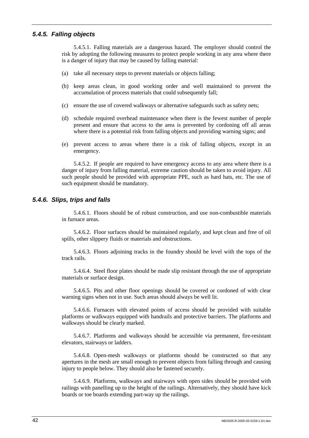### *5.4.5. Falling objects*

5.4.5.1. Falling materials are a dangerous hazard. The employer should control the risk by adopting the following measures to protect people working in any area where there is a danger of injury that may be caused by falling material:

- (a) take all necessary steps to prevent materials or objects falling;
- (b) keep areas clean, in good working order and well maintained to prevent the accumulation of process materials that could subsequently fall;
- (c) ensure the use of covered walkways or alternative safeguards such as safety nets;
- (d) schedule required overhead maintenance when there is the fewest number of people present and ensure that access to the area is prevented by cordoning off all areas where there is a potential risk from falling objects and providing warning signs; and
- (e) prevent access to areas where there is a risk of falling objects, except in an emergency.

5.4.5.2. If people are required to have emergency access to any area where there is a danger of injury from falling material, extreme caution should be taken to avoid injury. All such people should be provided with appropriate PPE, such as hard hats, etc. The use of such equipment should be mandatory.

## *5.4.6. Slips, trips and falls*

5.4.6.1. Floors should be of robust construction, and use non-combustible materials in furnace areas.

5.4.6.2. Floor surfaces should be maintained regularly, and kept clean and free of oil spills, other slippery fluids or materials and obstructions.

5.4.6.3. Floors adjoining tracks in the foundry should be level with the tops of the track rails.

5.4.6.4. Steel floor plates should be made slip resistant through the use of appropriate materials or surface design.

5.4.6.5. Pits and other floor openings should be covered or cordoned of with clear warning signs when not in use. Such areas should always be well lit.

5.4.6.6. Furnaces with elevated points of access should be provided with suitable platforms or walkways equipped with handrails and protective barriers. The platforms and walkways should be clearly marked.

5.4.6.7. Platforms and walkways should be accessible via permanent, fire-resistant elevators, stairways or ladders.

5.4.6.8. Open-mesh walkways or platforms should be constructed so that any apertures in the mesh are small enough to prevent objects from falling through and causing injury to people below. They should also be fastened securely.

5.4.6.9. Platforms, walkways and stairways with open sides should be provided with railings with panelling up to the height of the railings. Alternatively, they should have kick boards or toe boards extending part-way up the railings.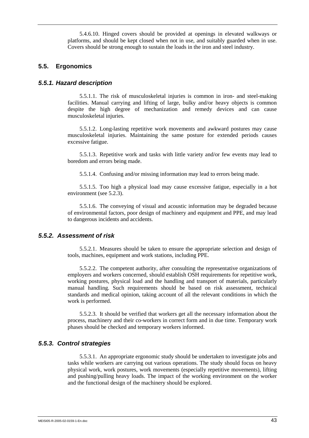5.4.6.10. Hinged covers should be provided at openings in elevated walkways or platforms, and should be kept closed when not in use, and suitably guarded when in use. Covers should be strong enough to sustain the loads in the iron and steel industry.

## **5.5. Ergonomics**

### *5.5.1. Hazard description*

5.5.1.1. The risk of musculoskeletal injuries is common in iron- and steel-making facilities. Manual carrying and lifting of large, bulky and/or heavy objects is common despite the high degree of mechanization and remedy devices and can cause musculoskeletal injuries.

5.5.1.2. Long-lasting repetitive work movements and awkward postures may cause musculoskeletal injuries. Maintaining the same posture for extended periods causes excessive fatigue.

5.5.1.3. Repetitive work and tasks with little variety and/or few events may lead to boredom and errors being made.

5.5.1.4. Confusing and/or missing information may lead to errors being made.

5.5.1.5. Too high a physical load may cause excessive fatigue, especially in a hot environment (see 5.2.3).

5.5.1.6. The conveying of visual and acoustic information may be degraded because of environmental factors, poor design of machinery and equipment and PPE, and may lead to dangerous incidents and accidents.

## *5.5.2. Assessment of risk*

5.5.2.1. Measures should be taken to ensure the appropriate selection and design of tools, machines, equipment and work stations, including PPE.

5.5.2.2. The competent authority, after consulting the representative organizations of employers and workers concerned, should establish OSH requirements for repetitive work, working postures, physical load and the handling and transport of materials, particularly manual handling. Such requirements should be based on risk assessment, technical standards and medical opinion, taking account of all the relevant conditions in which the work is performed.

5.5.2.3. It should be verified that workers get all the necessary information about the process, machinery and their co-workers in correct form and in due time. Temporary work phases should be checked and temporary workers informed.

#### *5.5.3. Control strategies*

5.5.3.1. An appropriate ergonomic study should be undertaken to investigate jobs and tasks while workers are carrying out various operations. The study should focus on heavy physical work, work postures, work movements (especially repetitive movements), lifting and pushing/pulling heavy loads. The impact of the working environment on the worker and the functional design of the machinery should be explored.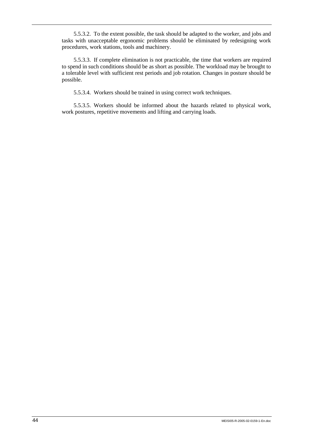5.5.3.2. To the extent possible, the task should be adapted to the worker, and jobs and tasks with unacceptable ergonomic problems should be eliminated by redesigning work procedures, work stations, tools and machinery.

5.5.3.3. If complete elimination is not practicable, the time that workers are required to spend in such conditions should be as short as possible. The workload may be brought to a tolerable level with sufficient rest periods and job rotation. Changes in posture should be possible.

5.5.3.4. Workers should be trained in using correct work techniques.

5.5.3.5. Workers should be informed about the hazards related to physical work, work postures, repetitive movements and lifting and carrying loads.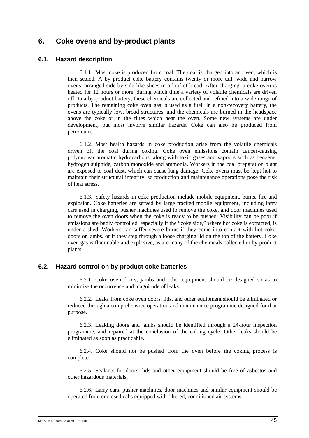# **6. Coke ovens and by-product plants**

## **6.1. Hazard description**

6.1.1. Most coke is produced from coal. The coal is charged into an oven, which is then sealed. A by product coke battery contains twenty or more tall, wide and narrow ovens, arranged side by side like slices in a loaf of bread. After charging, a coke oven is heated for 12 hours or more, during which time a variety of volatile chemicals are driven off. In a by-product battery, these chemicals are collected and refined into a wide range of products. The remaining coke oven gas is used as a fuel. In a non-recovery battery, the ovens are typically low, broad structures, and the chemicals are burned in the headspace above the coke or in the flues which heat the oven. Some new systems are under development, but most involve similar hazards. Coke can also be produced from petroleum.

6.1.2. Most health hazards in coke production arise from the volatile chemicals driven off the coal during coking. Coke oven emissions contain cancer-causing polynuclear aromatic hydrocarbons, along with toxic gases and vapours such as benzene, hydrogen sulphide, carbon monoxide and ammonia. Workers in the coal preparation plant are exposed to coal dust, which can cause lung damage. Coke ovens must be kept hot to maintain their structural integrity, so production and maintenance operations pose the risk of heat stress.

6.1.3. Safety hazards in coke production include mobile equipment, burns, fire and explosion. Coke batteries are served by large tracked mobile equipment, including larry cars used in charging, pusher machines used to remove the coke, and door machines used to remove the oven doors when the coke is ready to be pushed. Visibility can be poor if emissions are badly controlled, especially if the "coke side," where hot coke is extracted, is under a shed. Workers can suffer severe burns if they come into contact with hot coke, doors or jambs, or if they step through a loose charging lid on the top of the battery. Coke oven gas is flammable and explosive, as are many of the chemicals collected in by-product plants.

#### **6.2. Hazard control on by-product coke batteries**

6.2.1. Coke oven doors, jambs and other equipment should be designed so as to minimize the occurrence and magnitude of leaks.

6.2.2. Leaks from coke oven doors, lids, and other equipment should be eliminated or reduced through a comprehensive operation and maintenance programme designed for that purpose.

6.2.3. Leaking doors and jambs should be identified through a 24-hour inspection programme, and repaired at the conclusion of the coking cycle. Other leaks should be eliminated as soon as practicable.

6.2.4. Coke should not be pushed from the oven before the coking process is complete.

6.2.5. Sealants for doors, lids and other equipment should be free of asbestos and other hazardous materials.

6.2.6. Larry cars, pusher machines, door machines and similar equipment should be operated from enclosed cabs equipped with filtered, conditioned air systems.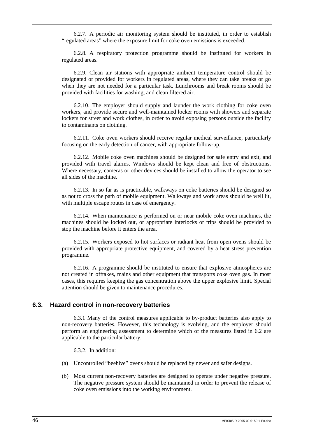6.2.7. A periodic air monitoring system should be instituted, in order to establish "regulated areas" where the exposure limit for coke oven emissions is exceeded.

6.2.8. A respiratory protection programme should be instituted for workers in regulated areas.

6.2.9. Clean air stations with appropriate ambient temperature control should be designated or provided for workers in regulated areas, where they can take breaks or go when they are not needed for a particular task. Lunchrooms and break rooms should be provided with facilities for washing, and clean filtered air.

6.2.10. The employer should supply and launder the work clothing for coke oven workers, and provide secure and well-maintained locker rooms with showers and separate lockers for street and work clothes, in order to avoid exposing persons outside the facility to contaminants on clothing.

6.2.11. Coke oven workers should receive regular medical surveillance, particularly focusing on the early detection of cancer, with appropriate follow-up.

6.2.12. Mobile coke oven machines should be designed for safe entry and exit, and provided with travel alarms. Windows should be kept clean and free of obstructions. Where necessary, cameras or other devices should be installed to allow the operator to see all sides of the machine.

6.2.13. In so far as is practicable, walkways on coke batteries should be designed so as not to cross the path of mobile equipment. Walkways and work areas should be well lit, with multiple escape routes in case of emergency.

6.2.14. When maintenance is performed on or near mobile coke oven machines, the machines should be locked out, or appropriate interlocks or trips should be provided to stop the machine before it enters the area.

6.2.15. Workers exposed to hot surfaces or radiant heat from open ovens should be provided with appropriate protective equipment, and covered by a heat stress prevention programme.

6.2.16. A programme should be instituted to ensure that explosive atmospheres are not created in offtakes, mains and other equipment that transports coke oven gas. In most cases, this requires keeping the gas concentration above the upper explosive limit. Special attention should be given to maintenance procedures.

### **6.3. Hazard control in non-recovery batteries**

6.3.1 Many of the control measures applicable to by-product batteries also apply to non-recovery batteries. However, this technology is evolving, and the employer should perform an engineering assessment to determine which of the measures listed in 6.2 are applicable to the particular battery.

6.3.2. In addition:

- (a) Uncontrolled "beehive" ovens should be replaced by newer and safer designs.
- (b) Most current non-recovery batteries are designed to operate under negative pressure. The negative pressure system should be maintained in order to prevent the release of coke oven emissions into the working environment.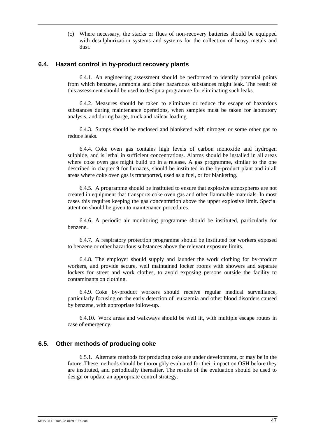(c) Where necessary, the stacks or flues of non-recovery batteries should be equipped with desulphurization systems and systems for the collection of heavy metals and dust.

#### **6.4. Hazard control in by-product recovery plants**

6.4.1. An engineering assessment should be performed to identify potential points from which benzene, ammonia and other hazardous substances might leak. The result of this assessment should be used to design a programme for eliminating such leaks.

6.4.2. Measures should be taken to eliminate or reduce the escape of hazardous substances during maintenance operations, when samples must be taken for laboratory analysis, and during barge, truck and railcar loading.

6.4.3. Sumps should be enclosed and blanketed with nitrogen or some other gas to reduce leaks.

6.4.4. Coke oven gas contains high levels of carbon monoxide and hydrogen sulphide, and is lethal in sufficient concentrations. Alarms should be installed in all areas where coke oven gas might build up in a release. A gas programme, similar to the one described in chapter 9 for furnaces, should be instituted in the by-product plant and in all areas where coke oven gas is transported, used as a fuel, or for blanketing.

6.4.5. A programme should be instituted to ensure that explosive atmospheres are not created in equipment that transports coke oven gas and other flammable materials. In most cases this requires keeping the gas concentration above the upper explosive limit. Special attention should be given to maintenance procedures.

6.4.6. A periodic air monitoring programme should be instituted, particularly for benzene.

6.4.7. A respiratory protection programme should be instituted for workers exposed to benzene or other hazardous substances above the relevant exposure limits.

6.4.8. The employer should supply and launder the work clothing for by-product workers, and provide secure, well maintained locker rooms with showers and separate lockers for street and work clothes, to avoid exposing persons outside the facility to contaminants on clothing.

6.4.9. Coke by-product workers should receive regular medical surveillance, particularly focusing on the early detection of leukaemia and other blood disorders caused by benzene, with appropriate follow-up.

6.4.10. Work areas and walkways should be well lit, with multiple escape routes in case of emergency.

#### **6.5. Other methods of producing coke**

6.5.1. Alternate methods for producing coke are under development, or may be in the future. These methods should be thoroughly evaluated for their impact on OSH before they are instituted, and periodically thereafter. The results of the evaluation should be used to design or update an appropriate control strategy.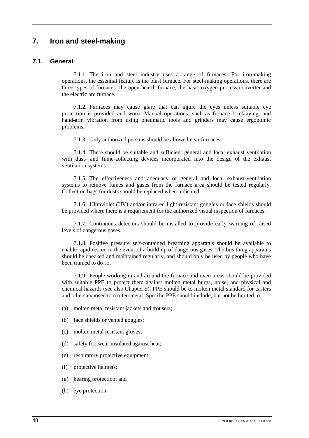# **7. Iron and steel-making**

## **7.1. General**

7.1.1. The iron and steel industry uses a range of furnaces. For iron-making operations, the essential feature is the blast furnace. For steel-making operations, there are three types of furnaces: the open-hearth furnace, the basic-oxygen process converter and the electric arc furnace.

7.1.2. Furnaces may cause glare that can injure the eyes unless suitable eye protection is provided and worn. Manual operations, such as furnace bricklaying, and hand-arm vibration from using pneumatic tools and grinders may cause ergonomic problems.

7.1.3. Only authorized persons should be allowed near furnaces.

7.1.4. There should be suitable and sufficient general and local exhaust ventilation with dust- and fume-collecting devices incorporated into the design of the exhaust ventilation systems.

7.1.5. The effectiveness and adequacy of general and local exhaust-ventilation systems to remove fumes and gases from the furnace area should be tested regularly. Collection bags for dusts should be replaced when indicated.

7.1.6. Ultraviolet (UV) and/or infrared light-resistant goggles or face shields should be provided where there is a requirement for the authorized visual inspection of furnaces.

7.1.7. Continuous detectors should be installed to provide early warning of raised levels of dangerous gases.

7.1.8. Positive pressure self-contained breathing apparatus should be available to enable rapid rescue in the event of a build-up of dangerous gases. The breathing apparatus should be checked and maintained regularly, and should only be used by people who have been trained to do so.

7.1.9. People working in and around the furnace and oven areas should be provided with suitable PPE to protect them against molten metal burns, noise, and physical and chemical hazards (see also Chapter 5). PPE should be to molten metal standard for casters and others exposed to molten metal. Specific PPE should include, but not be limited to:

(a) molten metal resistant jackets and trousers;

(b) face shields or vented goggles;

- (c) molten metal resistant gloves;
- (d) safety footwear insulated against heat;
- (e) respiratory protective equipment;
- (f) protective helmets;
- (g) hearing protection; and
- (h) eye protection.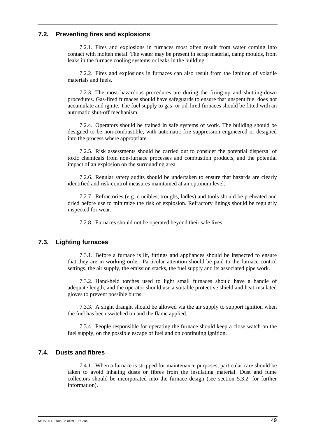## **7.2. Preventing fires and explosions**

7.2.1. Fires and explosions in furnaces most often result from water coming into contact with molten metal. The water may be present in scrap material, damp moulds, from leaks in the furnace cooling systems or leaks in the building.

7.2.2. Fires and explosions in furnaces can also result from the ignition of volatile materials and fuels.

7.2.3. The most hazardous procedures are during the firing-up and shutting-down procedures. Gas-fired furnaces should have safeguards to ensure that unspent fuel does not accumulate and ignite. The fuel supply to gas- or oil-fired furnaces should be fitted with an automatic shut-off mechanism.

7.2.4. Operators should be trained in safe systems of work. The building should be designed to be non-combustible, with automatic fire suppression engineered or designed into the process where appropriate.

7.2.5. Risk assessments should be carried out to consider the potential dispersal of toxic chemicals from non-furnace processes and combustion products, and the potential impact of an explosion on the surrounding area.

7.2.6. Regular safety audits should be undertaken to ensure that hazards are clearly identified and risk-control measures maintained at an optimum level.

7.2.7. Refractories (e.g. crucibles, troughs, ladles) and tools should be preheated and dried before use to minimize the risk of explosion. Refractory linings should be regularly inspected for wear.

7.2.8. Furnaces should not be operated beyond their safe lives.

## **7.3. Lighting furnaces**

7.3.1. Before a furnace is lit, fittings and appliances should be inspected to ensure that they are in working order. Particular attention should be paid to the furnace control settings, the air supply, the emission stacks, the fuel supply and its associated pipe work.

7.3.2. Hand-held torches used to light small furnaces should have a handle of adequate length, and the operator should use a suitable protective shield and heat-insulated gloves to prevent possible burns.

7.3.3. A slight draught should be allowed via the air supply to support ignition when the fuel has been switched on and the flame applied.

7.3.4. People responsible for operating the furnace should keep a close watch on the fuel supply, on the possible escape of fuel and on continuing ignition.

## **7.4. Dusts and fibres**

7.4.1. When a furnace is stripped for maintenance purposes, particular care should be taken to avoid inhaling dusts or fibres from the insulating material. Dust and fume collectors should be incorporated into the furnace design (see section 5.3.2. for further information).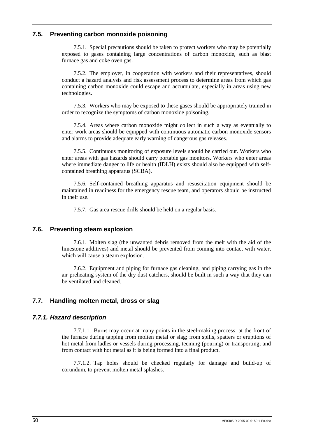# **7.5. Preventing carbon monoxide poisoning**

7.5.1. Special precautions should be taken to protect workers who may be potentially exposed to gases containing large concentrations of carbon monoxide, such as blast furnace gas and coke oven gas.

7.5.2. The employer, in cooperation with workers and their representatives, should conduct a hazard analysis and risk assessment process to determine areas from which gas containing carbon monoxide could escape and accumulate, especially in areas using new technologies.

7.5.3. Workers who may be exposed to these gases should be appropriately trained in order to recognize the symptoms of carbon monoxide poisoning.

7.5.4. Areas where carbon monoxide might collect in such a way as eventually to enter work areas should be equipped with continuous automatic carbon monoxide sensors and alarms to provide adequate early warning of dangerous gas releases.

7.5.5. Continuous monitoring of exposure levels should be carried out. Workers who enter areas with gas hazards should carry portable gas monitors. Workers who enter areas where immediate danger to life or health (IDLH) exists should also be equipped with selfcontained breathing apparatus (SCBA).

7.5.6. Self-contained breathing apparatus and resuscitation equipment should be maintained in readiness for the emergency rescue team, and operators should be instructed in their use.

7.5.7. Gas area rescue drills should be held on a regular basis.

## **7.6. Preventing steam explosion**

7.6.1. Molten slag (the unwanted debris removed from the melt with the aid of the limestone additives) and metal should be prevented from coming into contact with water, which will cause a steam explosion.

7.6.2. Equipment and piping for furnace gas cleaning, and piping carrying gas in the air preheating system of the dry dust catchers, should be built in such a way that they can be ventilated and cleaned.

## **7.7. Handling molten metal, dross or slag**

## *7.7.1. Hazard description*

7.7.1.1. Burns may occur at many points in the steel-making process: at the front of the furnace during tapping from molten metal or slag; from spills, spatters or eruptions of hot metal from ladles or vessels during processing, teeming (pouring) or transporting; and from contact with hot metal as it is being formed into a final product.

7.7.1.2. Tap holes should be checked regularly for damage and build-up of corundum, to prevent molten metal splashes.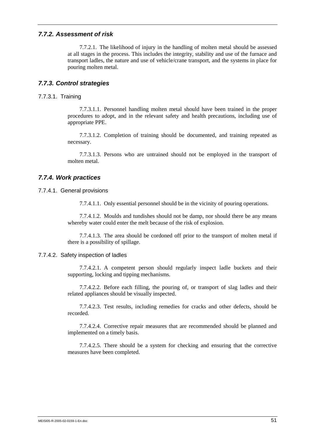### *7.7.2. Assessment of risk*

7.7.2.1. The likelihood of injury in the handling of molten metal should be assessed at all stages in the process. This includes the integrity, stability and use of the furnace and transport ladles, the nature and use of vehicle/crane transport, and the systems in place for pouring molten metal.

## *7.7.3. Control strategies*

7.7.3.1. Training

7.7.3.1.1. Personnel handling molten metal should have been trained in the proper procedures to adopt, and in the relevant safety and health precautions, including use of appropriate PPE.

7.7.3.1.2. Completion of training should be documented, and training repeated as necessary.

7.7.3.1.3. Persons who are untrained should not be employed in the transport of molten metal.

## *7.7.4. Work practices*

7.7.4.1. General provisions

7.7.4.1.1. Only essential personnel should be in the vicinity of pouring operations.

7.7.4.1.2. Moulds and tundishes should not be damp, nor should there be any means whereby water could enter the melt because of the risk of explosion.

7.7.4.1.3. The area should be cordoned off prior to the transport of molten metal if there is a possibility of spillage.

#### 7.7.4.2. Safety inspection of ladles

7.7.4.2.1. A competent person should regularly inspect ladle buckets and their supporting, locking and tipping mechanisms.

7.7.4.2.2. Before each filling, the pouring of, or transport of slag ladles and their related appliances should be visually inspected.

7.7.4.2.3. Test results, including remedies for cracks and other defects, should be recorded.

7.7.4.2.4. Corrective repair measures that are recommended should be planned and implemented on a timely basis.

7.7.4.2.5. There should be a system for checking and ensuring that the corrective measures have been completed.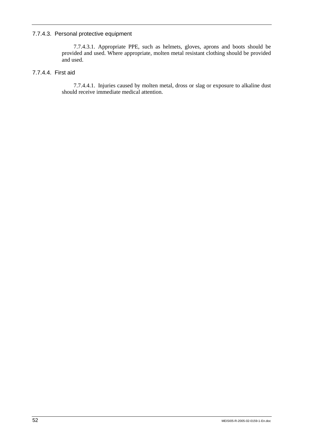## 7.7.4.3. Personal protective equipment

7.7.4.3.1. Appropriate PPE, such as helmets, gloves, aprons and boots should be provided and used. Where appropriate, molten metal resistant clothing should be provided and used.

# 7.7.4.4. First aid

7.7.4.4.1. Injuries caused by molten metal, dross or slag or exposure to alkaline dust should receive immediate medical attention.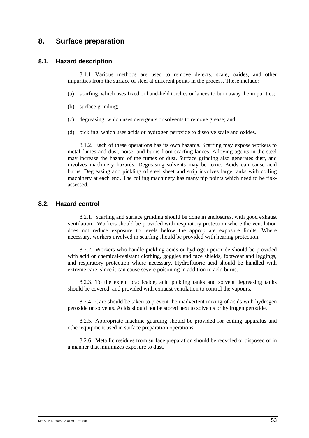# **8. Surface preparation**

## **8.1. Hazard description**

8.1.1. Various methods are used to remove defects, scale, oxides, and other impurities from the surface of steel at different points in the process. These include:

- (a) scarfing, which uses fixed or hand-held torches or lances to burn away the impurities;
- (b) surface grinding;
- (c) degreasing, which uses detergents or solvents to remove grease; and
- (d) pickling, which uses acids or hydrogen peroxide to dissolve scale and oxides.

8.1.2. Each of these operations has its own hazards. Scarfing may expose workers to metal fumes and dust, noise, and burns from scarfing lances. Alloying agents in the steel may increase the hazard of the fumes or dust. Surface grinding also generates dust, and involves machinery hazards. Degreasing solvents may be toxic. Acids can cause acid burns. Degreasing and pickling of steel sheet and strip involves large tanks with coiling machinery at each end. The coiling machinery has many nip points which need to be riskassessed.

## **8.2. Hazard control**

8.2.1. Scarfing and surface grinding should be done in enclosures, with good exhaust ventilation. Workers should be provided with respiratory protection where the ventilation does not reduce exposure to levels below the appropriate exposure limits. Where necessary, workers involved in scarfing should be provided with hearing protection.

8.2.2. Workers who handle pickling acids or hydrogen peroxide should be provided with acid or chemical-resistant clothing, goggles and face shields, footwear and leggings, and respiratory protection where necessary. Hydrofluoric acid should be handled with extreme care, since it can cause severe poisoning in addition to acid burns.

8.2.3. To the extent practicable, acid pickling tanks and solvent degreasing tanks should be covered, and provided with exhaust ventilation to control the vapours.

8.2.4. Care should be taken to prevent the inadvertent mixing of acids with hydrogen peroxide or solvents. Acids should not be stored next to solvents or hydrogen peroxide.

8.2.5. Appropriate machine guarding should be provided for coiling apparatus and other equipment used in surface preparation operations.

8.2.6. Metallic residues from surface preparation should be recycled or disposed of in a manner that minimizes exposure to dust.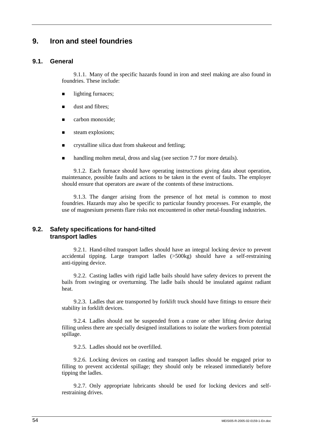# **9. Iron and steel foundries**

# **9.1. General**

9.1.1. Many of the specific hazards found in iron and steel making are also found in foundries. These include:

- lighting furnaces;
- **If** dust and fibres:
- **E** carbon monoxide:
- **steam explosions;**
- $\blacksquare$  crystalline silica dust from shakeout and fettling;
- handling molten metal, dross and slag (see section 7.7 for more details).

9.1.2. Each furnace should have operating instructions giving data about operation, maintenance, possible faults and actions to be taken in the event of faults. The employer should ensure that operators are aware of the contents of these instructions.

9.1.3. The danger arising from the presence of hot metal is common to most foundries. Hazards may also be specific to particular foundry processes. For example, the use of magnesium presents flare risks not encountered in other metal-founding industries.

# **9.2. Safety specifications for hand-tilted transport ladles**

9.2.1. Hand-tilted transport ladles should have an integral locking device to prevent accidental tipping. Large transport ladles (>500kg) should have a self-restraining anti-tipping device.

9.2.2. Casting ladles with rigid ladle bails should have safety devices to prevent the bails from swinging or overturning. The ladle bails should be insulated against radiant heat.

9.2.3. Ladles that are transported by forklift truck should have fittings to ensure their stability in forklift devices.

9.2.4. Ladles should not be suspended from a crane or other lifting device during filling unless there are specially designed installations to isolate the workers from potential spillage.

9.2.5. Ladles should not be overfilled.

9.2.6. Locking devices on casting and transport ladles should be engaged prior to filling to prevent accidental spillage; they should only be released immediately before tipping the ladles.

9.2.7. Only appropriate lubricants should be used for locking devices and selfrestraining drives.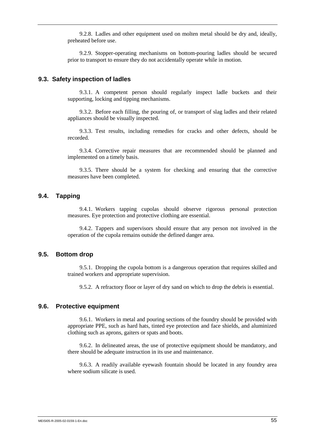9.2.8. Ladles and other equipment used on molten metal should be dry and, ideally, preheated before use.

9.2.9. Stopper-operating mechanisms on bottom-pouring ladles should be secured prior to transport to ensure they do not accidentally operate while in motion.

## **9.3. Safety inspection of ladles**

9.3.1. A competent person should regularly inspect ladle buckets and their supporting, locking and tipping mechanisms.

9.3.2. Before each filling, the pouring of, or transport of slag ladles and their related appliances should be visually inspected.

9.3.3. Test results, including remedies for cracks and other defects, should be recorded.

9.3.4. Corrective repair measures that are recommended should be planned and implemented on a timely basis.

9.3.5. There should be a system for checking and ensuring that the corrective measures have been completed.

## **9.4. Tapping**

9.4.1. Workers tapping cupolas should observe rigorous personal protection measures. Eye protection and protective clothing are essential.

9.4.2. Tappers and supervisors should ensure that any person not involved in the operation of the cupola remains outside the defined danger area.

## **9.5. Bottom drop**

9.5.1. Dropping the cupola bottom is a dangerous operation that requires skilled and trained workers and appropriate supervision.

9.5.2. A refractory floor or layer of dry sand on which to drop the debris is essential.

#### **9.6. Protective equipment**

9.6.1. Workers in metal and pouring sections of the foundry should be provided with appropriate PPE, such as hard hats, tinted eye protection and face shields, and aluminized clothing such as aprons, gaiters or spats and boots.

9.6.2. In delineated areas, the use of protective equipment should be mandatory, and there should be adequate instruction in its use and maintenance.

9.6.3. A readily available eyewash fountain should be located in any foundry area where sodium silicate is used.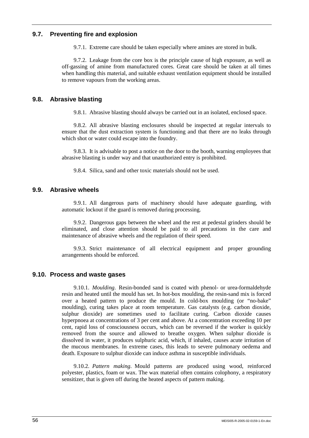# **9.7. Preventing fire and explosion**

9.7.1. Extreme care should be taken especially where amines are stored in bulk.

9.7.2. Leakage from the core box is the principle cause of high exposure, as well as off-gassing of amine from manufactured cores. Great care should be taken at all times when handling this material, and suitable exhaust ventilation equipment should be installed to remove vapours from the working areas.

## **9.8. Abrasive blasting**

9.8.1. Abrasive blasting should always be carried out in an isolated, enclosed space.

9.8.2. All abrasive blasting enclosures should be inspected at regular intervals to ensure that the dust extraction system is functioning and that there are no leaks through which shot or water could escape into the foundry.

9.8.3. It is advisable to post a notice on the door to the booth, warning employees that abrasive blasting is under way and that unauthorized entry is prohibited.

9.8.4. Silica, sand and other toxic materials should not be used.

## **9.9. Abrasive wheels**

9.9.1. All dangerous parts of machinery should have adequate guarding, with automatic lockout if the guard is removed during processing.

9.9.2. Dangerous gaps between the wheel and the rest at pedestal grinders should be eliminated, and close attention should be paid to all precautions in the care and maintenance of abrasive wheels and the regulation of their speed.

9.9.3. Strict maintenance of all electrical equipment and proper grounding arrangements should be enforced.

## **9.10. Process and waste gases**

9.10.1. *Moulding*. Resin-bonded sand is coated with phenol- or urea-formaldehyde resin and heated until the mould has set. In hot-box moulding, the resin-sand mix is forced over a heated pattern to produce the mould. In cold-box moulding (or "no-bake" moulding), curing takes place at room temperature. Gas catalysts (e.g. carbon dioxide, sulphur dioxide) are sometimes used to facilitate curing. Carbon dioxide causes hyperpnoea at concentrations of 3 per cent and above. At a concentration exceeding 10 per cent, rapid loss of consciousness occurs, which can be reversed if the worker is quickly removed from the source and allowed to breathe oxygen. When sulphur dioxide is dissolved in water, it produces sulphuric acid, which, if inhaled, causes acute irritation of the mucous membranes. In extreme cases, this leads to severe pulmonary oedema and death. Exposure to sulphur dioxide can induce asthma in susceptible individuals.

9.10.2. *Pattern making*. Mould patterns are produced using wood, reinforced polyester, plastics, foam or wax. The wax material often contains colophony, a respiratory sensitizer, that is given off during the heated aspects of pattern making.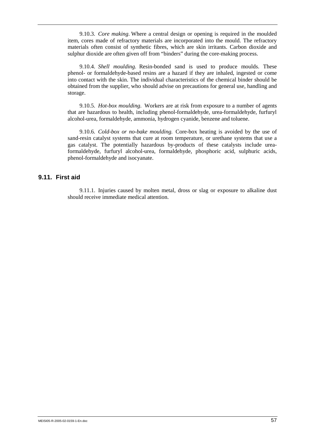9.10.3. *Core making*. Where a central design or opening is required in the moulded item, cores made of refractory materials are incorporated into the mould. The refractory materials often consist of synthetic fibres, which are skin irritants. Carbon dioxide and sulphur dioxide are often given off from "binders" during the core-making process.

9.10.4. *Shell moulding.* Resin-bonded sand is used to produce moulds. These phenol- or formaldehyde-based resins are a hazard if they are inhaled, ingested or come into contact with the skin. The individual characteristics of the chemical binder should be obtained from the supplier, who should advise on precautions for general use, handling and storage.

9.10.5. *Hot-box moulding*. Workers are at risk from exposure to a number of agents that are hazardous to health, including phenol-formaldehyde, urea-formaldehyde, furfuryl alcohol-urea, formaldehyde, ammonia, hydrogen cyanide, benzene and toluene.

9.10.6. *Cold-box or no-bake moulding.* Core-box heating is avoided by the use of sand-resin catalyst systems that cure at room temperature, or urethane systems that use a gas catalyst. The potentially hazardous by-products of these catalysts include ureaformaldehyde, furfuryl alcohol-urea, formaldehyde, phosphoric acid, sulphuric acids, phenol-formaldehyde and isocyanate.

## **9.11. First aid**

9.11.1. Injuries caused by molten metal, dross or slag or exposure to alkaline dust should receive immediate medical attention.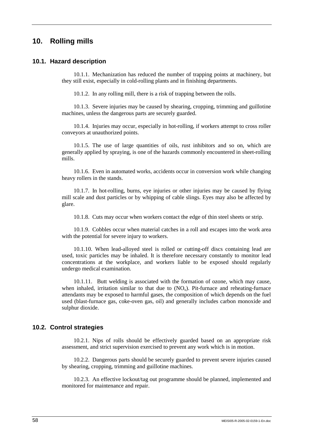# **10. Rolling mills**

## **10.1. Hazard description**

10.1.1. Mechanization has reduced the number of trapping points at machinery, but they still exist, especially in cold-rolling plants and in finishing departments.

10.1.2. In any rolling mill, there is a risk of trapping between the rolls.

10.1.3. Severe injuries may be caused by shearing, cropping, trimming and guillotine machines, unless the dangerous parts are securely guarded.

10.1.4. Injuries may occur, especially in hot-rolling, if workers attempt to cross roller conveyors at unauthorized points.

10.1.5. The use of large quantities of oils, rust inhibitors and so on, which are generally applied by spraying, is one of the hazards commonly encountered in sheet-rolling mills.

10.1.6. Even in automated works, accidents occur in conversion work while changing heavy rollers in the stands.

10.1.7. In hot-rolling, burns, eye injuries or other injuries may be caused by flying mill scale and dust particles or by whipping of cable slings. Eyes may also be affected by glare.

10.1.8. Cuts may occur when workers contact the edge of thin steel sheets or strip.

10.1.9. Cobbles occur when material catches in a roll and escapes into the work area with the potential for severe injury to workers.

10.1.10. When lead-alloyed steel is rolled or cutting-off discs containing lead are used, toxic particles may be inhaled. It is therefore necessary constantly to monitor lead concentrations at the workplace, and workers liable to be exposed should regularly undergo medical examination.

10.1.11. Butt welding is associated with the formation of ozone, which may cause, when inhaled, irritation similar to that due to  $(NO_x)$ . Pit-furnace and reheating-furnace attendants may be exposed to harmful gases, the composition of which depends on the fuel used (blast-furnace gas, coke-oven gas, oil) and generally includes carbon monoxide and sulphur dioxide.

## **10.2. Control strategies**

10.2.1. Nips of rolls should be effectively guarded based on an appropriate risk assessment, and strict supervision exercised to prevent any work which is in motion.

10.2.2. Dangerous parts should be securely guarded to prevent severe injuries caused by shearing, cropping, trimming and guillotine machines.

10.2.3. An effective lockout/tag out programme should be planned, implemented and monitored for maintenance and repair.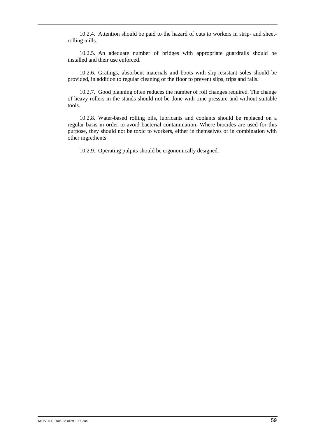10.2.4. Attention should be paid to the hazard of cuts to workers in strip- and sheetrolling mills.

10.2.5. An adequate number of bridges with appropriate guardrails should be installed and their use enforced.

10.2.6. Gratings, absorbent materials and boots with slip-resistant soles should be provided, in addition to regular cleaning of the floor to prevent slips, trips and falls.

10.2.7. Good planning often reduces the number of roll changes required. The change of heavy rollers in the stands should not be done with time pressure and without suitable tools.

10.2.8. Water-based rolling oils, lubricants and coolants should be replaced on a regular basis in order to avoid bacterial contamination. Where biocides are used for this purpose, they should not be toxic to workers, either in themselves or in combination with other ingredients.

10.2.9. Operating pulpits should be ergonomically designed.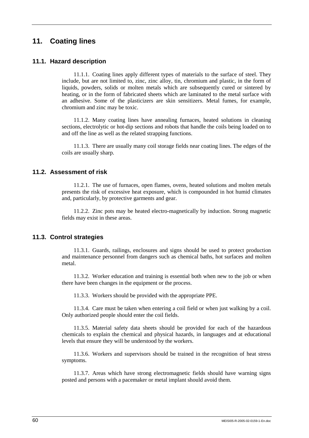# **11. Coating lines**

# **11.1. Hazard description**

11.1.1. Coating lines apply different types of materials to the surface of steel. They include, but are not limited to, zinc, zinc alloy, tin, chromium and plastic, in the form of liquids, powders, solids or molten metals which are subsequently cured or sintered by heating, or in the form of fabricated sheets which are laminated to the metal surface with an adhesive. Some of the plasticizers are skin sensitizers. Metal fumes, for example, chromium and zinc may be toxic.

11.1.2. Many coating lines have annealing furnaces, heated solutions in cleaning sections, electrolytic or hot-dip sections and robots that handle the coils being loaded on to and off the line as well as the related strapping functions.

11.1.3. There are usually many coil storage fields near coating lines. The edges of the coils are usually sharp.

## **11.2. Assessment of risk**

11.2.1. The use of furnaces, open flames, ovens, heated solutions and molten metals presents the risk of excessive heat exposure, which is compounded in hot humid climates and, particularly, by protective garments and gear.

11.2.2. Zinc pots may be heated electro-magnetically by induction. Strong magnetic fields may exist in these areas.

## **11.3. Control strategies**

11.3.1. Guards, railings, enclosures and signs should be used to protect production and maintenance personnel from dangers such as chemical baths, hot surfaces and molten metal.

11.3.2. Worker education and training is essential both when new to the job or when there have been changes in the equipment or the process.

11.3.3. Workers should be provided with the appropriate PPE.

11.3.4. Care must be taken when entering a coil field or when just walking by a coil. Only authorized people should enter the coil fields.

11.3.5. Material safety data sheets should be provided for each of the hazardous chemicals to explain the chemical and physical hazards, in languages and at educational levels that ensure they will be understood by the workers.

11.3.6. Workers and supervisors should be trained in the recognition of heat stress symptoms.

11.3.7. Areas which have strong electromagnetic fields should have warning signs posted and persons with a pacemaker or metal implant should avoid them.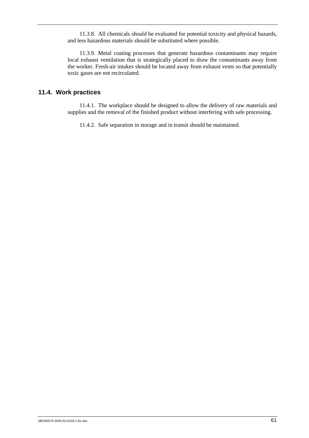11.3.8. All chemicals should be evaluated for potential toxicity and physical hazards, and less hazardous materials should be substituted where possible.

11.3.9. Metal coating processes that generate hazardous contaminants may require local exhaust ventilation that is strategically placed to draw the contaminants away from the worker. Fresh-air intakes should be located away from exhaust vents so that potentially toxic gases are not recirculated.

## **11.4. Work practices**

11.4.1. The workplace should be designed to allow the delivery of raw materials and supplies and the removal of the finished product without interfering with safe processing.

11.4.2. Safe separation in storage and in transit should be maintained.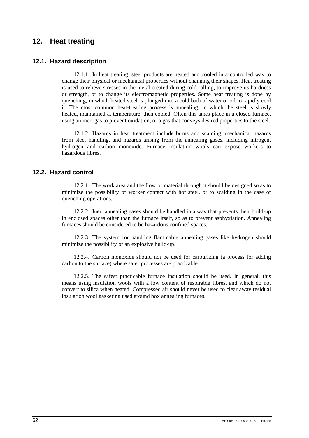# **12. Heat treating**

## **12.1. Hazard description**

12.1.1. In heat treating, steel products are heated and cooled in a controlled way to change their physical or mechanical properties without changing their shapes. Heat treating is used to relieve stresses in the metal created during cold rolling, to improve its hardness or strength, or to change its electromagnetic properties. Some heat treating is done by quenching, in which heated steel is plunged into a cold bath of water or oil to rapidly cool it. The most common heat-treating process is annealing, in which the steel is slowly heated, maintained at temperature, then cooled. Often this takes place in a closed furnace, using an inert gas to prevent oxidation, or a gas that conveys desired properties to the steel.

12.1.2. Hazards in heat treatment include burns and scalding, mechanical hazards from steel handling, and hazards arising from the annealing gases, including nitrogen, hydrogen and carbon monoxide. Furnace insulation wools can expose workers to hazardous fibres.

### **12.2. Hazard control**

12.2.1. The work area and the flow of material through it should be designed so as to minimize the possibility of worker contact with hot steel, or to scalding in the case of quenching operations.

12.2.2. Inert annealing gases should be handled in a way that prevents their build-up in enclosed spaces other than the furnace itself, so as to prevent asphyxiation. Annealing furnaces should be considered to be hazardous confined spaces.

12.2.3. The system for handling flammable annealing gases like hydrogen should minimize the possibility of an explosive build-up.

12.2.4. Carbon monoxide should not be used for carburizing (a process for adding carbon to the surface) where safer processes are practicable.

12.2.5. The safest practicable furnace insulation should be used. In general, this means using insulation wools with a low content of respirable fibres, and which do not convert to silica when heated. Compressed air should never be used to clear away residual insulation wool gasketing used around box annealing furnaces.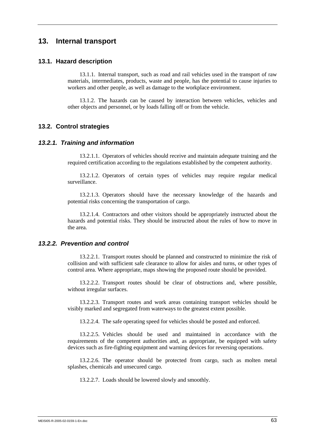## **13. Internal transport**

### **13.1. Hazard description**

13.1.1. Internal transport, such as road and rail vehicles used in the transport of raw materials, intermediates, products, waste and people, has the potential to cause injuries to workers and other people, as well as damage to the workplace environment.

13.1.2. The hazards can be caused by interaction between vehicles, vehicles and other objects and personnel, or by loads falling off or from the vehicle.

### **13.2. Control strategies**

### *13.2.1. Training and information*

13.2.1.1. Operators of vehicles should receive and maintain adequate training and the required certification according to the regulations established by the competent authority.

13.2.1.2. Operators of certain types of vehicles may require regular medical surveillance.

13.2.1.3. Operators should have the necessary knowledge of the hazards and potential risks concerning the transportation of cargo.

13.2.1.4. Contractors and other visitors should be appropriately instructed about the hazards and potential risks. They should be instructed about the rules of how to move in the area.

### *13.2.2. Prevention and control*

13.2.2.1. Transport routes should be planned and constructed to minimize the risk of collision and with sufficient safe clearance to allow for aisles and turns, or other types of control area. Where appropriate, maps showing the proposed route should be provided.

13.2.2.2. Transport routes should be clear of obstructions and, where possible, without irregular surfaces.

13.2.2.3. Transport routes and work areas containing transport vehicles should be visibly marked and segregated from waterways to the greatest extent possible.

13.2.2.4. The safe operating speed for vehicles should be posted and enforced.

13.2.2.5. Vehicles should be used and maintained in accordance with the requirements of the competent authorities and, as appropriate, be equipped with safety devices such as fire-fighting equipment and warning devices for reversing operations.

13.2.2.6. The operator should be protected from cargo, such as molten metal splashes, chemicals and unsecured cargo.

13.2.2.7. Loads should be lowered slowly and smoothly.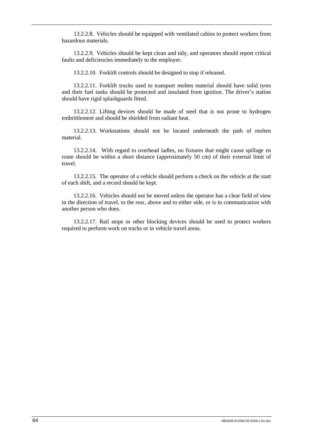13.2.2.8. Vehicles should be equipped with ventilated cabins to protect workers from hazardous materials.

13.2.2.9. Vehicles should be kept clean and tidy, and operators should report critical faults and deficiencies immediately to the employer.

13.2.2.10. Forklift controls should be designed to stop if released.

13.2.2.11. Forklift trucks used to transport molten material should have solid tyres and their fuel tanks should be protected and insulated from ignition. The driver's station should have rigid splashguards fitted.

13.2.2.12. Lifting devices should be made of steel that is not prone to hydrogen embrittlement and should be shielded from radiant heat.

13.2.2.13. Workstations should not be located underneath the path of molten material.

13.2.2.14. With regard to overhead ladles, no fixtures that might cause spillage en route should be within a short distance (approximately 50 cm) of their external limit of travel.

13.2.2.15. The operator of a vehicle should perform a check on the vehicle at the start of each shift, and a record should be kept.

13.2.2.16. Vehicles should not be moved unless the operator has a clear field of view in the direction of travel, to the rear, above and to either side, or is in communication with another person who does.

13.2.2.17. Rail stops or other blocking devices should be used to protect workers required to perform work on tracks or in vehicle travel areas.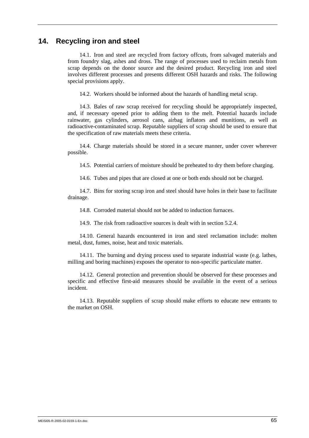## **14. Recycling iron and steel**

14.1. Iron and steel are recycled from factory offcuts, from salvaged materials and from foundry slag, ashes and dross. The range of processes used to reclaim metals from scrap depends on the donor source and the desired product. Recycling iron and steel involves different processes and presents different OSH hazards and risks. The following special provisions apply.

14.2. Workers should be informed about the hazards of handling metal scrap.

14.3. Bales of raw scrap received for recycling should be appropriately inspected, and, if necessary opened prior to adding them to the melt. Potential hazards include rainwater, gas cylinders, aerosol cans, airbag inflators and munitions, as well as radioactive-contaminated scrap. Reputable suppliers of scrap should be used to ensure that the specification of raw materials meets these criteria.

14.4. Charge materials should be stored in a secure manner, under cover wherever possible.

14.5. Potential carriers of moisture should be preheated to dry them before charging.

14.6. Tubes and pipes that are closed at one or both ends should not be charged.

14.7. Bins for storing scrap iron and steel should have holes in their base to facilitate drainage.

14.8. Corroded material should not be added to induction furnaces.

14.9. The risk from radioactive sources is dealt with in section 5.2.4.

14.10. General hazards encountered in iron and steel reclamation include: molten metal, dust, fumes, noise, heat and toxic materials.

14.11. The burning and drying process used to separate industrial waste (e.g. lathes, milling and boring machines) exposes the operator to non-specific particulate matter.

14.12. General protection and prevention should be observed for these processes and specific and effective first-aid measures should be available in the event of a serious incident.

14.13. Reputable suppliers of scrap should make efforts to educate new entrants to the market on OSH.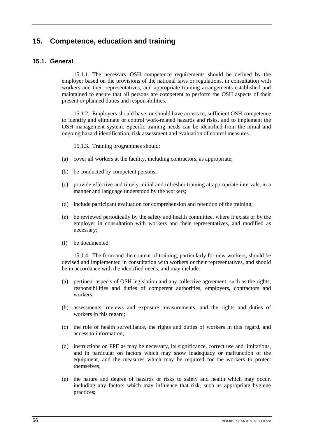# **15. Competence, education and training**

## **15.1. General**

15.1.1. The necessary OSH competence requirements should be defined by the employer based on the provisions of the national laws or regulations, in consultation with workers and their representatives, and appropriate training arrangements established and maintained to ensure that all persons are competent to perform the OSH aspects of their present or planned duties and responsibilities.

15.1.2. Employers should have, or should have access to, sufficient OSH competence to identify and eliminate or control work-related hazards and risks, and to implement the OSH management system. Specific training needs can be identified from the initial and ongoing hazard identification, risk assessment and evaluation of control measures.

15.1.3. Training programmes should:

- (a) cover all workers at the facility, including contractors, as appropriate;
- (b) be conducted by competent persons;
- (c) provide effective and timely initial and refresher training at appropriate intervals, in a manner and language understood by the workers;
- (d) include participant evaluation for comprehension and retention of the training;
- (e) be reviewed periodically by the safety and health committee, where it exists or by the employer in consultation with workers and their representatives, and modified as necessary;
- (f) be documented.

15.1.4. The form and the content of training, particularly for new workers, should be devised and implemented in consultation with workers or their representatives, and should be in accordance with the identified needs, and may include:

- (a) pertinent aspects of OSH legislation and any collective agreement, such as the rights, responsibilities and duties of competent authorities, employers, contractors and workers;
- (b) assessments, reviews and exposure measurements, and the rights and duties of workers in this regard;
- (c) the role of health surveillance, the rights and duties of workers in this regard, and access to information;
- (d) instructions on PPE as may be necessary, its significance, correct use and limitations, and in particular on factors which may show inadequacy or malfunction of the equipment, and the measures which may be required for the workers to protect themselves;
- (e) the nature and degree of hazards or risks to safety and health which may occur, including any factors which may influence that risk, such as appropriate hygiene practices;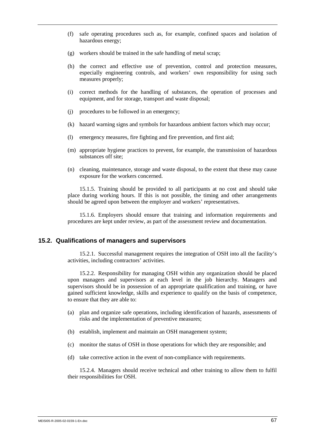- (f) safe operating procedures such as, for example, confined spaces and isolation of hazardous energy;
- (g) workers should be trained in the safe handling of metal scrap;
- (h) the correct and effective use of prevention, control and protection measures, especially engineering controls, and workers' own responsibility for using such measures properly;
- (i) correct methods for the handling of substances, the operation of processes and equipment, and for storage, transport and waste disposal;
- (j) procedures to be followed in an emergency;
- (k) hazard warning signs and symbols for hazardous ambient factors which may occur;
- (l) emergency measures, fire fighting and fire prevention, and first aid;
- (m) appropriate hygiene practices to prevent, for example, the transmission of hazardous substances off site;
- (n) cleaning, maintenance, storage and waste disposal, to the extent that these may cause exposure for the workers concerned.

15.1.5. Training should be provided to all participants at no cost and should take place during working hours. If this is not possible, the timing and other arrangements should be agreed upon between the employer and workers' representatives.

15.1.6. Employers should ensure that training and information requirements and procedures are kept under review, as part of the assessment review and documentation.

#### **15.2. Qualifications of managers and supervisors**

15.2.1. Successful management requires the integration of OSH into all the facility's activities, including contractors' activities.

15.2.2. Responsibility for managing OSH within any organization should be placed upon managers and supervisors at each level in the job hierarchy. Managers and supervisors should be in possession of an appropriate qualification and training, or have gained sufficient knowledge, skills and experience to qualify on the basis of competence, to ensure that they are able to:

- (a) plan and organize safe operations, including identification of hazards, assessments of risks and the implementation of preventive measures;
- (b) establish, implement and maintain an OSH management system;
- (c) monitor the status of OSH in those operations for which they are responsible; and
- (d) take corrective action in the event of non-compliance with requirements.

15.2.4. Managers should receive technical and other training to allow them to fulfil their responsibilities for OSH.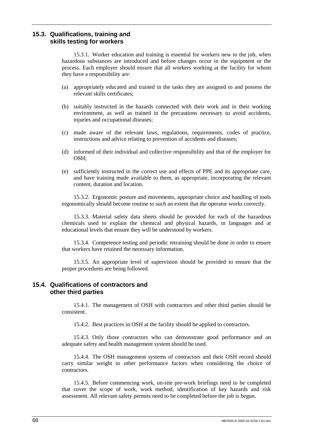## **15.3. Qualifications, training and skills testing for workers**

15.3.1. Worker education and training is essential for workers new to the job, when hazardous substances are introduced and before changes occur in the equipment or the process. Each employer should ensure that all workers working at the facility for whom they have a responsibility are:

- (a) appropriately educated and trained in the tasks they are assigned to and possess the relevant skills certificates;
- (b) suitably instructed in the hazards connected with their work and in their working environment, as well as trained in the precautions necessary to avoid accidents, injuries and occupational diseases;
- (c) made aware of the relevant laws, regulations, requirements, codes of practice, instructions and advice relating to prevention of accidents and diseases;
- (d) informed of their individual and collective responsibility and that of the employer for  $OSH<sub>1</sub>$
- (e) sufficiently instructed in the correct use and effects of PPE and its appropriate care, and have training made available to them, as appropriate, incorporating the relevant content, duration and location.

15.3.2. Ergonomic posture and movements, appropriate choice and handling of tools ergonomically should become routine to such an extent that the operator works correctly.

15.3.3. Material safety data sheets should be provided for each of the hazardous chemicals used to explain the chemical and physical hazards, in languages and at educational levels that ensure they will be understood by workers.

15.3.4. Competence testing and periodic retraining should be done in order to ensure that workers have retained the necessary information.

15.3.5. An appropriate level of supervision should be provided to ensure that the proper procedures are being followed.

### **15.4. Qualifications of contractors and other third parties**

15.4.1. The management of OSH with contractors and other third parties should be consistent.

15.4.2. Best practices in OSH at the facility should be applied to contractors.

15.4.3. Only those contractors who can demonstrate good performance and an adequate safety and health management system should be used.

15.4.4. The OSH management systems of contractors and their OSH record should carry similar weight to other performance factors when considering the choice of contractors.

15.4.5. Before commencing work, on-site pre-work briefings need to be completed that cover the scope of work, work method, identification of key hazards and risk assessment. All relevant safety permits need to be completed before the job is begun.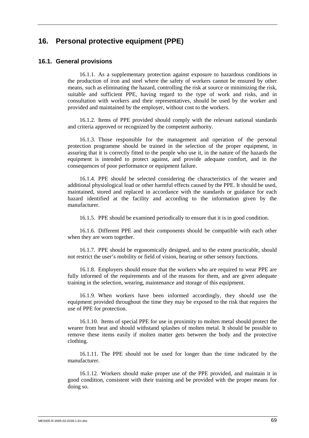## **16. Personal protective equipment (PPE)**

### **16.1. General provisions**

16.1.1. As a supplementary protection against exposure to hazardous conditions in the production of iron and steel where the safety of workers cannot be ensured by other means, such as eliminating the hazard, controlling the risk at source or minimizing the risk, suitable and sufficient PPE, having regard to the type of work and risks, and in consultation with workers and their representatives, should be used by the worker and provided and maintained by the employer, without cost to the workers.

16.1.2. Items of PPE provided should comply with the relevant national standards and criteria approved or recognized by the competent authority.

16.1.3. Those responsible for the management and operation of the personal protection programme should be trained in the selection of the proper equipment, in assuring that it is correctly fitted to the people who use it, in the nature of the hazards the equipment is intended to protect against, and provide adequate comfort, and in the consequences of poor performance or equipment failure.

16.1.4. PPE should be selected considering the characteristics of the wearer and additional physiological load or other harmful effects caused by the PPE. It should be used, maintained, stored and replaced in accordance with the standards or guidance for each hazard identified at the facility and according to the information given by the manufacturer.

16.1.5. PPE should be examined periodically to ensure that it is in good condition.

16.1.6. Different PPE and their components should be compatible with each other when they are worn together.

16.1.7. PPE should be ergonomically designed, and to the extent practicable, should not restrict the user's mobility or field of vision, hearing or other sensory functions.

16.1.8. Employers should ensure that the workers who are required to wear PPE are fully informed of the requirements and of the reasons for them, and are given adequate training in the selection, wearing, maintenance and storage of this equipment.

16.1.9. When workers have been informed accordingly, they should use the equipment provided throughout the time they may be exposed to the risk that requires the use of PPE for protection.

16.1.10. Items of special PPE for use in proximity to molten metal should protect the wearer from heat and should withstand splashes of molten metal. It should be possible to remove these items easily if molten matter gets between the body and the protective clothing.

16.1.11. The PPE should not be used for longer than the time indicated by the manufacturer.

16.1.12. Workers should make proper use of the PPE provided, and maintain it in good condition, consistent with their training and be provided with the proper means for doing so.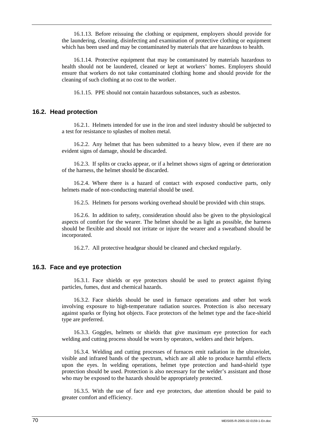16.1.13. Before reissuing the clothing or equipment, employers should provide for the laundering, cleaning, disinfecting and examination of protective clothing or equipment which has been used and may be contaminated by materials that are hazardous to health.

16.1.14. Protective equipment that may be contaminated by materials hazardous to health should not be laundered, cleaned or kept at workers' homes. Employers should ensure that workers do not take contaminated clothing home and should provide for the cleaning of such clothing at no cost to the worker.

16.1.15. PPE should not contain hazardous substances, such as asbestos.

### **16.2. Head protection**

16.2.1. Helmets intended for use in the iron and steel industry should be subjected to a test for resistance to splashes of molten metal.

16.2.2. Any helmet that has been submitted to a heavy blow, even if there are no evident signs of damage, should be discarded.

16.2.3. If splits or cracks appear, or if a helmet shows signs of ageing or deterioration of the harness, the helmet should be discarded.

16.2.4. Where there is a hazard of contact with exposed conductive parts, only helmets made of non-conducting material should be used.

16.2.5. Helmets for persons working overhead should be provided with chin straps.

16.2.6. In addition to safety, consideration should also be given to the physiological aspects of comfort for the wearer. The helmet should be as light as possible, the harness should be flexible and should not irritate or injure the wearer and a sweatband should be incorporated.

16.2.7. All protective headgear should be cleaned and checked regularly.

### **16.3. Face and eye protection**

16.3.1. Face shields or eye protectors should be used to protect against flying particles, fumes, dust and chemical hazards.

16.3.2. Face shields should be used in furnace operations and other hot work involving exposure to high-temperature radiation sources. Protection is also necessary against sparks or flying hot objects. Face protectors of the helmet type and the face-shield type are preferred.

16.3.3. Goggles, helmets or shields that give maximum eye protection for each welding and cutting process should be worn by operators, welders and their helpers.

16.3.4. Welding and cutting processes of furnaces emit radiation in the ultraviolet, visible and infrared bands of the spectrum, which are all able to produce harmful effects upon the eyes. In welding operations, helmet type protection and hand-shield type protection should be used. Protection is also necessary for the welder's assistant and those who may be exposed to the hazards should be appropriately protected.

16.3.5. With the use of face and eye protectors, due attention should be paid to greater comfort and efficiency.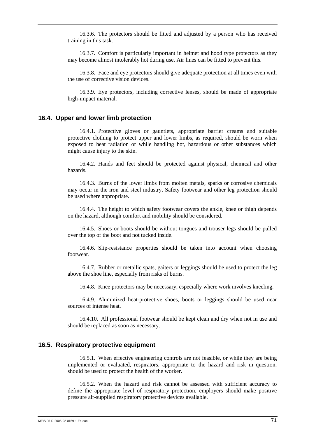16.3.6. The protectors should be fitted and adjusted by a person who has received training in this task.

16.3.7. Comfort is particularly important in helmet and hood type protectors as they may become almost intolerably hot during use. Air lines can be fitted to prevent this.

16.3.8. Face and eye protectors should give adequate protection at all times even with the use of corrective vision devices.

16.3.9. Eye protectors, including corrective lenses, should be made of appropriate high-impact material.

#### **16.4. Upper and lower limb protection**

16.4.1. Protective gloves or gauntlets, appropriate barrier creams and suitable protective clothing to protect upper and lower limbs, as required, should be worn when exposed to heat radiation or while handling hot, hazardous or other substances which might cause injury to the skin.

16.4.2. Hands and feet should be protected against physical, chemical and other hazards.

16.4.3. Burns of the lower limbs from molten metals, sparks or corrosive chemicals may occur in the iron and steel industry. Safety footwear and other leg protection should be used where appropriate.

16.4.4. The height to which safety footwear covers the ankle, knee or thigh depends on the hazard, although comfort and mobility should be considered.

16.4.5. Shoes or boots should be without tongues and trouser legs should be pulled over the top of the boot and not tucked inside.

16.4.6. Slip-resistance properties should be taken into account when choosing footwear.

16.4.7. Rubber or metallic spats, gaiters or leggings should be used to protect the leg above the shoe line, especially from risks of burns.

16.4.8. Knee protectors may be necessary, especially where work involves kneeling.

16.4.9. Aluminized heat-protective shoes, boots or leggings should be used near sources of intense heat.

16.4.10. All professional footwear should be kept clean and dry when not in use and should be replaced as soon as necessary.

### **16.5. Respiratory protective equipment**

16.5.1. When effective engineering controls are not feasible, or while they are being implemented or evaluated, respirators, appropriate to the hazard and risk in question, should be used to protect the health of the worker.

16.5.2. When the hazard and risk cannot be assessed with sufficient accuracy to define the appropriate level of respiratory protection, employers should make positive pressure air-supplied respiratory protective devices available.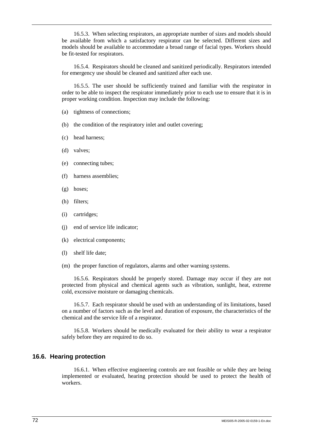16.5.3. When selecting respirators, an appropriate number of sizes and models should be available from which a satisfactory respirator can be selected. Different sizes and models should be available to accommodate a broad range of facial types. Workers should be fit-tested for respirators.

16.5.4. Respirators should be cleaned and sanitized periodically. Respirators intended for emergency use should be cleaned and sanitized after each use.

16.5.5. The user should be sufficiently trained and familiar with the respirator in order to be able to inspect the respirator immediately prior to each use to ensure that it is in proper working condition. Inspection may include the following:

- (a) tightness of connections;
- (b) the condition of the respiratory inlet and outlet covering;
- (c) head harness;
- (d) valves;
- (e) connecting tubes;
- (f) harness assemblies;
- (g) hoses;
- (h) filters;
- (i) cartridges;
- (j) end of service life indicator;
- (k) electrical components;
- (l) shelf life date;
- (m) the proper function of regulators, alarms and other warning systems.

16.5.6. Respirators should be properly stored. Damage may occur if they are not protected from physical and chemical agents such as vibration, sunlight, heat, extreme cold, excessive moisture or damaging chemicals.

16.5.7. Each respirator should be used with an understanding of its limitations, based on a number of factors such as the level and duration of exposure, the characteristics of the chemical and the service life of a respirator.

16.5.8. Workers should be medically evaluated for their ability to wear a respirator safely before they are required to do so.

### **16.6. Hearing protection**

16.6.1. When effective engineering controls are not feasible or while they are being implemented or evaluated, hearing protection should be used to protect the health of workers.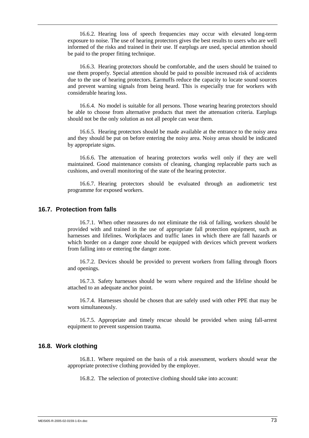16.6.2. Hearing loss of speech frequencies may occur with elevated long-term exposure to noise. The use of hearing protectors gives the best results to users who are well informed of the risks and trained in their use. If earplugs are used, special attention should be paid to the proper fitting technique.

16.6.3. Hearing protectors should be comfortable, and the users should be trained to use them properly. Special attention should be paid to possible increased risk of accidents due to the use of hearing protectors. Earmuffs reduce the capacity to locate sound sources and prevent warning signals from being heard. This is especially true for workers with considerable hearing loss.

16.6.4. No model is suitable for all persons. Those wearing hearing protectors should be able to choose from alternative products that meet the attenuation criteria. Earplugs should not be the only solution as not all people can wear them.

16.6.5. Hearing protectors should be made available at the entrance to the noisy area and they should be put on before entering the noisy area. Noisy areas should be indicated by appropriate signs.

16.6.6. The attenuation of hearing protectors works well only if they are well maintained. Good maintenance consists of cleaning, changing replaceable parts such as cushions, and overall monitoring of the state of the hearing protector.

16.6.7. Hearing protectors should be evaluated through an audiometric test programme for exposed workers.

### **16.7. Protection from falls**

16.7.1. When other measures do not eliminate the risk of falling, workers should be provided with and trained in the use of appropriate fall protection equipment, such as harnesses and lifelines. Workplaces and traffic lanes in which there are fall hazards or which border on a danger zone should be equipped with devices which prevent workers from falling into or entering the danger zone.

16.7.2. Devices should be provided to prevent workers from falling through floors and openings.

16.7.3. Safety harnesses should be worn where required and the lifeline should be attached to an adequate anchor point.

16.7.4. Harnesses should be chosen that are safely used with other PPE that may be worn simultaneously.

16.7.5. Appropriate and timely rescue should be provided when using fall-arrest equipment to prevent suspension trauma.

### **16.8. Work clothing**

16.8.1. Where required on the basis of a risk assessment, workers should wear the appropriate protective clothing provided by the employer.

16.8.2. The selection of protective clothing should take into account: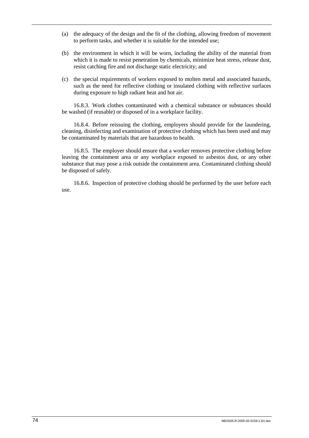- (a) the adequacy of the design and the fit of the clothing, allowing freedom of movement to perform tasks, and whether it is suitable for the intended use;
- (b) the environment in which it will be worn, including the ability of the material from which it is made to resist penetration by chemicals, minimize heat stress, release dust, resist catching fire and not discharge static electricity; and
- (c) the special requirements of workers exposed to molten metal and associated hazards, such as the need for reflective clothing or insulated clothing with reflective surfaces during exposure to high radiant heat and hot air.

16.8.3. Work clothes contaminated with a chemical substance or substances should be washed (if reusable) or disposed of in a workplace facility.

16.8.4. Before reissuing the clothing, employers should provide for the laundering, cleaning, disinfecting and examination of protective clothing which has been used and may be contaminated by materials that are hazardous to health.

16.8.5. The employer should ensure that a worker removes protective clothing before leaving the containment area or any workplace exposed to asbestos dust, or any other substance that may pose a risk outside the containment area. Contaminated clothing should be disposed of safely.

16.8.6. Inspection of protective clothing should be performed by the user before each use.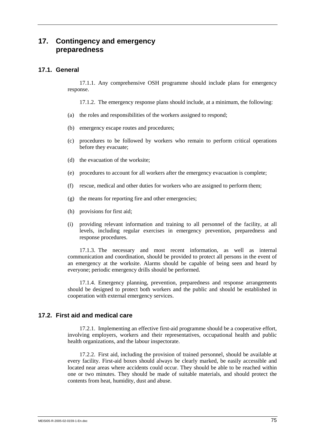## **17. Contingency and emergency preparedness**

## **17.1. General**

17.1.1. Any comprehensive OSH programme should include plans for emergency response.

17.1.2. The emergency response plans should include, at a minimum, the following:

- (a) the roles and responsibilities of the workers assigned to respond;
- (b) emergency escape routes and procedures;
- (c) procedures to be followed by workers who remain to perform critical operations before they evacuate;
- (d) the evacuation of the worksite;
- (e) procedures to account for all workers after the emergency evacuation is complete;
- (f) rescue, medical and other duties for workers who are assigned to perform them;
- (g) the means for reporting fire and other emergencies;
- (h) provisions for first aid;
- (i) providing relevant information and training to all personnel of the facility, at all levels, including regular exercises in emergency prevention, preparedness and response procedures.

17.1.3. The necessary and most recent information, as well as internal communication and coordination, should be provided to protect all persons in the event of an emergency at the worksite. Alarms should be capable of being seen and heard by everyone; periodic emergency drills should be performed.

17.1.4. Emergency planning, prevention, preparedness and response arrangements should be designed to protect both workers and the public and should be established in cooperation with external emergency services.

### **17.2. First aid and medical care**

17.2.1. Implementing an effective first-aid programme should be a cooperative effort, involving employers, workers and their representatives, occupational health and public health organizations, and the labour inspectorate.

17.2.2. First aid, including the provision of trained personnel, should be available at every facility. First-aid boxes should always be clearly marked, be easily accessible and located near areas where accidents could occur. They should be able to be reached within one or two minutes. They should be made of suitable materials, and should protect the contents from heat, humidity, dust and abuse.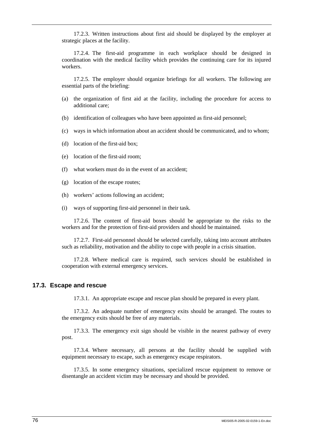17.2.3. Written instructions about first aid should be displayed by the employer at strategic places at the facility.

17.2.4. The first-aid programme in each workplace should be designed in coordination with the medical facility which provides the continuing care for its injured workers.

17.2.5. The employer should organize briefings for all workers. The following are essential parts of the briefing:

- (a) the organization of first aid at the facility, including the procedure for access to additional care;
- (b) identification of colleagues who have been appointed as first-aid personnel;
- (c) ways in which information about an accident should be communicated, and to whom;
- (d) location of the first-aid box;
- (e) location of the first-aid room;
- (f) what workers must do in the event of an accident;
- (g) location of the escape routes;
- (h) workers' actions following an accident;
- (i) ways of supporting first-aid personnel in their task.

17.2.6. The content of first-aid boxes should be appropriate to the risks to the workers and for the protection of first-aid providers and should be maintained.

17.2.7. First-aid personnel should be selected carefully, taking into account attributes such as reliability, motivation and the ability to cope with people in a crisis situation.

17.2.8. Where medical care is required, such services should be established in cooperation with external emergency services.

### **17.3. Escape and rescue**

17.3.1. An appropriate escape and rescue plan should be prepared in every plant.

17.3.2. An adequate number of emergency exits should be arranged. The routes to the emergency exits should be free of any materials.

17.3.3. The emergency exit sign should be visible in the nearest pathway of every post.

17.3.4. Where necessary, all persons at the facility should be supplied with equipment necessary to escape, such as emergency escape respirators.

17.3.5. In some emergency situations, specialized rescue equipment to remove or disentangle an accident victim may be necessary and should be provided.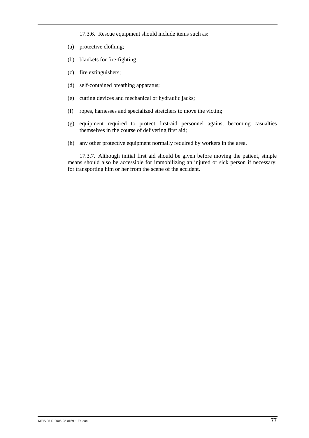17.3.6. Rescue equipment should include items such as:

- (a) protective clothing;
- (b) blankets for fire-fighting;
- (c) fire extinguishers;
- (d) self-contained breathing apparatus;
- (e) cutting devices and mechanical or hydraulic jacks;
- (f) ropes, harnesses and specialized stretchers to move the victim;
- (g) equipment required to protect first-aid personnel against becoming casualties themselves in the course of delivering first aid;
- (h) any other protective equipment normally required by workers in the area.

17.3.7. Although initial first aid should be given before moving the patient, simple means should also be accessible for immobilizing an injured or sick person if necessary, for transporting him or her from the scene of the accident.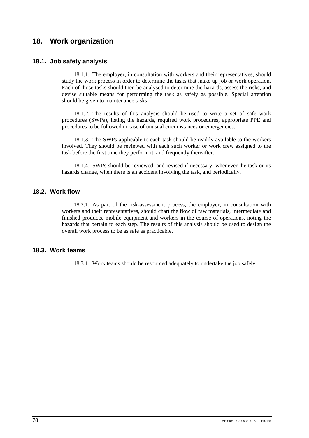# **18. Work organization**

## **18.1. Job safety analysis**

18.1.1. The employer, in consultation with workers and their representatives, should study the work process in order to determine the tasks that make up job or work operation. Each of those tasks should then be analysed to determine the hazards, assess the risks, and devise suitable means for performing the task as safely as possible. Special attention should be given to maintenance tasks.

18.1.2. The results of this analysis should be used to write a set of safe work procedures (SWPs), listing the hazards, required work procedures, appropriate PPE and procedures to be followed in case of unusual circumstances or emergencies.

18.1.3. The SWPs applicable to each task should be readily available to the workers involved. They should be reviewed with each such worker or work crew assigned to the task before the first time they perform it, and frequently thereafter.

18.1.4. SWPs should be reviewed, and revised if necessary, whenever the task or its hazards change, when there is an accident involving the task, and periodically.

## **18.2. Work flow**

18.2.1. As part of the risk-assessment process, the employer, in consultation with workers and their representatives, should chart the flow of raw materials, intermediate and finished products, mobile equipment and workers in the course of operations, noting the hazards that pertain to each step. The results of this analysis should be used to design the overall work process to be as safe as practicable.

### **18.3. Work teams**

18.3.1. Work teams should be resourced adequately to undertake the job safely.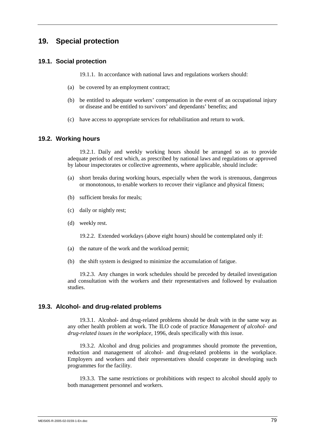## **19. Special protection**

### **19.1. Social protection**

19.1.1. In accordance with national laws and regulations workers should:

- (a) be covered by an employment contract;
- (b) be entitled to adequate workers' compensation in the event of an occupational injury or disease and be entitled to survivors' and dependants' benefits; and
- (c) have access to appropriate services for rehabilitation and return to work.

### **19.2. Working hours**

19.2.1. Daily and weekly working hours should be arranged so as to provide adequate periods of rest which, as prescribed by national laws and regulations or approved by labour inspectorates or collective agreements, where applicable, should include:

- (a) short breaks during working hours, especially when the work is strenuous, dangerous or monotonous, to enable workers to recover their vigilance and physical fitness;
- (b) sufficient breaks for meals;
- (c) daily or nightly rest;
- (d) weekly rest.

19.2.2. Extended workdays (above eight hours) should be contemplated only if:

- (a) the nature of the work and the workload permit;
- (b) the shift system is designed to minimize the accumulation of fatigue.

19.2.3. Any changes in work schedules should be preceded by detailed investigation and consultation with the workers and their representatives and followed by evaluation studies.

#### **19.3. Alcohol- and drug-related problems**

19.3.1. Alcohol- and drug-related problems should be dealt with in the same way as any other health problem at work. The ILO code of practice *Management of alcohol- and drug-related issues in the workplace*, 1996, deals specifically with this issue.

19.3.2. Alcohol and drug policies and programmes should promote the prevention, reduction and management of alcohol- and drug-related problems in the workplace. Employers and workers and their representatives should cooperate in developing such programmes for the facility.

19.3.3. The same restrictions or prohibitions with respect to alcohol should apply to both management personnel and workers.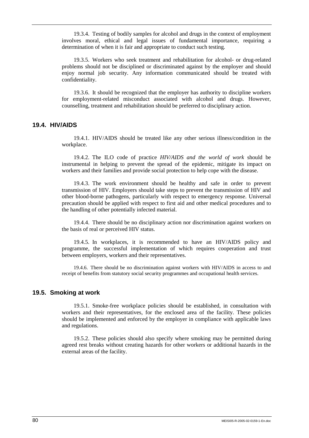19.3.4. Testing of bodily samples for alcohol and drugs in the context of employment involves moral, ethical and legal issues of fundamental importance, requiring a determination of when it is fair and appropriate to conduct such testing.

19.3.5. Workers who seek treatment and rehabilitation for alcohol- or drug-related problems should not be disciplined or discriminated against by the employer and should enjoy normal job security. Any information communicated should be treated with confidentiality.

19.3.6. It should be recognized that the employer has authority to discipline workers for employment-related misconduct associated with alcohol and drugs. However, counselling, treatment and rehabilitation should be preferred to disciplinary action.

## **19.4. HIV/AIDS**

19.4.1. HIV/AIDS should be treated like any other serious illness/condition in the workplace.

19.4.2. The ILO code of practice *HIV/AIDS and the world of work* should be instrumental in helping to prevent the spread of the epidemic, mitigate its impact on workers and their families and provide social protection to help cope with the disease.

19.4.3. The work environment should be healthy and safe in order to prevent transmission of HIV. Employers should take steps to prevent the transmission of HIV and other blood-borne pathogens, particularly with respect to emergency response. Universal precaution should be applied with respect to first aid and other medical procedures and to the handling of other potentially infected material.

19.4.4. There should be no disciplinary action nor discrimination against workers on the basis of real or perceived HIV status.

19.4.5. In workplaces, it is recommended to have an HIV/AIDS policy and programme, the successful implementation of which requires cooperation and trust between employers, workers and their representatives.

19.4.6. There should be no discrimination against workers with HIV/AIDS in access to and receipt of benefits from statutory social security programmes and occupational health services.

### **19.5. Smoking at work**

19.5.1. Smoke-free workplace policies should be established, in consultation with workers and their representatives, for the enclosed area of the facility. These policies should be implemented and enforced by the employer in compliance with applicable laws and regulations.

19.5.2. These policies should also specify where smoking may be permitted during agreed rest breaks without creating hazards for other workers or additional hazards in the external areas of the facility.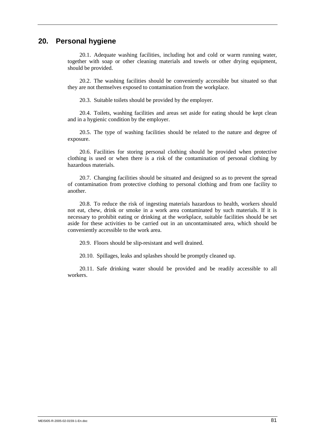# **20. Personal hygiene**

20.1. Adequate washing facilities, including hot and cold or warm running water, together with soap or other cleaning materials and towels or other drying equipment, should be provided.

20.2. The washing facilities should be conveniently accessible but situated so that they are not themselves exposed to contamination from the workplace.

20.3. Suitable toilets should be provided by the employer.

20.4. Toilets, washing facilities and areas set aside for eating should be kept clean and in a hygienic condition by the employer.

20.5. The type of washing facilities should be related to the nature and degree of exposure.

20.6. Facilities for storing personal clothing should be provided when protective clothing is used or when there is a risk of the contamination of personal clothing by hazardous materials.

20.7. Changing facilities should be situated and designed so as to prevent the spread of contamination from protective clothing to personal clothing and from one facility to another.

20.8. To reduce the risk of ingesting materials hazardous to health, workers should not eat, chew, drink or smoke in a work area contaminated by such materials. If it is necessary to prohibit eating or drinking at the workplace, suitable facilities should be set aside for these activities to be carried out in an uncontaminated area, which should be conveniently accessible to the work area.

20.9. Floors should be slip-resistant and well drained.

20.10. Spillages, leaks and splashes should be promptly cleaned up.

20.11. Safe drinking water should be provided and be readily accessible to all workers.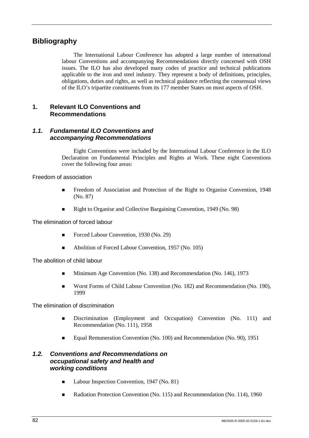# **Bibliography**

The International Labour Conference has adopted a large number of international labour Conventions and accompanying Recommendations directly concerned with OSH issues. The ILO has also developed many codes of practice and technical publications applicable to the iron and steel industry. They represent a body of definitions, principles, obligations, duties and rights, as well as technical guidance reflecting the consensual views of the ILO's tripartite constituents from its 177 member States on most aspects of OSH.

## **1. Relevant ILO Conventions and Recommendations**

## *1.1. Fundamental ILO Conventions and accompanying Recommendations*

Eight Conventions were included by the International Labour Conference in the ILO Declaration on Fundamental Principles and Rights at Work. These eight Conventions cover the following four areas:

Freedom of association

- ! Freedom of Association and Protection of the Right to Organise Convention, 1948 (No. 87)
- Right to Organise and Collective Bargaining Convention, 1949 (No. 98)

The elimination of forced labour

- Forced Labour Convention, 1930 (No. 29)
- Abolition of Forced Labour Convention, 1957 (No. 105)

The abolition of child labour

- **I.** Minimum Age Convention (No. 138) and Recommendation (No. 146), 1973
- **I.** Worst Forms of Child Labour Convention (No. 182) and Recommendation (No. 190), 1999

The elimination of discrimination

- **I.** Discrimination (Employment and Occupation) Convention (No. 111) and Recommendation (No. 111), 1958
- **Equal Remuneration Convention (No. 100) and Recommendation (No. 90), 1951**

## *1.2. Conventions and Recommendations on occupational safety and health and working conditions*

- Labour Inspection Convention, 1947 (No. 81)
- **Example 3** Radiation Protection Convention (No. 115) and Recommendation (No. 114), 1960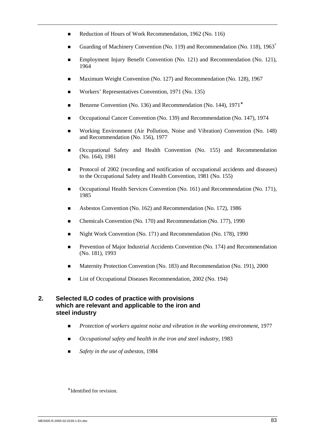- Reduction of Hours of Work Recommendation, 1962 (No. 116)
- Guarding of Machinery Convention (No. 119) and Recommendation (No. 118), 1963<sup>\*</sup>
- **Employment Injury Benefit Convention (No. 121) and Recommendation (No. 121),** 1964
- ! Maximum Weight Convention (No. 127) and Recommendation (No. 128), 1967
- ! Workers' Representatives Convention, 1971 (No. 135)
- Benzene Convention (No. 136) and Recommendation (No. 144), 1971<sup>∗</sup>
- ! Occupational Cancer Convention (No. 139) and Recommendation (No. 147), 1974
- ! Working Environment (Air Pollution, Noise and Vibration) Convention (No. 148) and Recommendation (No. 156), 1977
- Occupational Safety and Health Convention (No. 155) and Recommendation (No. 164), 1981
- Protocol of 2002 (recording and notification of occupational accidents and diseases) to the Occupational Safety and Health Convention, 1981 (No. 155)
- Occupational Health Services Convention (No. 161) and Recommendation (No. 171), 1985
- ! Asbestos Convention (No. 162) and Recommendation (No. 172), 1986
- ! Chemicals Convention (No. 170) and Recommendation (No. 177), 1990
- ! Night Work Convention (No. 171) and Recommendation (No. 178), 1990
- ! Prevention of Major Industrial Accidents Convention (No. 174) and Recommendation (No. 181), 1993
- ! Maternity Protection Convention (No. 183) and Recommendation (No. 191), 2000
- **Exercise 1** List of Occupational Diseases Recommendation, 2002 (No. 194)

## **2. Selected ILO codes of practice with provisions which are relevant and applicable to the iron and steel industry**

- ! *Protection of workers against noise and vibration in the working environment,* 1977
- *Occupational safety and health in the iron and steel industry, 1983*
- ! *Safety in the use of asbestos,* 1984

<sup>∗</sup> Identified for revision.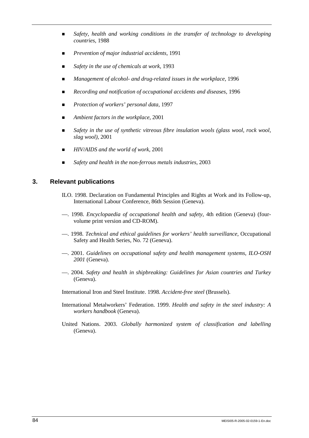- ! *Safety, health and working conditions in the transfer of technology to developing countries,* 1988
- ! *Prevention of major industrial accidents,* 1991
- *Safety in the use of chemicals at work*, 1993
- ! *Management of alcohol- and drug-related issues in the workplace,* 1996
- *Recording and notification of occupational accidents and diseases, 1996*
- *Protection of workers' personal data,* 1997
- ! *Ambient factors in the workplace,* 2001
- ! *Safety in the use of synthetic vitreous fibre insulation wools (glass wool, rock wool, slag wool),* 2001
- ! *HIV/AIDS and the world of work,* 2001
- *Safety and health in the non-ferrous metals industries, 2003*

## **3. Relevant publications**

- ILO. 1998. Declaration on Fundamental Principles and Rights at Work and its Follow-up, International Labour Conference, 86th Session (Geneva).
- —. 1998. *Encyclopaedia of occupational health and safety*, 4th edition (Geneva) (fourvolume print version and CD-ROM).
- —. 1998. *Technical and ethical guidelines for workers' health surveillance*, Occupational Safety and Health Series, No. 72 (Geneva).
- —. 2001. *Guidelines on occupational safety and health management systems, ILO-OSH 2001* (Geneva).
- —. 2004. *Safety and health in shipbreaking: Guidelines for Asian countries and Turkey* (Geneva).

International Iron and Steel Institute. 1998. *Accident-free steel* (Brussels).

- International Metalworkers' Federation. 1999. *Health and safety in the steel industry: A workers handbook* (Geneva).
- United Nations. 2003. *Globally harmonized system of classification and labelling* (Geneva).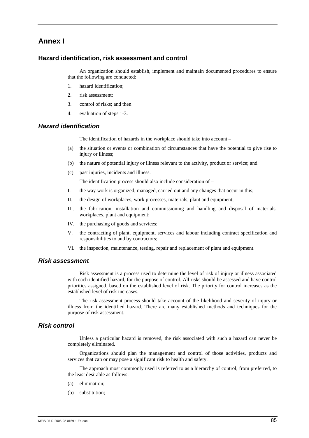## **Annex I**

### **Hazard identification, risk assessment and control**

An organization should establish, implement and maintain documented procedures to ensure that the following are conducted:

- 1. hazard identification;
- 2. risk assessment;
- 3. control of risks; and then
- 4. evaluation of steps 1-3.

### *Hazard identification*

The identification of hazards in the workplace should take into account –

- (a) the situation or events or combination of circumstances that have the potential to give rise to injury or illness;
- (b) the nature of potential injury or illness relevant to the activity, product or service; and
- (c) past injuries, incidents and illness.

The identification process should also include consideration of –

- I. the way work is organized, managed, carried out and any changes that occur in this;
- II. the design of workplaces, work processes, materials, plant and equipment;
- III. the fabrication, installation and commissioning and handling and disposal of materials, workplaces, plant and equipment;
- IV. the purchasing of goods and services;
- V. the contracting of plant, equipment, services and labour including contract specification and responsibilities to and by contractors;
- VI. the inspection, maintenance, testing, repair and replacement of plant and equipment.

### *Risk assessment*

Risk assessment is a process used to determine the level of risk of injury or illness associated with each identified hazard, for the purpose of control. All risks should be assessed and have control priorities assigned, based on the established level of risk. The priority for control increases as the established level of risk increases.

The risk assessment process should take account of the likelihood and severity of injury or illness from the identified hazard. There are many established methods and techniques for the purpose of risk assessment.

### *Risk control*

Unless a particular hazard is removed, the risk associated with such a hazard can never be completely eliminated.

Organizations should plan the management and control of those activities, products and services that can or may pose a significant risk to health and safety.

The approach most commonly used is referred to as a hierarchy of control, from preferred, to the least desirable as follows:

- (a) elimination;
- (b) substitution;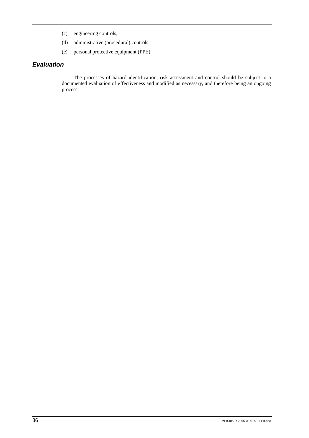- (c) engineering controls;
- (d) administrative (procedural) controls;
- (e) personal protective equipment (PPE).

## *Evaluation*

The processes of hazard identification, risk assessment and control should be subject to a documented evaluation of effectiveness and modified as necessary, and therefore being an ongoing process.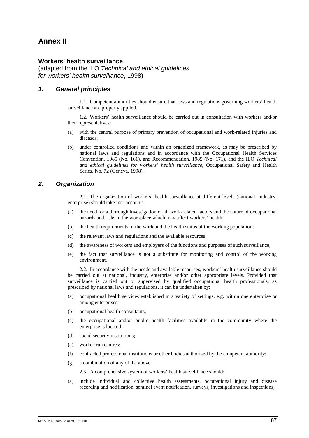## **Annex II**

### **Workers' health surveillance**

(adapted from the ILO *Technical and ethical guidelines for workers' health surveillance*, 1998)

### *1. General principles*

1.1. Competent authorities should ensure that laws and regulations governing workers' health surveillance are properly applied.

1.2. Workers' health surveillance should be carried out in consultation with workers and/or their representatives:

- (a) with the central purpose of primary prevention of occupational and work-related injuries and diseases;
- (b) under controlled conditions and within an organized framework, as may be prescribed by national laws and regulations and in accordance with the Occupational Health Services Convention, 1985 (No. 161), and Recommendation, 1985 (No. 171), and the ILO *Technical and ethical guidelines for workers' health surveillance*, Occupational Safety and Health Series, No. 72 (Geneva, 1998).

### *2. Organization*

2.1. The organization of workers' health surveillance at different levels (national, industry, enterprise) should take into account:

- (a) the need for a thorough investigation of all work-related factors and the nature of occupational hazards and risks in the workplace which may affect workers' health;
- (b) the health requirements of the work and the health status of the working population;
- (c) the relevant laws and regulations and the available resources;
- (d) the awareness of workers and employers of the functions and purposes of such surveillance;
- (e) the fact that surveillance is not a substitute for monitoring and control of the working environment.

2.2. In accordance with the needs and available resources, workers' health surveillance should be carried out at national, industry, enterprise and/or other appropriate levels. Provided that surveillance is carried out or supervised by qualified occupational health professionals, as prescribed by national laws and regulations, it can be undertaken by:

- (a) occupational health services established in a variety of settings, e.g. within one enterprise or among enterprises;
- (b) occupational health consultants;
- (c) the occupational and/or public health facilities available in the community where the enterprise is located;
- (d) social security institutions;
- (e) worker-run centres;
- (f) contracted professional institutions or other bodies authorized by the competent authority;
- (g) a combination of any of the above.

2.3. A comprehensive system of workers' health surveillance should:

(a) include individual and collective health assessments, occupational injury and disease recording and notification, sentinel event notification, surveys, investigations and inspections;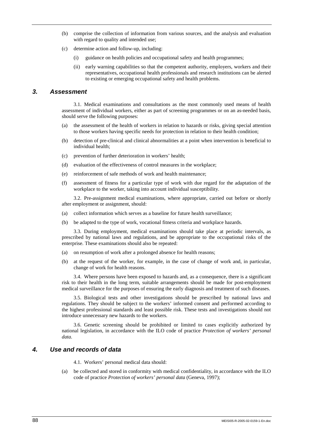- (b) comprise the collection of information from various sources, and the analysis and evaluation with regard to quality and intended use;
- (c) determine action and follow-up, including:
	- (i) guidance on health policies and occupational safety and health programmes;
	- (ii) early warning capabilities so that the competent authority, employers, workers and their representatives, occupational health professionals and research institutions can be alerted to existing or emerging occupational safety and health problems.

### *3. Assessment*

3.1. Medical examinations and consultations as the most commonly used means of health assessment of individual workers, either as part of screening programmes or on an as-needed basis, should serve the following purposes:

- (a) the assessment of the health of workers in relation to hazards or risks, giving special attention to those workers having specific needs for protection in relation to their health condition;
- (b) detection of pre-clinical and clinical abnormalities at a point when intervention is beneficial to individual health;
- (c) prevention of further deterioration in workers' health;
- (d) evaluation of the effectiveness of control measures in the workplace;
- (e) reinforcement of safe methods of work and health maintenance;
- (f) assessment of fitness for a particular type of work with due regard for the adaptation of the workplace to the worker, taking into account individual susceptibility.

3.2. Pre-assignment medical examinations, where appropriate, carried out before or shortly after employment or assignment, should:

- (a) collect information which serves as a baseline for future health surveillance;
- (b) be adapted to the type of work, vocational fitness criteria and workplace hazards.

3.3. During employment, medical examinations should take place at periodic intervals, as prescribed by national laws and regulations, and be appropriate to the occupational risks of the enterprise. These examinations should also be repeated:

- (a) on resumption of work after a prolonged absence for health reasons;
- (b) at the request of the worker, for example, in the case of change of work and, in particular, change of work for health reasons.

3.4. Where persons have been exposed to hazards and, as a consequence, there is a significant risk to their health in the long term, suitable arrangements should be made for post-employment medical surveillance for the purposes of ensuring the early diagnosis and treatment of such diseases.

3.5. Biological tests and other investigations should be prescribed by national laws and regulations. They should be subject to the workers' informed consent and performed according to the highest professional standards and least possible risk. These tests and investigations should not introduce unnecessary new hazards to the workers.

3.6. Genetic screening should be prohibited or limited to cases explicitly authorized by national legislation, in accordance with the ILO code of practice *Protection of workers' personal data.* 

### *4. Use and records of data*

4.1. Workers' personal medical data should:

(a) be collected and stored in conformity with medical confidentiality, in accordance with the ILO code of practice *Protection of workers' personal data* (Geneva, 1997);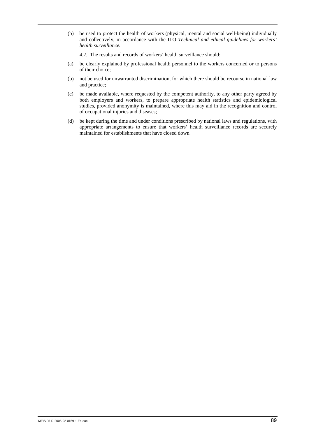(b) be used to protect the health of workers (physical, mental and social well-being) individually and collectively, in accordance with the ILO *Technical and ethical guidelines for workers' health surveillance.*

4.2. The results and records of workers' health surveillance should:

- (a) be clearly explained by professional health personnel to the workers concerned or to persons of their choice;
- (b) not be used for unwarranted discrimination, for which there should be recourse in national law and practice;
- (c) be made available, where requested by the competent authority, to any other party agreed by both employers and workers, to prepare appropriate health statistics and epidemiological studies, provided anonymity is maintained, where this may aid in the recognition and control of occupational injuries and diseases;
- (d) be kept during the time and under conditions prescribed by national laws and regulations, with appropriate arrangements to ensure that workers' health surveillance records are securely maintained for establishments that have closed down.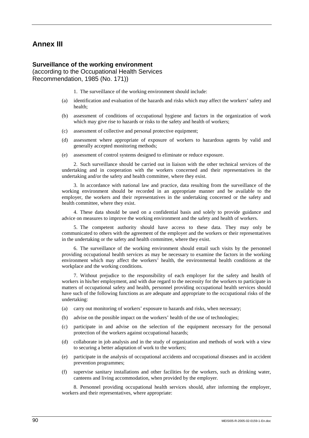## **Annex III**

#### **Surveillance of the working environment**

(according to the Occupational Health Services Recommendation, 1985 (No. 171))

1. The surveillance of the working environment should include:

- (a) identification and evaluation of the hazards and risks which may affect the workers' safety and health;
- (b) assessment of conditions of occupational hygiene and factors in the organization of work which may give rise to hazards or risks to the safety and health of workers;
- (c) assessment of collective and personal protective equipment;
- (d) assessment where appropriate of exposure of workers to hazardous agents by valid and generally accepted monitoring methods;
- (e) assessment of control systems designed to eliminate or reduce exposure.

2. Such surveillance should be carried out in liaison with the other technical services of the undertaking and in cooperation with the workers concerned and their representatives in the undertaking and/or the safety and health committee, where they exist.

3. In accordance with national law and practice, data resulting from the surveillance of the working environment should be recorded in an appropriate manner and be available to the employer, the workers and their representatives in the undertaking concerned or the safety and health committee, where they exist.

4. These data should be used on a confidential basis and solely to provide guidance and advice on measures to improve the working environment and the safety and health of workers.

5. The competent authority should have access to these data. They may only be communicated to others with the agreement of the employer and the workers or their representatives in the undertaking or the safety and health committee, where they exist.

6. The surveillance of the working environment should entail such visits by the personnel providing occupational health services as may be necessary to examine the factors in the working environment which may affect the workers' health, the environmental health conditions at the workplace and the working conditions.

7. Without prejudice to the responsibility of each employer for the safety and health of workers in his/her employment, and with due regard to the necessity for the workers to participate in matters of occupational safety and health, personnel providing occupational health services should have such of the following functions as are adequate and appropriate to the occupational risks of the undertaking:

- (a) carry out monitoring of workers' exposure to hazards and risks, when necessary;
- (b) advise on the possible impact on the workers' health of the use of technologies;
- (c) participate in and advise on the selection of the equipment necessary for the personal protection of the workers against occupational hazards;
- (d) collaborate in job analysis and in the study of organization and methods of work with a view to securing a better adaptation of work to the workers;
- (e) participate in the analysis of occupational accidents and occupational diseases and in accident prevention programmes;
- (f) supervise sanitary installations and other facilities for the workers, such as drinking water, canteens and living accommodation, when provided by the employer.

8. Personnel providing occupational health services should, after informing the employer, workers and their representatives, where appropriate: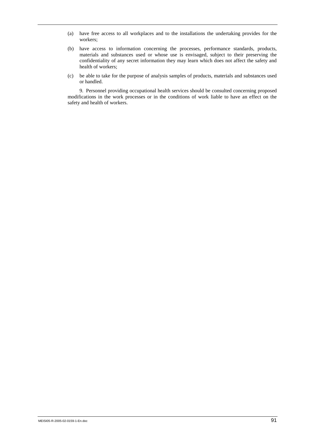- (a) have free access to all workplaces and to the installations the undertaking provides for the workers;
- (b) have access to information concerning the processes, performance standards, products, materials and substances used or whose use is envisaged, subject to their preserving the confidentiality of any secret information they may learn which does not affect the safety and health of workers;
- (c) be able to take for the purpose of analysis samples of products, materials and substances used or handled.

9. Personnel providing occupational health services should be consulted concerning proposed modifications in the work processes or in the conditions of work liable to have an effect on the safety and health of workers.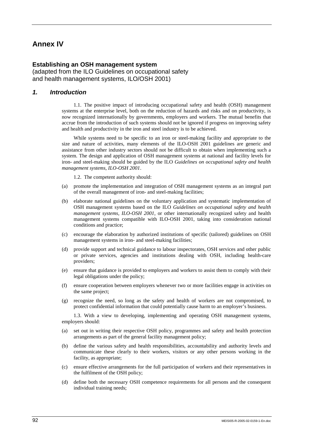# **Annex IV**

### **Establishing an OSH management system**

(adapted from the ILO Guidelines on occupational safety and health management systems, ILO/OSH 2001)

### *1. Introduction*

1.1. The positive impact of introducing occupational safety and health (OSH) management systems at the enterprise level, both on the reduction of hazards and risks and on productivity, is now recognized internationally by governments, employers and workers. The mutual benefits that accrue from the introduction of such systems should not be ignored if progress on improving safety and health and productivity in the iron and steel industry is to be achieved.

While systems need to be specific to an iron or steel-making facility and appropriate to the size and nature of activities, many elements of the ILO-OSH 2001 guidelines are generic and assistance from other industry sectors should not be difficult to obtain when implementing such a system. The design and application of OSH management systems at national and facility levels for iron- and steel-making should be guided by the ILO *Guidelines on occupational safety and health management systems, ILO-OSH 2001*.

1.2. The competent authority should:

- (a) promote the implementation and integration of OSH management systems as an integral part of the overall management of iron- and steel-making facilities;
- (b) elaborate national guidelines on the voluntary application and systematic implementation of OSH management systems based on the ILO *Guidelines on occupational safety and health management systems, ILO-OSH 2001*, or other internationally recognized safety and health management systems compatible with ILO-OSH 2001, taking into consideration national conditions and practice;
- (c) encourage the elaboration by authorized institutions of specific (tailored) guidelines on OSH management systems in iron- and steel-making facilities;
- (d) provide support and technical guidance to labour inspectorates, OSH services and other public or private services, agencies and institutions dealing with OSH, including health-care providers;
- (e) ensure that guidance is provided to employers and workers to assist them to comply with their legal obligations under the policy;
- (f) ensure cooperation between employers whenever two or more facilities engage in activities on the same project;
- (g) recognize the need, so long as the safety and health of workers are not compromised, to protect confidential information that could potentially cause harm to an employer's business.

1.3. With a view to developing, implementing and operating OSH management systems, employers should:

- (a) set out in writing their respective OSH policy, programmes and safety and health protection arrangements as part of the general facility management policy;
- (b) define the various safety and health responsibilities, accountability and authority levels and communicate these clearly to their workers, visitors or any other persons working in the facility, as appropriate;
- (c) ensure effective arrangements for the full participation of workers and their representatives in the fulfilment of the OSH policy;
- (d) define both the necessary OSH competence requirements for all persons and the consequent individual training needs;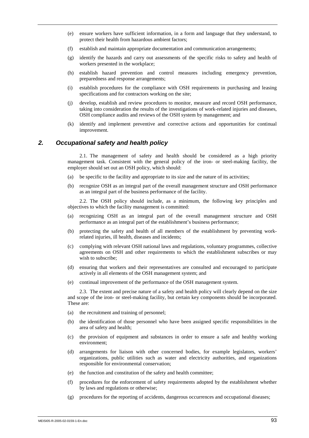- (e) ensure workers have sufficient information, in a form and language that they understand, to protect their health from hazardous ambient factors;
- (f) establish and maintain appropriate documentation and communication arrangements;
- (g) identify the hazards and carry out assessments of the specific risks to safety and health of workers presented in the workplace;
- (h) establish hazard prevention and control measures including emergency prevention, preparedness and response arrangements;
- (i) establish procedures for the compliance with OSH requirements in purchasing and leasing specifications and for contractors working on the site;
- (j) develop, establish and review procedures to monitor, measure and record OSH performance, taking into consideration the results of the investigations of work-related injuries and diseases, OSH compliance audits and reviews of the OSH system by management; and
- (k) identify and implement preventive and corrective actions and opportunities for continual improvement.

### *2. Occupational safety and health policy*

2.1. The management of safety and health should be considered as a high priority management task. Consistent with the general policy of the iron- or steel-making facility, the employer should set out an OSH policy, which should:

- (a) be specific to the facility and appropriate to its size and the nature of its activities;
- (b) recognize OSH as an integral part of the overall management structure and OSH performance as an integral part of the business performance of the facility.

2.2. The OSH policy should include, as a minimum, the following key principles and objectives to which the facility management is committed:

- (a) recognizing OSH as an integral part of the overall management structure and OSH performance as an integral part of the establishment's business performance;
- (b) protecting the safety and health of all members of the establishment by preventing workrelated injuries, ill health, diseases and incidents;
- (c) complying with relevant OSH national laws and regulations, voluntary programmes, collective agreements on OSH and other requirements to which the establishment subscribes or may wish to subscribe;
- (d) ensuring that workers and their representatives are consulted and encouraged to participate actively in all elements of the OSH management system; and
- (e) continual improvement of the performance of the OSH management system.

2.3. The extent and precise nature of a safety and health policy will clearly depend on the size and scope of the iron- or steel-making facility, but certain key components should be incorporated. These are:

- (a) the recruitment and training of personnel;
- (b) the identification of those personnel who have been assigned specific responsibilities in the area of safety and health;
- (c) the provision of equipment and substances in order to ensure a safe and healthy working environment;
- (d) arrangements for liaison with other concerned bodies, for example legislators, workers' organizations, public utilities such as water and electricity authorities, and organizations responsible for environmental conservation;
- (e) the function and constitution of the safety and health committee;
- (f) procedures for the enforcement of safety requirements adopted by the establishment whether by laws and regulations or otherwise;
- (g) procedures for the reporting of accidents, dangerous occurrences and occupational diseases;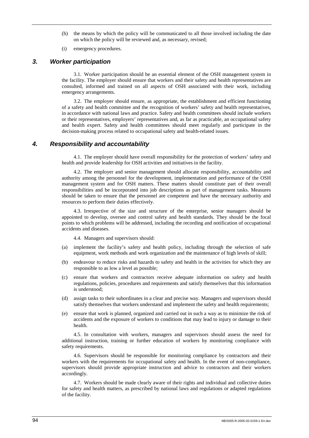- (h) the means by which the policy will be communicated to all those involved including the date on which the policy will be reviewed and, as necessary, revised;
- (i) emergency procedures.

### *3. Worker participation*

3.1. Worker participation should be an essential element of the OSH management system in the facility. The employer should ensure that workers and their safety and health representatives are consulted, informed and trained on all aspects of OSH associated with their work, including emergency arrangements.

3.2. The employer should ensure, as appropriate, the establishment and efficient functioning of a safety and health committee and the recognition of workers' safety and health representatives, in accordance with national laws and practice. Safety and health committees should include workers or their representatives, employers' representatives and, as far as practicable, an occupational safety and health expert. Safety and health committees should meet regularly and participate in the decision-making process related to occupational safety and health-related issues.

## *4. Responsibility and accountability*

4.1. The employer should have overall responsibility for the protection of workers' safety and health and provide leadership for OSH activities and initiatives in the facility.

4.2. The employer and senior management should allocate responsibility, accountability and authority among the personnel for the development, implementation and performance of the OSH management system and for OSH matters. These matters should constitute part of their overall responsibilities and be incorporated into job descriptions as part of management tasks. Measures should be taken to ensure that the personnel are competent and have the necessary authority and resources to perform their duties effectively.

4.3. Irrespective of the size and structure of the enterprise, senior managers should be appointed to develop, oversee and control safety and health standards. They should be the focal points to which problems will be addressed, including the recording and notification of occupational accidents and diseases.

4.4. Managers and supervisors should:

- (a) implement the facility's safety and health policy, including through the selection of safe equipment, work methods and work organization and the maintenance of high levels of skill;
- (b) endeavour to reduce risks and hazards to safety and health in the activities for which they are responsible to as low a level as possible;
- (c) ensure that workers and contractors receive adequate information on safety and health regulations, policies, procedures and requirements and satisfy themselves that this information is understood;
- (d) assign tasks to their subordinates in a clear and precise way. Managers and supervisors should satisfy themselves that workers understand and implement the safety and health requirements;
- (e) ensure that work is planned, organized and carried out in such a way as to minimize the risk of accidents and the exposure of workers to conditions that may lead to injury or damage to their health.

4.5. In consultation with workers, managers and supervisors should assess the need for additional instruction, training or further education of workers by monitoring compliance with safety requirements.

4.6. Supervisors should be responsible for monitoring compliance by contractors and their workers with the requirements for occupational safety and health. In the event of non-compliance, supervisors should provide appropriate instruction and advice to contractors and their workers accordingly.

4.7. Workers should be made clearly aware of their rights and individual and collective duties for safety and health matters, as prescribed by national laws and regulations or adapted regulations of the facility.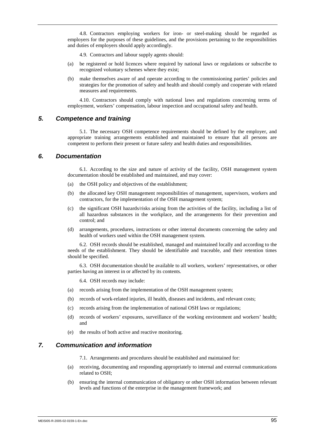4.8. Contractors employing workers for iron- or steel-making should be regarded as employers for the purposes of these guidelines, and the provisions pertaining to the responsibilities and duties of employers should apply accordingly.

4.9. Contractors and labour supply agents should:

- (a) be registered or hold licences where required by national laws or regulations or subscribe to recognized voluntary schemes where they exist;
- (b) make themselves aware of and operate according to the commissioning parties' policies and strategies for the promotion of safety and health and should comply and cooperate with related measures and requirements.

4.10. Contractors should comply with national laws and regulations concerning terms of employment, workers' compensation, labour inspection and occupational safety and health.

### *5. Competence and training*

5.1. The necessary OSH competence requirements should be defined by the employer, and appropriate training arrangements established and maintained to ensure that all persons are competent to perform their present or future safety and health duties and responsibilities.

### *6. Documentation*

6.1. According to the size and nature of activity of the facility, OSH management system documentation should be established and maintained, and may cover:

- (a) the OSH policy and objectives of the establishment;
- (b) the allocated key OSH management responsibilities of management, supervisors, workers and contractors, for the implementation of the OSH management system;
- (c) the significant OSH hazards/risks arising from the activities of the facility, including a list of all hazardous substances in the workplace, and the arrangements for their prevention and control; and
- (d) arrangements, procedures, instructions or other internal documents concerning the safety and health of workers used within the OSH management system.

6.2. OSH records should be established, managed and maintained locally and according to the needs of the establishment. They should be identifiable and traceable, and their retention times should be specified.

6.3. OSH documentation should be available to all workers, workers' representatives, or other parties having an interest in or affected by its contents.

6.4. OSH records may include:

- (a) records arising from the implementation of the OSH management system;
- (b) records of work-related injuries, ill health, diseases and incidents, and relevant costs;
- (c) records arising from the implementation of national OSH laws or regulations;
- (d) records of workers' exposures, surveillance of the working environment and workers' health; and
- (e) the results of both active and reactive monitoring.

### *7. Communication and information*

7.1. Arrangements and procedures should be established and maintained for:

- (a) receiving, documenting and responding appropriately to internal and external communications related to OSH;
- (b) ensuring the internal communication of obligatory or other OSH information between relevant levels and functions of the enterprise in the management framework; and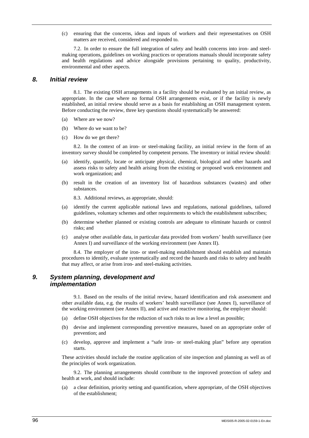(c) ensuring that the concerns, ideas and inputs of workers and their representatives on OSH matters are received, considered and responded to.

7.2. In order to ensure the full integration of safety and health concerns into iron- and steelmaking operations, guidelines on working practices or operations manuals should incorporate safety and health regulations and advice alongside provisions pertaining to quality, productivity, environmental and other aspects.

### *8. Initial review*

8.1. The existing OSH arrangements in a facility should be evaluated by an initial review, as appropriate. In the case where no formal OSH arrangements exist, or if the facility is newly established, an initial review should serve as a basis for establishing an OSH management system. Before conducting the review, three key questions should systematically be answered:

- (a) Where are we now?
- (b) Where do we want to be?
- (c) How do we get there?

8.2. In the context of an iron- or steel-making facility, an initial review in the form of an inventory survey should be completed by competent persons. The inventory or initial review should:

- (a) identify, quantify, locate or anticipate physical, chemical, biological and other hazards and assess risks to safety and health arising from the existing or proposed work environment and work organization; and
- (b) result in the creation of an inventory list of hazardous substances (wastes) and other substances.

8.3. Additional reviews, as appropriate, should:

- (a) identify the current applicable national laws and regulations, national guidelines, tailored guidelines, voluntary schemes and other requirements to which the establishment subscribes;
- (b) determine whether planned or existing controls are adequate to eliminate hazards or control risks; and
- (c) analyse other available data, in particular data provided from workers' health surveillance (see Annex I) and surveillance of the working environment (see Annex II).

8.4. The employer of the iron- or steel-making establishment should establish and maintain procedures to identify, evaluate systematically and record the hazards and risks to safety and health that may affect, or arise from iron- and steel-making activities.

### *9. System planning, development and implementation*

9.1. Based on the results of the initial review, hazard identification and risk assessment and other available data, e.g. the results of workers' health surveillance (see Annex I), surveillance of the working environment (see Annex II), and active and reactive monitoring, the employer should:

- (a) define OSH objectives for the reduction of such risks to as low a level as possible;
- (b) devise and implement corresponding preventive measures, based on an appropriate order of prevention; and
- (c) develop, approve and implement a "safe iron- or steel-making plan" before any operation starts.

These activities should include the routine application of site inspection and planning as well as of the principles of work organization.

9.2. The planning arrangements should contribute to the improved protection of safety and health at work, and should include:

(a) a clear definition, priority setting and quantification, where appropriate, of the OSH objectives of the establishment;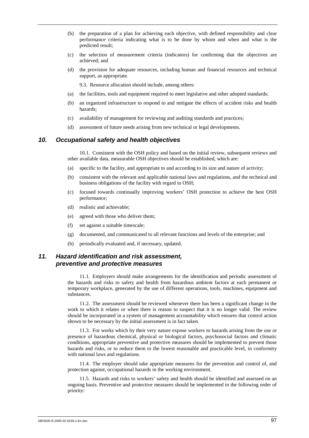- (b) the preparation of a plan for achieving each objective, with defined responsibility and clear performance criteria indicating what is to be done by whom and when and what is the predicted result;
- (c) the selection of measurement criteria (indicators) for confirming that the objectives are achieved; and
- (d) the provision for adequate resources, including human and financial resources and technical support, as appropriate.

9.3. Resource allocation should include, among others:

- (a) the facilities, tools and equipment required to meet legislative and other adopted standards;
- (b) an organized infrastructure to respond to and mitigate the effects of accident risks and health hazards;
- (c) availability of management for reviewing and auditing standards and practices;
- (d) assessment of future needs arising from new technical or legal developments.

### *10. Occupational safety and health objectives*

10.1. Consistent with the OSH policy and based on the initial review, subsequent reviews and other available data, measurable OSH objectives should be established, which are:

- (a) specific to the facility, and appropriate to and according to its size and nature of activity;
- (b) consistent with the relevant and applicable national laws and regulations, and the technical and business obligations of the facility with regard to OSH;
- (c) focused towards continually improving workers' OSH protection to achieve the best OSH performance;
- (d) realistic and achievable;
- (e) agreed with those who deliver them;
- (f) set against a suitable timescale;
- (g) documented, and communicated to all relevant functions and levels of the enterprise; and
- (h) periodically evaluated and, if necessary, updated.

## *11. Hazard identification and risk assessment, preventive and protective measures*

11.1. Employers should make arrangements for the identification and periodic assessment of the hazards and risks to safety and health from hazardous ambient factors at each permanent or temporary workplace, generated by the use of different operations, tools, machines, equipment and substances.

11.2. The assessment should be reviewed whenever there has been a significant change in the work to which it relates or when there is reason to suspect that it is no longer valid. The review should be incorporated in a system of management accountability which ensures that control action shown to be necessary by the initial assessment is in fact taken.

11.3. For works which by their very nature expose workers to hazards arising from the use or presence of hazardous chemical, physical or biological factors, psychosocial factors and climatic conditions, appropriate preventive and protective measures should be implemented to prevent those hazards and risks, or to reduce them to the lowest reasonable and practicable level, in conformity with national laws and regulations.

11.4. The employer should take appropriate measures for the prevention and control of, and protection against, occupational hazards in the working environment.

11.5. Hazards and risks to workers' safety and health should be identified and assessed on an ongoing basis. Preventive and protective measures should be implemented in the following order of priority: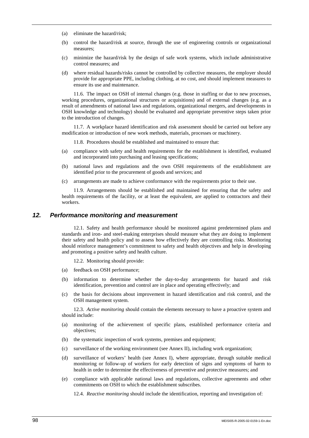- (a) eliminate the hazard/risk;
- (b) control the hazard/risk at source, through the use of engineering controls or organizational measures;
- (c) minimize the hazard/risk by the design of safe work systems, which include administrative control measures; and
- (d) where residual hazards/risks cannot be controlled by collective measures, the employer should provide for appropriate PPE, including clothing, at no cost, and should implement measures to ensure its use and maintenance.

11.6. The impact on OSH of internal changes (e.g. those in staffing or due to new processes, working procedures, organizational structures or acquisitions) and of external changes (e.g. as a result of amendments of national laws and regulations, organizational mergers, and developments in OSH knowledge and technology) should be evaluated and appropriate preventive steps taken prior to the introduction of changes.

11.7. A workplace hazard identification and risk assessment should be carried out before any modification or introduction of new work methods, materials, processes or machinery.

11.8. Procedures should be established and maintained to ensure that:

- (a) compliance with safety and health requirements for the establishment is identified, evaluated and incorporated into purchasing and leasing specifications;
- (b) national laws and regulations and the own OSH requirements of the establishment are identified prior to the procurement of goods and services; and
- (c) arrangements are made to achieve conformance with the requirements prior to their use.

11.9. Arrangements should be established and maintained for ensuring that the safety and health requirements of the facility, or at least the equivalent, are applied to contractors and their workers.

# *12. Performance monitoring and measurement*

12.1. Safety and health performance should be monitored against predetermined plans and standards and iron- and steel-making enterprises should measure what they are doing to implement their safety and health policy and to assess how effectively they are controlling risks. Monitoring should reinforce management's commitment to safety and health objectives and help in developing and promoting a positive safety and health culture.

12.2. Monitoring should provide:

- (a) feedback on OSH performance;
- (b) information to determine whether the day-to-day arrangements for hazard and risk identification, prevention and control are in place and operating effectively; and
- (c) the basis for decisions about improvement in hazard identification and risk control, and the OSH management system.

12.3. *Active monitoring* should contain the elements necessary to have a proactive system and should include:

- (a) monitoring of the achievement of specific plans, established performance criteria and objectives;
- (b) the systematic inspection of work systems, premises and equipment;
- (c) surveillance of the working environment (see Annex II), including work organization;
- (d) surveillance of workers' health (see Annex I), where appropriate, through suitable medical monitoring or follow-up of workers for early detection of signs and symptoms of harm to health in order to determine the effectiveness of preventive and protective measures; and
- (e) compliance with applicable national laws and regulations, collective agreements and other commitments on OSH to which the establishment subscribes.

12.4. *Reactive monitoring* should include the identification, reporting and investigation of: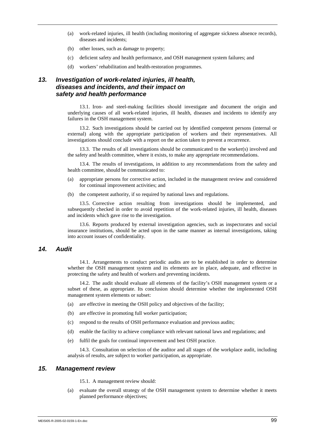- (a) work-related injuries, ill health (including monitoring of aggregate sickness absence records), diseases and incidents;
- (b) other losses, such as damage to property;
- (c) deficient safety and health performance, and OSH management system failures; and
- (d) workers' rehabilitation and health-restoration programmes.

# *13. Investigation of work-related injuries, ill health, diseases and incidents, and their impact on safety and health performance*

13.1. Iron- and steel-making facilities should investigate and document the origin and underlying causes of all work-related injuries, ill health, diseases and incidents to identify any failures in the OSH management system.

13.2. Such investigations should be carried out by identified competent persons (internal or external) along with the appropriate participation of workers and their representatives. All investigations should conclude with a report on the action taken to prevent a recurrence.

13.3. The results of all investigations should be communicated to the worker(s) involved and the safety and health committee, where it exists, to make any appropriate recommendations.

13.4. The results of investigations, in addition to any recommendations from the safety and health committee, should be communicated to:

- (a) appropriate persons for corrective action, included in the management review and considered for continual improvement activities; and
- (b) the competent authority, if so required by national laws and regulations.

13.5. Corrective action resulting from investigations should be implemented, and subsequently checked in order to avoid repetition of the work-related injuries, ill health, diseases and incidents which gave rise to the investigation.

13.6. Reports produced by external investigation agencies, such as inspectorates and social insurance institutions, should be acted upon in the same manner as internal investigations, taking into account issues of confidentiality.

# *14. Audit*

14.1. Arrangements to conduct periodic audits are to be established in order to determine whether the OSH management system and its elements are in place, adequate, and effective in protecting the safety and health of workers and preventing incidents.

14.2. The audit should evaluate all elements of the facility's OSH management system or a subset of these, as appropriate. Its conclusion should determine whether the implemented OSH management system elements or subset:

- (a) are effective in meeting the OSH policy and objectives of the facility;
- (b) are effective in promoting full worker participation;
- (c) respond to the results of OSH performance evaluation and previous audits;
- (d) enable the facility to achieve compliance with relevant national laws and regulations; and
- (e) fulfil the goals for continual improvement and best OSH practice.

14.3. Consultation on selection of the auditor and all stages of the workplace audit, including analysis of results, are subject to worker participation, as appropriate.

# *15. Management review*

- 15.1. A management review should:
- (a) evaluate the overall strategy of the OSH management system to determine whether it meets planned performance objectives;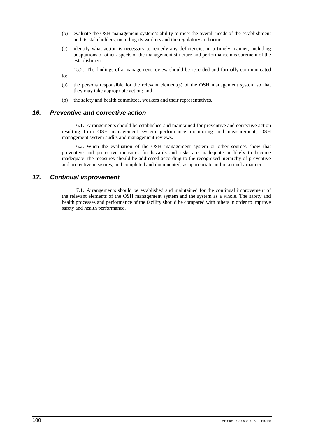- (b) evaluate the OSH management system's ability to meet the overall needs of the establishment and its stakeholders, including its workers and the regulatory authorities;
- (c) identify what action is necessary to remedy any deficiencies in a timely manner, including adaptations of other aspects of the management structure and performance measurement of the establishment.

15.2. The findings of a management review should be recorded and formally communicated

- (a) the persons responsible for the relevant element(s) of the OSH management system so that they may take appropriate action; and
- (b) the safety and health committee, workers and their representatives.

# *16. Preventive and corrective action*

16.1. Arrangements should be established and maintained for preventive and corrective action resulting from OSH management system performance monitoring and measurement, OSH management system audits and management reviews.

16.2. When the evaluation of the OSH management system or other sources show that preventive and protective measures for hazards and risks are inadequate or likely to become inadequate, the measures should be addressed according to the recognized hierarchy of preventive and protective measures, and completed and documented, as appropriate and in a timely manner.

# *17. Continual improvement*

to:

17.1. Arrangements should be established and maintained for the continual improvement of the relevant elements of the OSH management system and the system as a whole. The safety and health processes and performance of the facility should be compared with others in order to improve safety and health performance.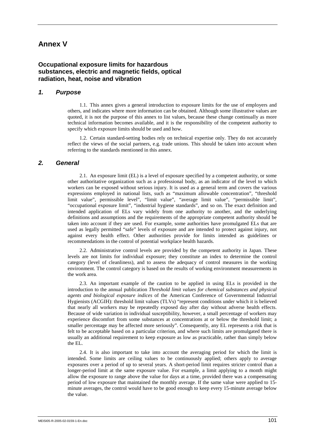# **Annex V**

# **Occupational exposure limits for hazardous substances, electric and magnetic fields, optical radiation, heat, noise and vibration**

## *1. Purpose*

1.1. This annex gives a general introduction to exposure limits for the use of employers and others, and indicates where more information can be obtained. Although some illustrative values are quoted, it is not the purpose of this annex to list values, because these change continually as more technical information becomes available, and it is the responsibility of the competent authority to specify which exposure limits should be used and how.

1.2. Certain standard-setting bodies rely on technical expertise only. They do not accurately reflect the views of the social partners, e.g. trade unions. This should be taken into account when referring to the standards mentioned in this annex.

# *2. General*

2.1. An exposure limit (EL) is a level of exposure specified by a competent authority, or some other authoritative organization such as a professional body, as an indicator of the level to which workers can be exposed without serious injury. It is used as a general term and covers the various expressions employed in national lists, such as "maximum allowable concentration", "threshold limit value", permissible level", "limit value", "average limit value", "permissible limit", "occupational exposure limit", "industrial hygiene standards", and so on. The exact definition and intended application of ELs vary widely from one authority to another, and the underlying definitions and assumptions and the requirements of the appropriate competent authority should be taken into account if they are used. For example, some authorities have promulgated ELs that are used as legally permitted "safe" levels of exposure and are intended to protect against injury, not against every health effect. Other authorities provide for limits intended as guidelines or recommendations in the control of potential workplace health hazards.

2.2. Administrative control levels are provided by the competent authority in Japan. These levels are not limits for individual exposure; they constitute an index to determine the control category (level of cleanliness), and to assess the adequacy of control measures in the working environment. The control category is based on the results of working environment measurements in the work area.

2.3. An important example of the caution to be applied in using ELs is provided in the introduction to the annual publication *Threshold limit values for chemical substances and physical agents and biological exposure indices* of the American Conference of Governmental Industrial Hygienists (ACGIH): threshold limit values (TLVs) "represent conditions under which it is believed that nearly all workers may be repeatedly exposed day after day without adverse health effects. Because of wide variation in individual susceptibility, however, a small percentage of workers may experience discomfort from some substances at concentrations at or below the threshold limit; a smaller percentage may be affected more seriously". Consequently, any EL represents a risk that is felt to be acceptable based on a particular criterion, and where such limits are promulgated there is usually an additional requirement to keep exposure as low as practicable, rather than simply below the EL.

2.4. It is also important to take into account the averaging period for which the limit is intended. Some limits are ceiling values to be continuously applied; others apply to average exposures over a period of up to several years. A short-period limit requires stricter control than a longer-period limit at the same exposure value. For example, a limit applying to a month might allow the exposure to range above the value for days at a time, provided there was a compensating period of low exposure that maintained the monthly average. If the same value were applied to 15 minute averages, the control would have to be good enough to keep every 15-minute average below the value.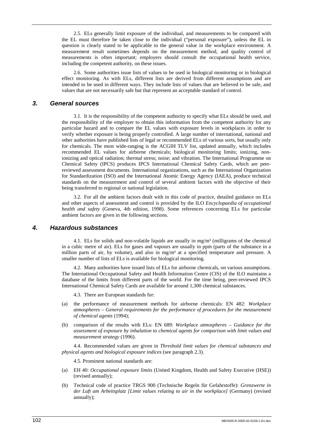2.5. ELs generally limit exposure of the individual, and measurements to be compared with the EL must therefore be taken close to the individual ("personal exposure"), unless the EL in question is clearly stated to be applicable to the general value in the workplace environment. A measurement result sometimes depends on the measurement method, and quality control of measurements is often important; employers should consult the occupational health service, including the competent authority, on these issues.

2.6. Some authorities issue lists of values to be used in biological monitoring or in biological effect monitoring. As with ELs, different lists are derived from different assumptions and are intended to be used in different ways. They include lists of values that are believed to be safe, and values that are not necessarily safe but that represent an acceptable standard of control.

# *3. General sources*

3.1. It is the responsibility of the competent authority to specify what ELs should be used, and the responsibility of the employer to obtain this information from the competent authority for any particular hazard and to compare the EL values with exposure levels in workplaces in order to verify whether exposure is being properly controlled. A large number of international, national and other authorities have published lists of legal or recommended ELs of various sorts, but usually only for chemicals. The most wide-ranging is the ACGIH TLV list, updated annually, which includes recommended EL values for airborne chemicals; biological monitoring limits; ionizing, nonionizing and optical radiation; thermal stress; noise; and vibration. The International Programme on Chemical Safety (IPCS) produces IPCS International Chemical Safety Cards, which are peerreviewed assessment documents. International organizations, such as the International Organization for Standardization (ISO) and the International Atomic Energy Agency (IAEA), produce technical standards on the measurement and control of several ambient factors with the objective of their being transferred to regional or national legislation.

3.2. For all the ambient factors dealt with in this code of practice, detailed guidance on ELs and other aspects of assessment and control is provided by the ILO *Encyclopaedia of occupational health and safety* (Geneva, 4th edition, 1998). Some references concerning ELs for particular ambient factors are given in the following sections.

## *4. Hazardous substances*

4.1. ELs for solids and non-volatile liquids are usually in  $mg/m<sup>3</sup>$  (milligrams of the chemical in a cubic metre of air). ELs for gases and vapours are usually in ppm (parts of the substance in a million parts of air, by volume), and also in  $mg/m<sup>3</sup>$  at a specified temperature and pressure. A smaller number of lists of ELs is available for biological monitoring.

4.2. Many authorities have issued lists of ELs for airborne chemicals, on various assumptions. The International Occupational Safety and Health Information Centre (CIS) of the ILO maintains a database of the limits from different parts of the world. For the time being, peer-reviewed IPCS International Chemical Safety Cards are available for around 1,300 chemical substances.

4.3. There are European standards for:

- (a) the performance of measurement methods for airborne chemicals: EN 482: *Workplace atmospheres – General requirements for the performance of procedures for the measurement of chemical agents* (1994);
- (b) comparison of the results with ELs: EN 689: *Workplace atmospheres Guidance for the assessment of exposure by inhalation to chemical agents for comparison with limit values and measurement strategy* (1996).

4.4. Recommended values are given in *Threshold limit values for chemical substances and physical agents and biological exposure indices* (see paragraph 2.3).

4.5. Prominent national standards are:

- (a) EH 40: *Occupational exposure limits* (United Kingdom, Health and Safety Executive (HSE)) (revised annually);
- (b) Technical code of practice TRGS 900 (Technische Regeln für Gefahrstoffe): *Grenzwerte in der Luft am Arbeitsplatz [Limit values relating to air in the workplace]* (Germany) (revised annually);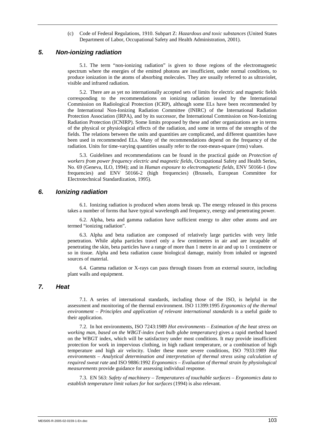(c) Code of Federal Regulations, 1910. Subpart Z: *Hazardous and toxic substances* (United States Department of Labor, Occupational Safety and Health Administration, 2001).

### *5. Non-ionizing radiation*

5.1. The term "non-ionizing radiation" is given to those regions of the electromagnetic spectrum where the energies of the emitted photons are insufficient, under normal conditions, to produce ionization in the atoms of absorbing molecules. They are usually referred to as ultraviolet, visible and infrared radiation.

5.2. There are as yet no internationally accepted sets of limits for electric and magnetic fields corresponding to the recommendations on ionizing radiation issued by the International Commission on Radiological Protection (ICRP), although some ELs have been recommended by the International Non-Ionizing Radiation Committee (INIRC) of the International Radiation Protection Association (IRPA), and by its successor, the International Commission on Non-Ionizing Radiation Protection (ICNIRP). Some limits proposed by these and other organizations are in terms of the physical or physiological effects of the radiation, and some in terms of the strengths of the fields. The relations between the units and quantities are complicated, and different quantities have been used in recommended ELs. Many of the recommendations depend on the frequency of the radiation. Units for time-varying quantities usually refer to the root-mean-square (rms) values.

5.3. Guidelines and recommendations can be found in the practical guide on *Protection of workers from power frequency electric and magnetic fields*, Occupational Safety and Health Series, No. 69 (Geneva, ILO, 1994); and in *Human exposure to electromagnetic fields*, ENV 50166-1 (low frequencies) and ENV 50166-2 (high frequencies) (Brussels, European Committee for Electrotechnical Standardization, 1995).

### *6. Ionizing radiation*

6.1. Ionizing radiation is produced when atoms break up. The energy released in this process takes a number of forms that have typical wavelength and frequency, energy and penetrating power.

6.2. Alpha, beta and gamma radiation have sufficient energy to alter other atoms and are termed "ionizing radiation".

6.3. Alpha and beta radiation are composed of relatively large particles with very little penetration. While alpha particles travel only a few centimetres in air and are incapable of penetrating the skin, beta particles have a range of more than 1 metre in air and up to 1 centimetre or so in tissue. Alpha and beta radiation cause biological damage, mainly from inhaled or ingested sources of material.

6.4. Gamma radiation or X-rays can pass through tissues from an external source, including plant walls and equipment.

# *7. Heat*

7.1. A series of international standards, including those of the ISO, is helpful in the assessment and monitoring of the thermal environment. ISO 11399:1995 *Ergonomics of the thermal environment – Principles and application of relevant international standards* is a useful guide to their application.

7.2. In hot environments, ISO 7243:1989 *Hot environments – Estimation of the heat stress on working man, based on the WBGT-index (wet bulb globe temperature)* gives a rapid method based on the WBGT index, which will be satisfactory under most conditions. It may provide insufficient protection for work in impervious clothing, in high radiant temperature, or a combination of high temperature and high air velocity. Under these more severe conditions, ISO 7933:1989 *Hot environments – Analytical determination and interpretation of thermal stress using calculation of required sweat rate* and ISO 9886:1992 *Ergonomics – Evaluation of thermal strain by physiological measurements* provide guidance for assessing individual response.

7.3. EN 563: *Safety of machinery – Temperatures of touchable surfaces – Ergonomics data to establish temperature limit values for hot surfaces* (1994) is also relevant.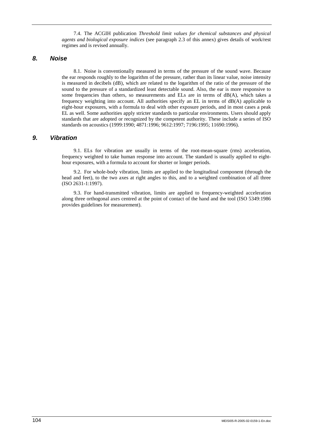7.4. The ACGIH publication *Threshold limit values for chemical substances and physical agents and biological exposure indices* (see paragraph 2.3 of this annex) gives details of work/rest regimes and is revised annually.

# *8. Noise*

8.1. Noise is conventionally measured in terms of the pressure of the sound wave. Because the ear responds roughly to the logarithm of the pressure, rather than its linear value, noise intensity is measured in decibels (dB), which are related to the logarithm of the ratio of the pressure of the sound to the pressure of a standardized least detectable sound. Also, the ear is more responsive to some frequencies than others, so measurements and ELs are in terms of dB(A), which takes a frequency weighting into account. All authorities specify an EL in terms of dB(A) applicable to eight-hour exposures, with a formula to deal with other exposure periods, and in most cases a peak EL as well. Some authorities apply stricter standards to particular environments. Users should apply standards that are adopted or recognized by the competent authority. These include a series of ISO standards on acoustics (1999:1990; 4871:1996; 9612:1997; 7196:1995; 11690:1996).

# *9. Vibration*

9.1. ELs for vibration are usually in terms of the root-mean-square (rms) acceleration, frequency weighted to take human response into account. The standard is usually applied to eighthour exposures, with a formula to account for shorter or longer periods.

9.2. For whole-body vibration, limits are applied to the longitudinal component (through the head and feet), to the two axes at right angles to this, and to a weighted combination of all three (ISO 2631-1:1997).

9.3. For hand-transmitted vibration, limits are applied to frequency-weighted acceleration along three orthogonal axes centred at the point of contact of the hand and the tool (ISO 5349:1986 provides guidelines for measurement).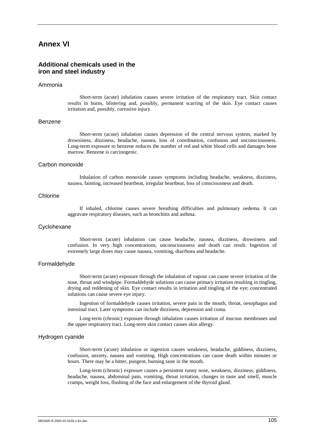# **Annex VI**

# **Additional chemicals used in the iron and steel industry**

#### Ammonia

Short-term (acute) inhalation causes severe irritation of the respiratory tract. Skin contact results in burns, blistering and, possibly, permanent scarring of the skin. Eye contact causes irritation and, possibly, corrosive injury.

#### Benzene

Short-term (acute) inhalation causes depression of the central nervous system, marked by drowsiness, dizziness, headache, nausea, loss of coordination, confusion and unconsciousness. Long-term exposure to benzene reduces the number of red and white blood cells and damages bone marrow. Benzene is carcinogenic.

#### Carbon monoxide

Inhalation of carbon monoxide causes symptoms including headache, weakness, dizziness, nausea, fainting, increased heartbeat, irregular heartbeat, loss of consciousness and death.

### Chlorine

If inhaled, chlorine causes severe breathing difficulties and pulmonary oedema. It can aggravate respiratory diseases, such as bronchitis and asthma.

#### **Cyclohexane**

Short-term (acute) inhalation can cause headache, nausea, dizziness, drowsiness and confusion. In very high concentrations, unconsciousness and death can result. Ingestion of extremely large doses may cause nausea, vomiting, diarrhoea and headache.

#### Formaldehyde

Short-term (acute) exposure through the inhalation of vapour can cause severe irritation of the nose, throat and windpipe. Formaldehyde solutions can cause primary irritation resulting in tingling, drying and reddening of skin. Eye contact results in irritation and tingling of the eye; concentrated solutions can cause severe eye injury.

Ingestion of formaldehyde causes irritation, severe pain in the mouth, throat, oesophagus and intestinal tract. Later symptoms can include dizziness, depression and coma.

Long-term (chronic) exposure through inhalation causes irritation of mucous membranes and the upper respiratory tract. Long-term skin contact causes skin allergy.

#### Hydrogen cyanide

Short-term (acute) inhalation or ingestion causes weakness, headache, giddiness, dizziness, confusion, anxiety, nausea and vomiting. High concentrations can cause death within minutes or hours. There may be a bitter, pungent, burning taste in the mouth.

Long-term (chronic) exposure causes a persistent runny nose, weakness, dizziness, giddiness, headache, nausea, abdominal pain, vomiting, throat irritation, changes in taste and smell, muscle cramps, weight loss, flushing of the face and enlargement of the thyroid gland.